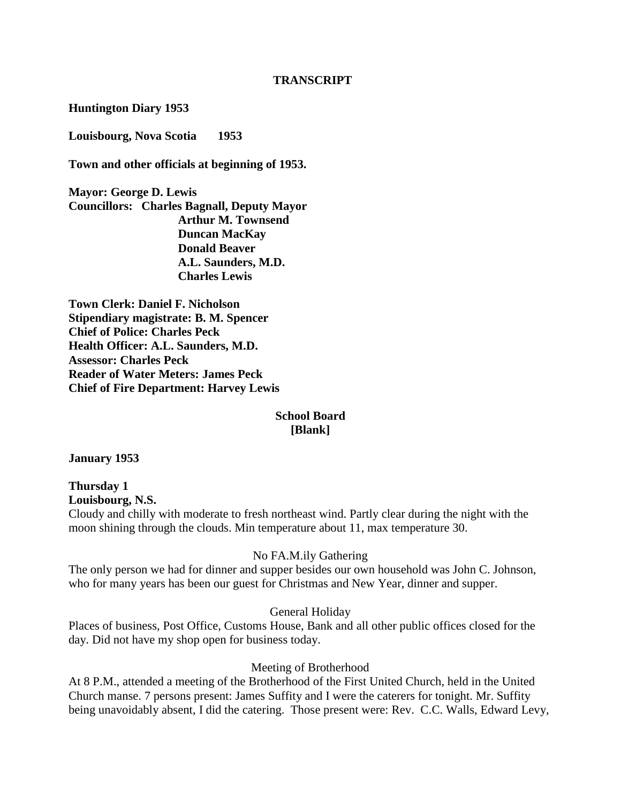#### **TRANSCRIPT**

**Huntington Diary 1953**

**Louisbourg, Nova Scotia 1953**

**Town and other officials at beginning of 1953.**

**Mayor: George D. Lewis Councillors: Charles Bagnall, Deputy Mayor Arthur M. Townsend Duncan MacKay Donald Beaver A.L. Saunders, M.D. Charles Lewis**

**Town Clerk: Daniel F. Nicholson Stipendiary magistrate: B. M. Spencer Chief of Police: Charles Peck Health Officer: A.L. Saunders, M.D. Assessor: Charles Peck Reader of Water Meters: James Peck Chief of Fire Department: Harvey Lewis**

#### **School Board [Blank]**

**January 1953**

**Thursday 1 Louisbourg, N.S.** Cloudy and chilly with moderate to fresh northeast wind. Partly clear during the night with the moon shining through the clouds. Min temperature about 11, max temperature 30.

#### No FA.M.ily Gathering

The only person we had for dinner and supper besides our own household was John C. Johnson, who for many years has been our guest for Christmas and New Year, dinner and supper.

General Holiday

Places of business, Post Office, Customs House, Bank and all other public offices closed for the day. Did not have my shop open for business today.

#### Meeting of Brotherhood

At 8 P.M., attended a meeting of the Brotherhood of the First United Church, held in the United Church manse. 7 persons present: James Suffity and I were the caterers for tonight. Mr. Suffity being unavoidably absent, I did the catering. Those present were: Rev. C.C. Walls, Edward Levy,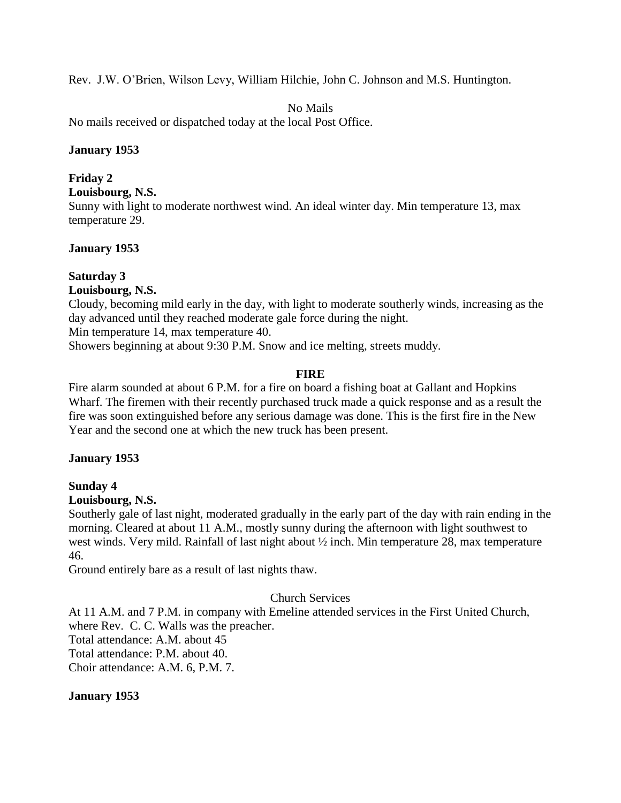Rev. J.W. O'Brien, Wilson Levy, William Hilchie, John C. Johnson and M.S. Huntington.

No Mails

No mails received or dispatched today at the local Post Office.

#### **January 1953**

#### **Friday 2**

**Louisbourg, N.S.**

Sunny with light to moderate northwest wind. An ideal winter day. Min temperature 13, max temperature 29.

# **January 1953**

# **Saturday 3**

**Louisbourg, N.S.**

Cloudy, becoming mild early in the day, with light to moderate southerly winds, increasing as the day advanced until they reached moderate gale force during the night.

Min temperature 14, max temperature 40.

Showers beginning at about 9:30 P.M. Snow and ice melting, streets muddy.

# **FIRE**

Fire alarm sounded at about 6 P.M. for a fire on board a fishing boat at Gallant and Hopkins Wharf. The firemen with their recently purchased truck made a quick response and as a result the fire was soon extinguished before any serious damage was done. This is the first fire in the New Year and the second one at which the new truck has been present.

# **January 1953**

# **Sunday 4**

# **Louisbourg, N.S.**

Southerly gale of last night, moderated gradually in the early part of the day with rain ending in the morning. Cleared at about 11 A.M., mostly sunny during the afternoon with light southwest to west winds. Very mild. Rainfall of last night about ½ inch. Min temperature 28, max temperature 46.

Ground entirely bare as a result of last nights thaw.

# Church Services

At 11 A.M. and 7 P.M. in company with Emeline attended services in the First United Church, where Rev. C. C. Walls was the preacher.

Total attendance: A.M. about 45

Total attendance: P.M. about 40.

Choir attendance: A.M. 6, P.M. 7.

# **January 1953**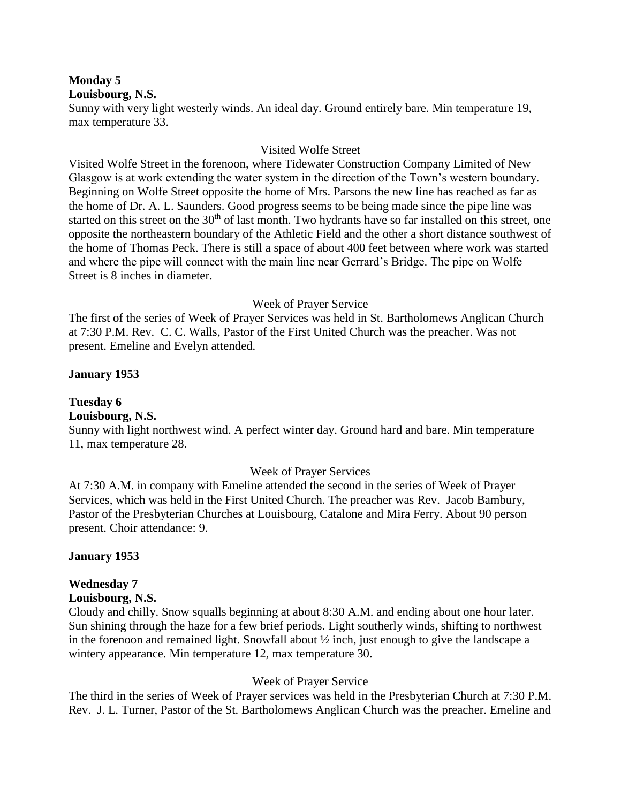#### **Monday 5**

#### **Louisbourg, N.S.**

Sunny with very light westerly winds. An ideal day. Ground entirely bare. Min temperature 19, max temperature 33.

#### Visited Wolfe Street

Visited Wolfe Street in the forenoon, where Tidewater Construction Company Limited of New Glasgow is at work extending the water system in the direction of the Town's western boundary. Beginning on Wolfe Street opposite the home of Mrs. Parsons the new line has reached as far as the home of Dr. A. L. Saunders. Good progress seems to be being made since the pipe line was started on this street on the 30<sup>th</sup> of last month. Two hydrants have so far installed on this street, one opposite the northeastern boundary of the Athletic Field and the other a short distance southwest of the home of Thomas Peck. There is still a space of about 400 feet between where work was started and where the pipe will connect with the main line near Gerrard's Bridge. The pipe on Wolfe Street is 8 inches in diameter.

#### Week of Prayer Service

The first of the series of Week of Prayer Services was held in St. Bartholomews Anglican Church at 7:30 P.M. Rev. C. C. Walls, Pastor of the First United Church was the preacher. Was not present. Emeline and Evelyn attended.

# **January 1953**

# **Tuesday 6**

# **Louisbourg, N.S.**

Sunny with light northwest wind. A perfect winter day. Ground hard and bare. Min temperature 11, max temperature 28.

# Week of Prayer Services

At 7:30 A.M. in company with Emeline attended the second in the series of Week of Prayer Services, which was held in the First United Church. The preacher was Rev. Jacob Bambury, Pastor of the Presbyterian Churches at Louisbourg, Catalone and Mira Ferry. About 90 person present. Choir attendance: 9.

#### **January 1953**

#### **Wednesday 7**

#### **Louisbourg, N.S.**

Cloudy and chilly. Snow squalls beginning at about 8:30 A.M. and ending about one hour later. Sun shining through the haze for a few brief periods. Light southerly winds, shifting to northwest in the forenoon and remained light. Snowfall about ½ inch, just enough to give the landscape a wintery appearance. Min temperature 12, max temperature 30.

# Week of Prayer Service

The third in the series of Week of Prayer services was held in the Presbyterian Church at 7:30 P.M. Rev. J. L. Turner, Pastor of the St. Bartholomews Anglican Church was the preacher. Emeline and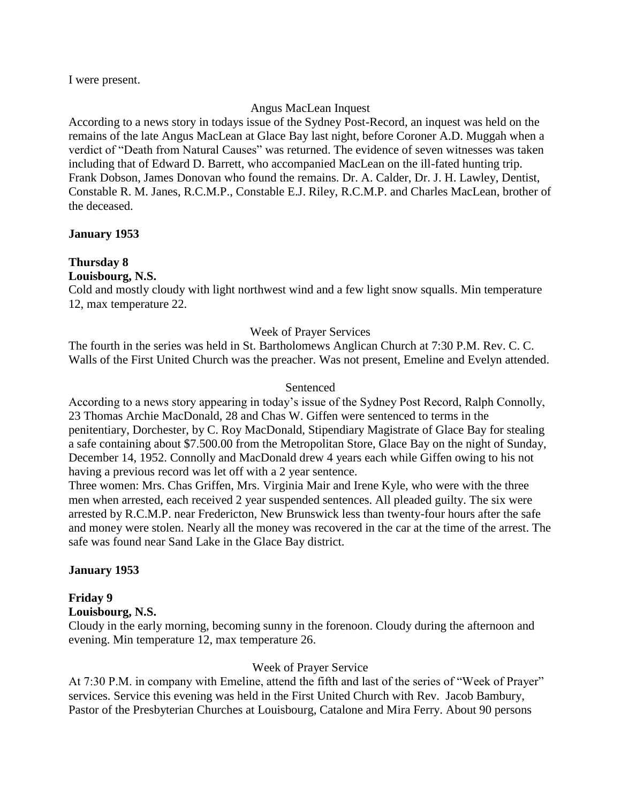I were present.

#### Angus MacLean Inquest

According to a news story in todays issue of the Sydney Post-Record, an inquest was held on the remains of the late Angus MacLean at Glace Bay last night, before Coroner A.D. Muggah when a verdict of "Death from Natural Causes" was returned. The evidence of seven witnesses was taken including that of Edward D. Barrett, who accompanied MacLean on the ill-fated hunting trip. Frank Dobson, James Donovan who found the remains. Dr. A. Calder, Dr. J. H. Lawley, Dentist, Constable R. M. Janes, R.C.M.P., Constable E.J. Riley, R.C.M.P. and Charles MacLean, brother of the deceased.

#### **January 1953**

# **Thursday 8**

**Louisbourg, N.S.**

Cold and mostly cloudy with light northwest wind and a few light snow squalls. Min temperature 12, max temperature 22.

#### Week of Prayer Services

The fourth in the series was held in St. Bartholomews Anglican Church at 7:30 P.M. Rev. C. C. Walls of the First United Church was the preacher. Was not present, Emeline and Evelyn attended.

#### Sentenced

According to a news story appearing in today's issue of the Sydney Post Record, Ralph Connolly, 23 Thomas Archie MacDonald, 28 and Chas W. Giffen were sentenced to terms in the penitentiary, Dorchester, by C. Roy MacDonald, Stipendiary Magistrate of Glace Bay for stealing a safe containing about \$7.500.00 from the Metropolitan Store, Glace Bay on the night of Sunday, December 14, 1952. Connolly and MacDonald drew 4 years each while Giffen owing to his not having a previous record was let off with a 2 year sentence.

Three women: Mrs. Chas Griffen, Mrs. Virginia Mair and Irene Kyle, who were with the three men when arrested, each received 2 year suspended sentences. All pleaded guilty. The six were arrested by R.C.M.P. near Fredericton, New Brunswick less than twenty-four hours after the safe and money were stolen. Nearly all the money was recovered in the car at the time of the arrest. The safe was found near Sand Lake in the Glace Bay district.

# **January 1953**

# **Friday 9**

#### **Louisbourg, N.S.**

Cloudy in the early morning, becoming sunny in the forenoon. Cloudy during the afternoon and evening. Min temperature 12, max temperature 26.

#### Week of Prayer Service

At 7:30 P.M. in company with Emeline, attend the fifth and last of the series of "Week of Prayer" services. Service this evening was held in the First United Church with Rev. Jacob Bambury, Pastor of the Presbyterian Churches at Louisbourg, Catalone and Mira Ferry. About 90 persons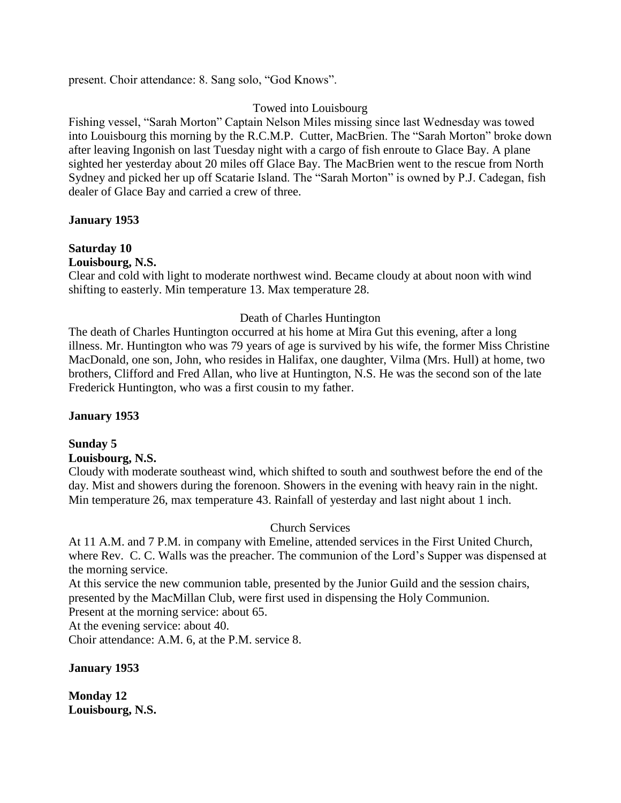present. Choir attendance: 8. Sang solo, "God Knows".

#### Towed into Louisbourg

Fishing vessel, "Sarah Morton" Captain Nelson Miles missing since last Wednesday was towed into Louisbourg this morning by the R.C.M.P. Cutter, MacBrien. The "Sarah Morton" broke down after leaving Ingonish on last Tuesday night with a cargo of fish enroute to Glace Bay. A plane sighted her yesterday about 20 miles off Glace Bay. The MacBrien went to the rescue from North Sydney and picked her up off Scatarie Island. The "Sarah Morton" is owned by P.J. Cadegan, fish dealer of Glace Bay and carried a crew of three.

#### **January 1953**

# **Saturday 10**

**Louisbourg, N.S.**

Clear and cold with light to moderate northwest wind. Became cloudy at about noon with wind shifting to easterly. Min temperature 13. Max temperature 28.

#### Death of Charles Huntington

The death of Charles Huntington occurred at his home at Mira Gut this evening, after a long illness. Mr. Huntington who was 79 years of age is survived by his wife, the former Miss Christine MacDonald, one son, John, who resides in Halifax, one daughter, Vilma (Mrs. Hull) at home, two brothers, Clifford and Fred Allan, who live at Huntington, N.S. He was the second son of the late Frederick Huntington, who was a first cousin to my father.

# **January 1953**

# **Sunday 5**

#### **Louisbourg, N.S.**

Cloudy with moderate southeast wind, which shifted to south and southwest before the end of the day. Mist and showers during the forenoon. Showers in the evening with heavy rain in the night. Min temperature 26, max temperature 43. Rainfall of yesterday and last night about 1 inch.

# Church Services

At 11 A.M. and 7 P.M. in company with Emeline, attended services in the First United Church, where Rev. C. C. Walls was the preacher. The communion of the Lord's Supper was dispensed at the morning service.

At this service the new communion table, presented by the Junior Guild and the session chairs, presented by the MacMillan Club, were first used in dispensing the Holy Communion.

Present at the morning service: about 65.

At the evening service: about 40.

Choir attendance: A.M. 6, at the P.M. service 8.

#### **January 1953**

**Monday 12 Louisbourg, N.S.**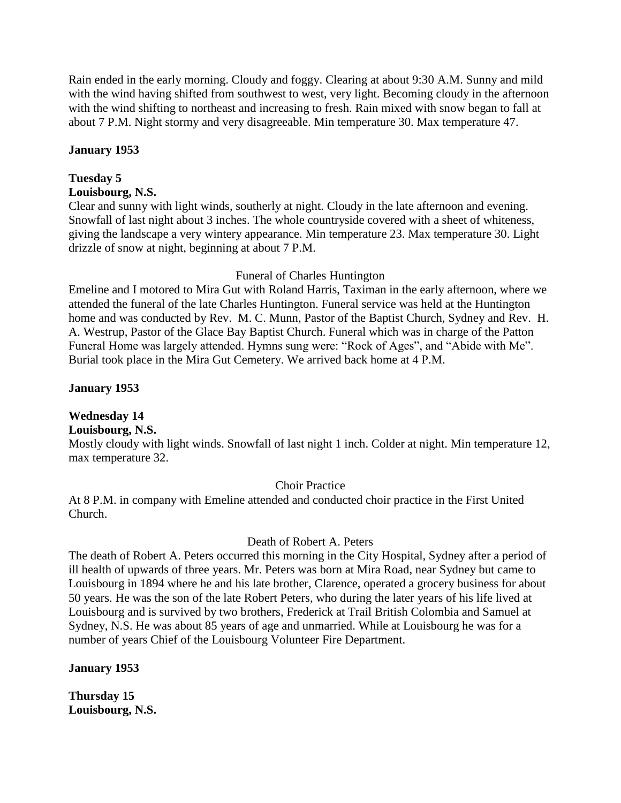Rain ended in the early morning. Cloudy and foggy. Clearing at about 9:30 A.M. Sunny and mild with the wind having shifted from southwest to west, very light. Becoming cloudy in the afternoon with the wind shifting to northeast and increasing to fresh. Rain mixed with snow began to fall at about 7 P.M. Night stormy and very disagreeable. Min temperature 30. Max temperature 47.

#### **January 1953**

# **Tuesday 5**

# **Louisbourg, N.S.**

Clear and sunny with light winds, southerly at night. Cloudy in the late afternoon and evening. Snowfall of last night about 3 inches. The whole countryside covered with a sheet of whiteness, giving the landscape a very wintery appearance. Min temperature 23. Max temperature 30. Light drizzle of snow at night, beginning at about 7 P.M.

#### Funeral of Charles Huntington

Emeline and I motored to Mira Gut with Roland Harris, Taximan in the early afternoon, where we attended the funeral of the late Charles Huntington. Funeral service was held at the Huntington home and was conducted by Rev. M. C. Munn, Pastor of the Baptist Church, Sydney and Rev. H. A. Westrup, Pastor of the Glace Bay Baptist Church. Funeral which was in charge of the Patton Funeral Home was largely attended. Hymns sung were: "Rock of Ages", and "Abide with Me". Burial took place in the Mira Gut Cemetery. We arrived back home at 4 P.M.

# **January 1953**

# **Wednesday 14**

# **Louisbourg, N.S.**

Mostly cloudy with light winds. Snowfall of last night 1 inch. Colder at night. Min temperature 12, max temperature 32.

# Choir Practice

At 8 P.M. in company with Emeline attended and conducted choir practice in the First United Church.

#### Death of Robert A. Peters

The death of Robert A. Peters occurred this morning in the City Hospital, Sydney after a period of ill health of upwards of three years. Mr. Peters was born at Mira Road, near Sydney but came to Louisbourg in 1894 where he and his late brother, Clarence, operated a grocery business for about 50 years. He was the son of the late Robert Peters, who during the later years of his life lived at Louisbourg and is survived by two brothers, Frederick at Trail British Colombia and Samuel at Sydney, N.S. He was about 85 years of age and unmarried. While at Louisbourg he was for a number of years Chief of the Louisbourg Volunteer Fire Department.

# **January 1953**

**Thursday 15 Louisbourg, N.S.**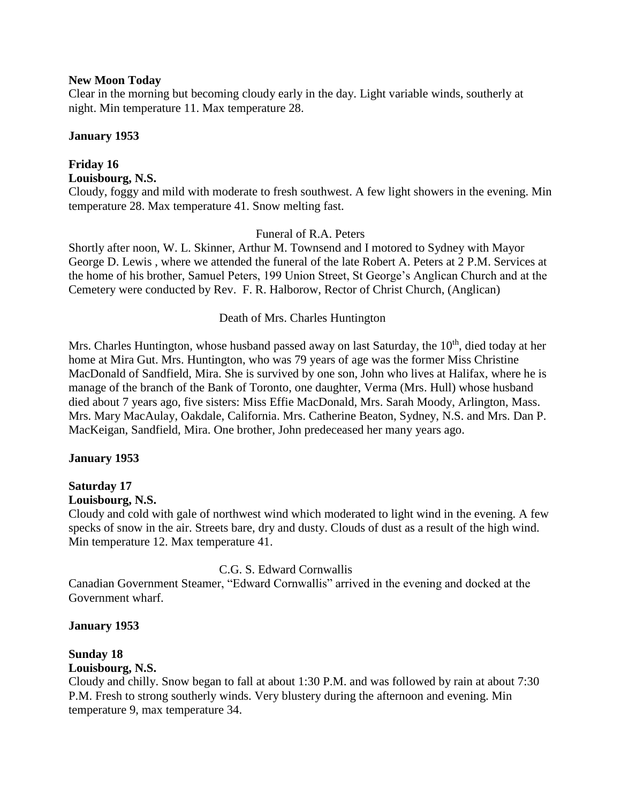#### **New Moon Today**

Clear in the morning but becoming cloudy early in the day. Light variable winds, southerly at night. Min temperature 11. Max temperature 28.

#### **January 1953**

#### **Friday 16 Louisbourg, N.S.**

Cloudy, foggy and mild with moderate to fresh southwest. A few light showers in the evening. Min temperature 28. Max temperature 41. Snow melting fast.

#### Funeral of R.A. Peters

Shortly after noon, W. L. Skinner, Arthur M. Townsend and I motored to Sydney with Mayor George D. Lewis , where we attended the funeral of the late Robert A. Peters at 2 P.M. Services at the home of his brother, Samuel Peters, 199 Union Street, St George's Anglican Church and at the Cemetery were conducted by Rev. F. R. Halborow, Rector of Christ Church, (Anglican)

#### Death of Mrs. Charles Huntington

Mrs. Charles Huntington, whose husband passed away on last Saturday, the  $10<sup>th</sup>$ , died today at her home at Mira Gut. Mrs. Huntington, who was 79 years of age was the former Miss Christine MacDonald of Sandfield, Mira. She is survived by one son, John who lives at Halifax, where he is manage of the branch of the Bank of Toronto, one daughter, Verma (Mrs. Hull) whose husband died about 7 years ago, five sisters: Miss Effie MacDonald, Mrs. Sarah Moody, Arlington, Mass. Mrs. Mary MacAulay, Oakdale, California. Mrs. Catherine Beaton, Sydney, N.S. and Mrs. Dan P. MacKeigan, Sandfield, Mira. One brother, John predeceased her many years ago.

#### **January 1953**

# **Saturday 17**

#### **Louisbourg, N.S.**

Cloudy and cold with gale of northwest wind which moderated to light wind in the evening. A few specks of snow in the air. Streets bare, dry and dusty. Clouds of dust as a result of the high wind. Min temperature 12. Max temperature 41.

# C.G. S. Edward Cornwallis

Canadian Government Steamer, "Edward Cornwallis" arrived in the evening and docked at the Government wharf.

#### **January 1953**

# **Sunday 18**

#### **Louisbourg, N.S.**

Cloudy and chilly. Snow began to fall at about 1:30 P.M. and was followed by rain at about 7:30 P.M. Fresh to strong southerly winds. Very blustery during the afternoon and evening. Min temperature 9, max temperature 34.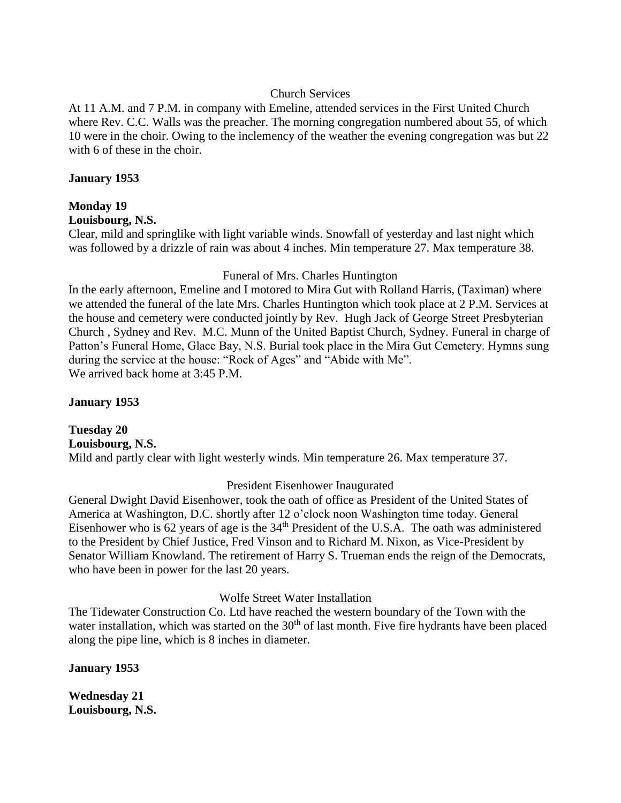#### Church Services

At 11 A.M. and 7 P.M. in company with Emeline, attended services in the First United Church where Rev. C.C. Walls was the preacher. The morning congregation numbered about 55, of which 10 were in the choir. Owing to the inclemency of the weather the evening congregation was but 22 with 6 of these in the choir.

#### **January 1953**

#### **Monday 19**

#### **Louisbourg, N.S.**

Clear, mild and springlike with light variable winds. Snowfall of yesterday and last night which was followed by a drizzle of rain was about 4 inches. Min temperature 27. Max temperature 38.

#### Funeral of Mrs. Charles Huntington

In the early afternoon, Emeline and I motored to Mira Gut with Rolland Harris, (Taximan) where we attended the funeral of the late Mrs. Charles Huntington which took place at 2 P.M. Services at the house and cemetery were conducted jointly by Rev. Hugh Jack of George Street Presbyterian Church , Sydney and Rev. M.C. Munn of the United Baptist Church, Sydney. Funeral in charge of Patton's Funeral Home, Glace Bay, N.S. Burial took place in the Mira Gut Cemetery. Hymns sung during the service at the house: "Rock of Ages" and "Abide with Me". We arrived back home at 3:45 P.M.

#### **January 1953**

**Tuesday 20 Louisbourg, N.S.** Mild and partly clear with light westerly winds. Min temperature 26. Max temperature 37.

# President Eisenhower Inaugurated

General Dwight David Eisenhower, took the oath of office as President of the United States of America at Washington, D.C. shortly after 12 o'clock noon Washington time today. General Eisenhower who is  $62$  years of age is the  $34<sup>th</sup>$  President of the U.S.A. The oath was administered to the President by Chief Justice, Fred Vinson and to Richard M. Nixon, as Vice-President by Senator William Knowland. The retirement of Harry S. Trueman ends the reign of the Democrats, who have been in power for the last 20 years.

# Wolfe Street Water Installation

The Tidewater Construction Co. Ltd have reached the western boundary of the Town with the water installation, which was started on the  $30<sup>th</sup>$  of last month. Five fire hydrants have been placed along the pipe line, which is 8 inches in diameter.

#### **January 1953**

**Wednesday 21 Louisbourg, N.S.**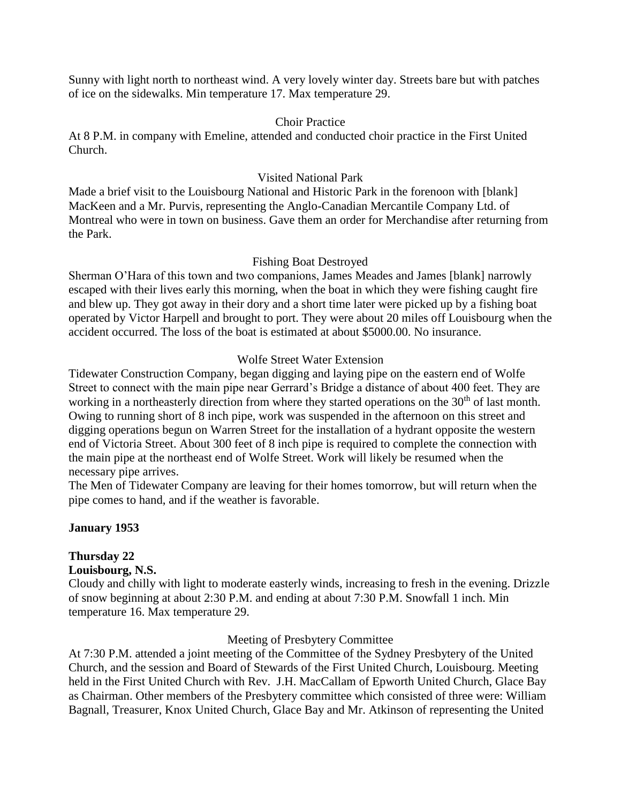Sunny with light north to northeast wind. A very lovely winter day. Streets bare but with patches of ice on the sidewalks. Min temperature 17. Max temperature 29.

#### Choir Practice

At 8 P.M. in company with Emeline, attended and conducted choir practice in the First United Church.

#### Visited National Park

Made a brief visit to the Louisbourg National and Historic Park in the forenoon with [blank] MacKeen and a Mr. Purvis, representing the Anglo-Canadian Mercantile Company Ltd. of Montreal who were in town on business. Gave them an order for Merchandise after returning from the Park.

#### Fishing Boat Destroyed

Sherman O'Hara of this town and two companions, James Meades and James [blank] narrowly escaped with their lives early this morning, when the boat in which they were fishing caught fire and blew up. They got away in their dory and a short time later were picked up by a fishing boat operated by Victor Harpell and brought to port. They were about 20 miles off Louisbourg when the accident occurred. The loss of the boat is estimated at about \$5000.00. No insurance.

#### Wolfe Street Water Extension

Tidewater Construction Company, began digging and laying pipe on the eastern end of Wolfe Street to connect with the main pipe near Gerrard's Bridge a distance of about 400 feet. They are working in a northeasterly direction from where they started operations on the 30<sup>th</sup> of last month. Owing to running short of 8 inch pipe, work was suspended in the afternoon on this street and digging operations begun on Warren Street for the installation of a hydrant opposite the western end of Victoria Street. About 300 feet of 8 inch pipe is required to complete the connection with the main pipe at the northeast end of Wolfe Street. Work will likely be resumed when the necessary pipe arrives.

The Men of Tidewater Company are leaving for their homes tomorrow, but will return when the pipe comes to hand, and if the weather is favorable.

# **January 1953**

# **Thursday 22**

#### **Louisbourg, N.S.**

Cloudy and chilly with light to moderate easterly winds, increasing to fresh in the evening. Drizzle of snow beginning at about 2:30 P.M. and ending at about 7:30 P.M. Snowfall 1 inch. Min temperature 16. Max temperature 29.

#### Meeting of Presbytery Committee

At 7:30 P.M. attended a joint meeting of the Committee of the Sydney Presbytery of the United Church, and the session and Board of Stewards of the First United Church, Louisbourg. Meeting held in the First United Church with Rev. J.H. MacCallam of Epworth United Church, Glace Bay as Chairman. Other members of the Presbytery committee which consisted of three were: William Bagnall, Treasurer, Knox United Church, Glace Bay and Mr. Atkinson of representing the United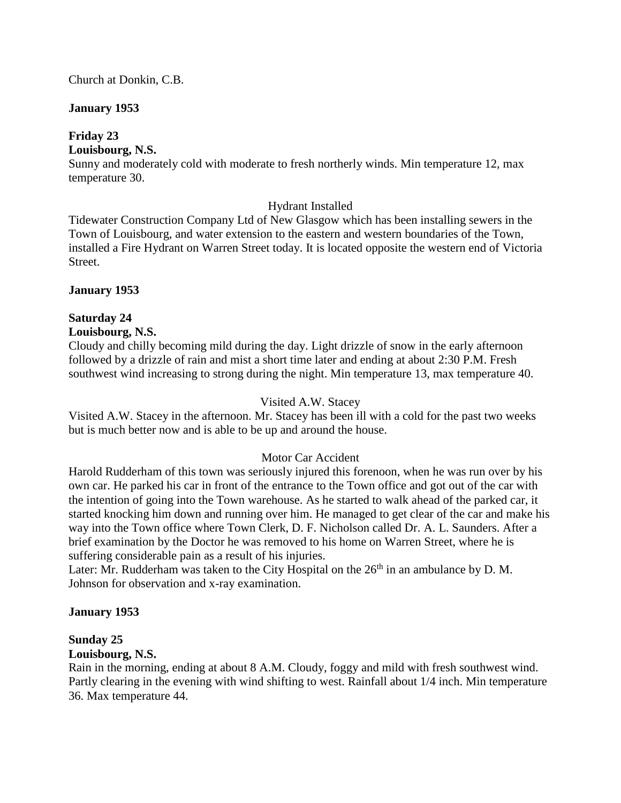#### Church at Donkin, C.B.

#### **January 1953**

# **Friday 23**

#### **Louisbourg, N.S.**

Sunny and moderately cold with moderate to fresh northerly winds. Min temperature 12, max temperature 30.

# Hydrant Installed

Tidewater Construction Company Ltd of New Glasgow which has been installing sewers in the Town of Louisbourg, and water extension to the eastern and western boundaries of the Town, installed a Fire Hydrant on Warren Street today. It is located opposite the western end of Victoria Street.

#### **January 1953**

# **Saturday 24**

#### **Louisbourg, N.S.**

Cloudy and chilly becoming mild during the day. Light drizzle of snow in the early afternoon followed by a drizzle of rain and mist a short time later and ending at about 2:30 P.M. Fresh southwest wind increasing to strong during the night. Min temperature 13, max temperature 40.

#### Visited A.W. Stacey

Visited A.W. Stacey in the afternoon. Mr. Stacey has been ill with a cold for the past two weeks but is much better now and is able to be up and around the house.

# Motor Car Accident

Harold Rudderham of this town was seriously injured this forenoon, when he was run over by his own car. He parked his car in front of the entrance to the Town office and got out of the car with the intention of going into the Town warehouse. As he started to walk ahead of the parked car, it started knocking him down and running over him. He managed to get clear of the car and make his way into the Town office where Town Clerk, D. F. Nicholson called Dr. A. L. Saunders. After a brief examination by the Doctor he was removed to his home on Warren Street, where he is suffering considerable pain as a result of his injuries.

Later: Mr. Rudderham was taken to the City Hospital on the  $26<sup>th</sup>$  in an ambulance by D. M. Johnson for observation and x-ray examination.

#### **January 1953**

#### **Sunday 25**

#### **Louisbourg, N.S.**

Rain in the morning, ending at about 8 A.M. Cloudy, foggy and mild with fresh southwest wind. Partly clearing in the evening with wind shifting to west. Rainfall about 1/4 inch. Min temperature 36. Max temperature 44.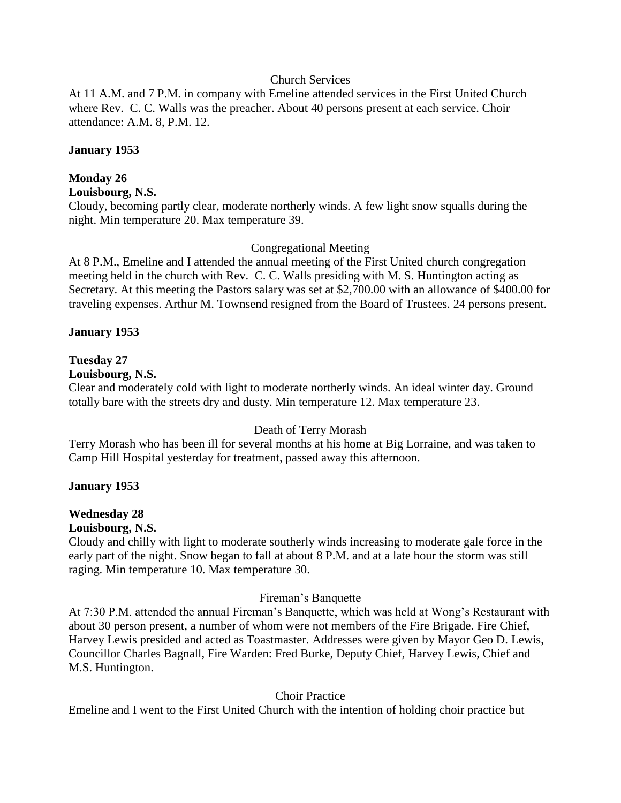#### Church Services

At 11 A.M. and 7 P.M. in company with Emeline attended services in the First United Church where Rev. C. C. Walls was the preacher. About 40 persons present at each service. Choir attendance: A.M. 8, P.M. 12.

#### **January 1953**

# **Monday 26**

#### **Louisbourg, N.S.**

Cloudy, becoming partly clear, moderate northerly winds. A few light snow squalls during the night. Min temperature 20. Max temperature 39.

#### Congregational Meeting

At 8 P.M., Emeline and I attended the annual meeting of the First United church congregation meeting held in the church with Rev. C. C. Walls presiding with M. S. Huntington acting as Secretary. At this meeting the Pastors salary was set at \$2,700.00 with an allowance of \$400.00 for traveling expenses. Arthur M. Townsend resigned from the Board of Trustees. 24 persons present.

#### **January 1953**

# **Tuesday 27**

# **Louisbourg, N.S.**

Clear and moderately cold with light to moderate northerly winds. An ideal winter day. Ground totally bare with the streets dry and dusty. Min temperature 12. Max temperature 23.

# Death of Terry Morash

Terry Morash who has been ill for several months at his home at Big Lorraine, and was taken to Camp Hill Hospital yesterday for treatment, passed away this afternoon.

# **January 1953**

# **Wednesday 28**

# **Louisbourg, N.S.**

Cloudy and chilly with light to moderate southerly winds increasing to moderate gale force in the early part of the night. Snow began to fall at about 8 P.M. and at a late hour the storm was still raging. Min temperature 10. Max temperature 30.

#### Fireman's Banquette

At 7:30 P.M. attended the annual Fireman's Banquette, which was held at Wong's Restaurant with about 30 person present, a number of whom were not members of the Fire Brigade. Fire Chief, Harvey Lewis presided and acted as Toastmaster. Addresses were given by Mayor Geo D. Lewis, Councillor Charles Bagnall, Fire Warden: Fred Burke, Deputy Chief, Harvey Lewis, Chief and M.S. Huntington.

# Choir Practice

Emeline and I went to the First United Church with the intention of holding choir practice but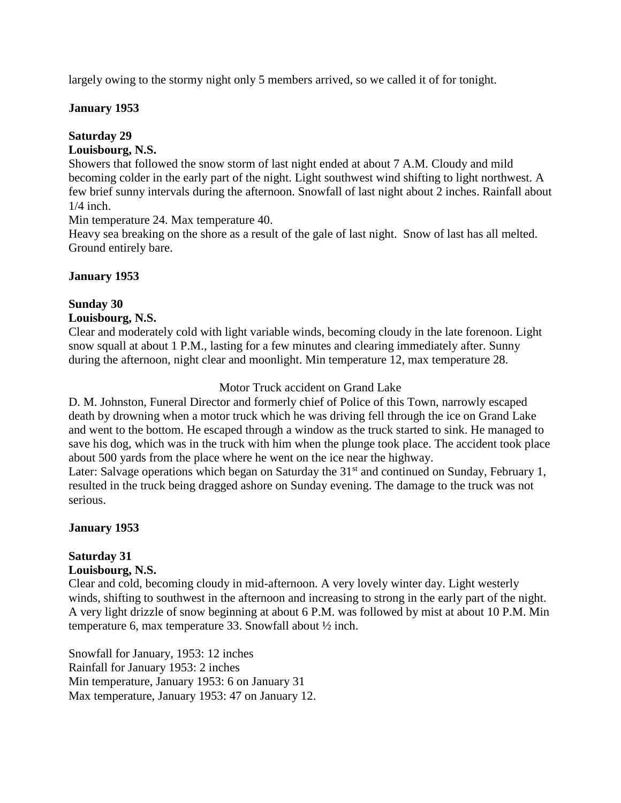largely owing to the stormy night only 5 members arrived, so we called it of for tonight.

#### **January 1953**

# **Saturday 29**

#### **Louisbourg, N.S.**

Showers that followed the snow storm of last night ended at about 7 A.M. Cloudy and mild becoming colder in the early part of the night. Light southwest wind shifting to light northwest. A few brief sunny intervals during the afternoon. Snowfall of last night about 2 inches. Rainfall about 1/4 inch.

Min temperature 24. Max temperature 40.

Heavy sea breaking on the shore as a result of the gale of last night. Snow of last has all melted. Ground entirely bare.

# **January 1953**

#### **Sunday 30**

#### **Louisbourg, N.S.**

Clear and moderately cold with light variable winds, becoming cloudy in the late forenoon. Light snow squall at about 1 P.M., lasting for a few minutes and clearing immediately after. Sunny during the afternoon, night clear and moonlight. Min temperature 12, max temperature 28.

# Motor Truck accident on Grand Lake

D. M. Johnston, Funeral Director and formerly chief of Police of this Town, narrowly escaped death by drowning when a motor truck which he was driving fell through the ice on Grand Lake and went to the bottom. He escaped through a window as the truck started to sink. He managed to save his dog, which was in the truck with him when the plunge took place. The accident took place about 500 yards from the place where he went on the ice near the highway.

Later: Salvage operations which began on Saturday the 31<sup>st</sup> and continued on Sunday, February 1, resulted in the truck being dragged ashore on Sunday evening. The damage to the truck was not serious.

# **January 1953**

# **Saturday 31**

#### **Louisbourg, N.S.**

Clear and cold, becoming cloudy in mid-afternoon. A very lovely winter day. Light westerly winds, shifting to southwest in the afternoon and increasing to strong in the early part of the night. A very light drizzle of snow beginning at about 6 P.M. was followed by mist at about 10 P.M. Min temperature 6, max temperature 33. Snowfall about ½ inch.

Snowfall for January, 1953: 12 inches Rainfall for January 1953: 2 inches Min temperature, January 1953: 6 on January 31 Max temperature, January 1953: 47 on January 12.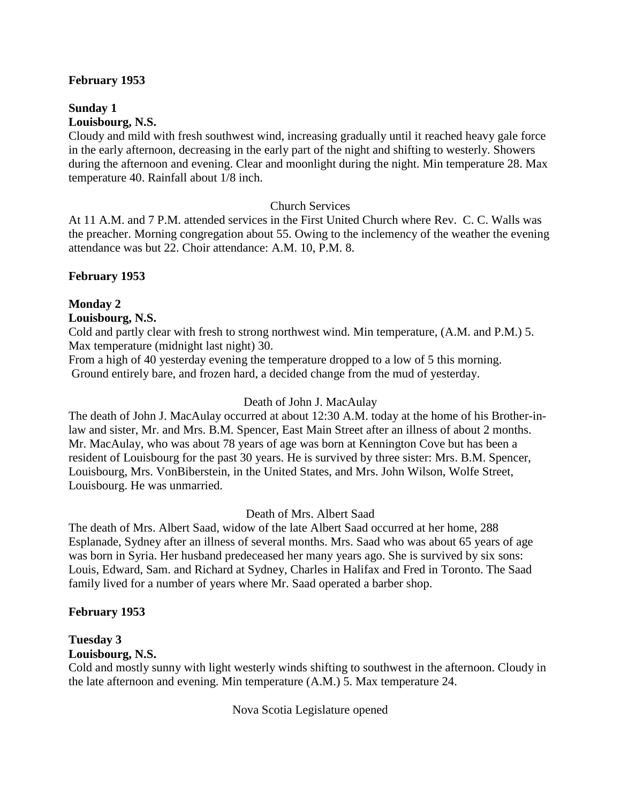#### **February 1953**

**Sunday 1 Louisbourg, N.S.**

Cloudy and mild with fresh southwest wind, increasing gradually until it reached heavy gale force in the early afternoon, decreasing in the early part of the night and shifting to westerly. Showers during the afternoon and evening. Clear and moonlight during the night. Min temperature 28. Max temperature 40. Rainfall about 1/8 inch.

#### Church Services

At 11 A.M. and 7 P.M. attended services in the First United Church where Rev. C. C. Walls was the preacher. Morning congregation about 55. Owing to the inclemency of the weather the evening attendance was but 22. Choir attendance: A.M. 10, P.M. 8.

#### **February 1953**

#### **Monday 2**

#### **Louisbourg, N.S.**

Cold and partly clear with fresh to strong northwest wind. Min temperature, (A.M. and P.M.) 5. Max temperature (midnight last night) 30.

From a high of 40 yesterday evening the temperature dropped to a low of 5 this morning. Ground entirely bare, and frozen hard, a decided change from the mud of yesterday.

#### Death of John J. MacAulay

The death of John J. MacAulay occurred at about 12:30 A.M. today at the home of his Brother-inlaw and sister, Mr. and Mrs. B.M. Spencer, East Main Street after an illness of about 2 months. Mr. MacAulay, who was about 78 years of age was born at Kennington Cove but has been a resident of Louisbourg for the past 30 years. He is survived by three sister: Mrs. B.M. Spencer, Louisbourg, Mrs. VonBiberstein, in the United States, and Mrs. John Wilson, Wolfe Street, Louisbourg. He was unmarried.

#### Death of Mrs. Albert Saad

The death of Mrs. Albert Saad, widow of the late Albert Saad occurred at her home, 288 Esplanade, Sydney after an illness of several months. Mrs. Saad who was about 65 years of age was born in Syria. Her husband predeceased her many years ago. She is survived by six sons: Louis, Edward, Sam. and Richard at Sydney, Charles in Halifax and Fred in Toronto. The Saad family lived for a number of years where Mr. Saad operated a barber shop.

#### **February 1953**

# **Tuesday 3**

# **Louisbourg, N.S.**

Cold and mostly sunny with light westerly winds shifting to southwest in the afternoon. Cloudy in the late afternoon and evening. Min temperature (A.M.) 5. Max temperature 24.

Nova Scotia Legislature opened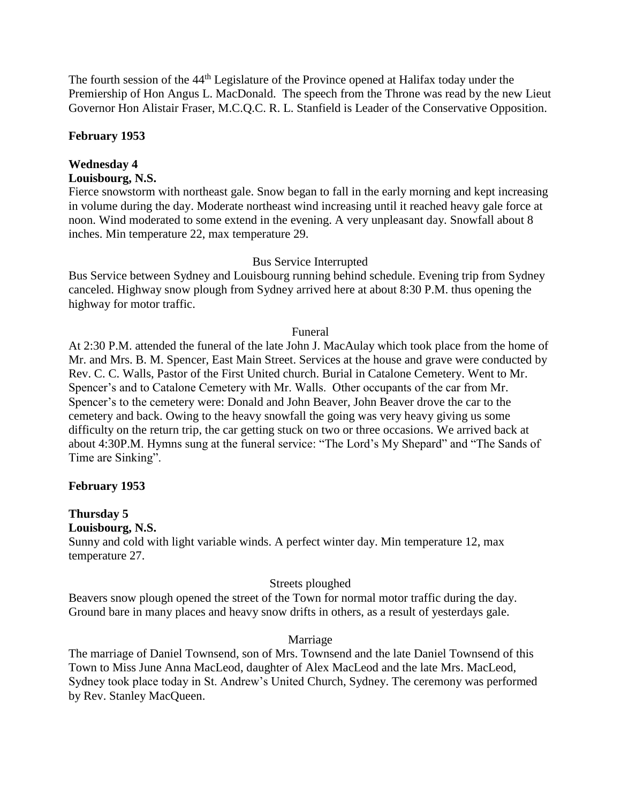The fourth session of the 44<sup>th</sup> Legislature of the Province opened at Halifax today under the Premiership of Hon Angus L. MacDonald. The speech from the Throne was read by the new Lieut Governor Hon Alistair Fraser, M.C.Q.C. R. L. Stanfield is Leader of the Conservative Opposition.

#### **February 1953**

# **Wednesday 4**

#### **Louisbourg, N.S.**

Fierce snowstorm with northeast gale. Snow began to fall in the early morning and kept increasing in volume during the day. Moderate northeast wind increasing until it reached heavy gale force at noon. Wind moderated to some extend in the evening. A very unpleasant day. Snowfall about 8 inches. Min temperature 22, max temperature 29.

#### Bus Service Interrupted

Bus Service between Sydney and Louisbourg running behind schedule. Evening trip from Sydney canceled. Highway snow plough from Sydney arrived here at about 8:30 P.M. thus opening the highway for motor traffic.

#### Funeral

At 2:30 P.M. attended the funeral of the late John J. MacAulay which took place from the home of Mr. and Mrs. B. M. Spencer, East Main Street. Services at the house and grave were conducted by Rev. C. C. Walls, Pastor of the First United church. Burial in Catalone Cemetery. Went to Mr. Spencer's and to Catalone Cemetery with Mr. Walls. Other occupants of the car from Mr. Spencer's to the cemetery were: Donald and John Beaver, John Beaver drove the car to the cemetery and back. Owing to the heavy snowfall the going was very heavy giving us some difficulty on the return trip, the car getting stuck on two or three occasions. We arrived back at about 4:30P.M. Hymns sung at the funeral service: "The Lord's My Shepard" and "The Sands of Time are Sinking".

#### **February 1953**

# **Thursday 5**

**Louisbourg, N.S.**

Sunny and cold with light variable winds. A perfect winter day. Min temperature 12, max temperature 27.

#### Streets ploughed

Beavers snow plough opened the street of the Town for normal motor traffic during the day. Ground bare in many places and heavy snow drifts in others, as a result of yesterdays gale.

#### Marriage

The marriage of Daniel Townsend, son of Mrs. Townsend and the late Daniel Townsend of this Town to Miss June Anna MacLeod, daughter of Alex MacLeod and the late Mrs. MacLeod, Sydney took place today in St. Andrew's United Church, Sydney. The ceremony was performed by Rev. Stanley MacQueen.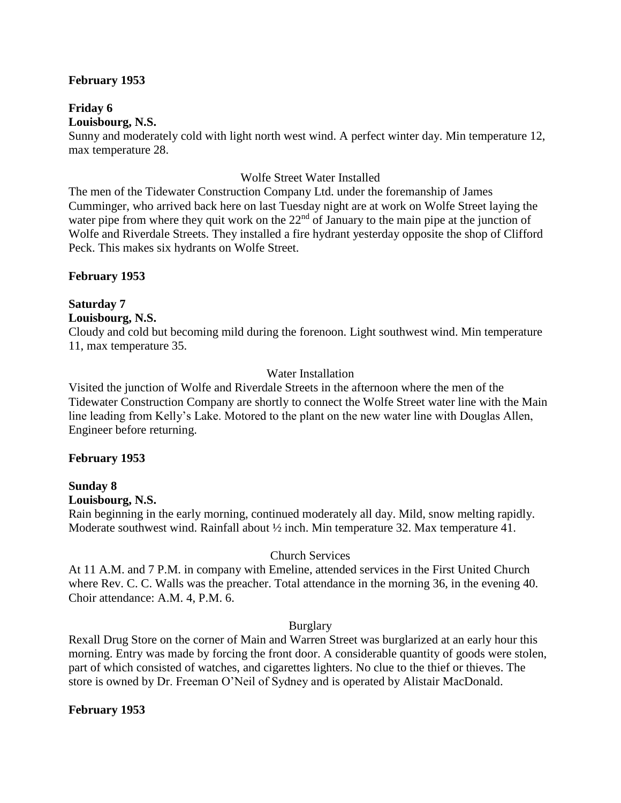#### **February 1953**

**Friday 6 Louisbourg, N.S.**

Sunny and moderately cold with light north west wind. A perfect winter day. Min temperature 12, max temperature 28.

#### Wolfe Street Water Installed

The men of the Tidewater Construction Company Ltd. under the foremanship of James Cumminger, who arrived back here on last Tuesday night are at work on Wolfe Street laying the water pipe from where they quit work on the  $22<sup>nd</sup>$  of January to the main pipe at the junction of Wolfe and Riverdale Streets. They installed a fire hydrant yesterday opposite the shop of Clifford Peck. This makes six hydrants on Wolfe Street.

#### **February 1953**

#### **Saturday 7**

#### **Louisbourg, N.S.**

Cloudy and cold but becoming mild during the forenoon. Light southwest wind. Min temperature 11, max temperature 35.

#### Water Installation

Visited the junction of Wolfe and Riverdale Streets in the afternoon where the men of the Tidewater Construction Company are shortly to connect the Wolfe Street water line with the Main line leading from Kelly's Lake. Motored to the plant on the new water line with Douglas Allen, Engineer before returning.

#### **February 1953**

#### **Sunday 8**

#### **Louisbourg, N.S.**

Rain beginning in the early morning, continued moderately all day. Mild, snow melting rapidly. Moderate southwest wind. Rainfall about  $\frac{1}{2}$  inch. Min temperature 32. Max temperature 41.

#### Church Services

At 11 A.M. and 7 P.M. in company with Emeline, attended services in the First United Church where Rev. C. C. Walls was the preacher. Total attendance in the morning 36, in the evening 40. Choir attendance: A.M. 4, P.M. 6.

#### Burglary

Rexall Drug Store on the corner of Main and Warren Street was burglarized at an early hour this morning. Entry was made by forcing the front door. A considerable quantity of goods were stolen, part of which consisted of watches, and cigarettes lighters. No clue to the thief or thieves. The store is owned by Dr. Freeman O'Neil of Sydney and is operated by Alistair MacDonald.

#### **February 1953**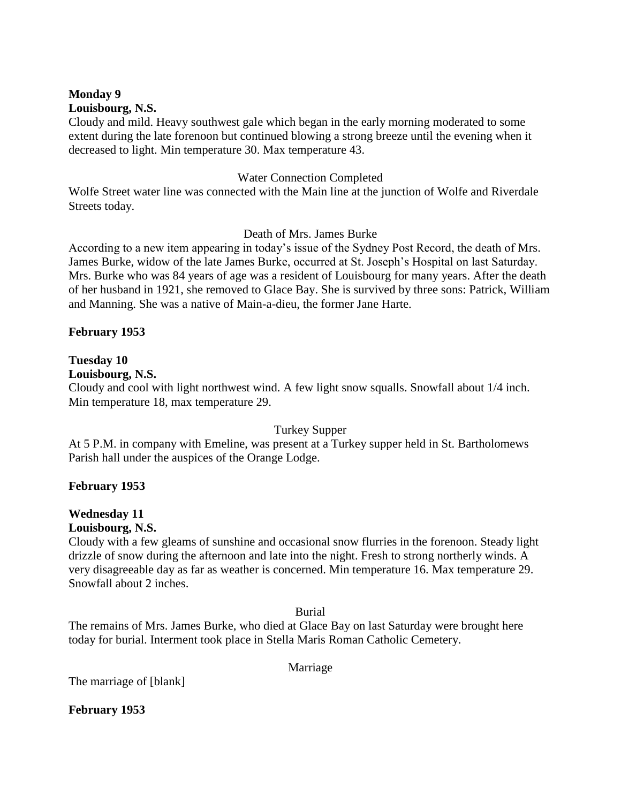#### **Monday 9 Louisbourg, N.S.**

Cloudy and mild. Heavy southwest gale which began in the early morning moderated to some extent during the late forenoon but continued blowing a strong breeze until the evening when it decreased to light. Min temperature 30. Max temperature 43.

# Water Connection Completed

Wolfe Street water line was connected with the Main line at the junction of Wolfe and Riverdale Streets today.

# Death of Mrs. James Burke

According to a new item appearing in today's issue of the Sydney Post Record, the death of Mrs. James Burke, widow of the late James Burke, occurred at St. Joseph's Hospital on last Saturday. Mrs. Burke who was 84 years of age was a resident of Louisbourg for many years. After the death of her husband in 1921, she removed to Glace Bay. She is survived by three sons: Patrick, William and Manning. She was a native of Main-a-dieu, the former Jane Harte.

# **February 1953**

# **Tuesday 10**

#### **Louisbourg, N.S.**

Cloudy and cool with light northwest wind. A few light snow squalls. Snowfall about 1/4 inch. Min temperature 18, max temperature 29.

#### Turkey Supper

At 5 P.M. in company with Emeline, was present at a Turkey supper held in St. Bartholomews Parish hall under the auspices of the Orange Lodge.

# **February 1953**

# **Wednesday 11**

# **Louisbourg, N.S.**

Cloudy with a few gleams of sunshine and occasional snow flurries in the forenoon. Steady light drizzle of snow during the afternoon and late into the night. Fresh to strong northerly winds. A very disagreeable day as far as weather is concerned. Min temperature 16. Max temperature 29. Snowfall about 2 inches.

Burial

The remains of Mrs. James Burke, who died at Glace Bay on last Saturday were brought here today for burial. Interment took place in Stella Maris Roman Catholic Cemetery.

Marriage

The marriage of [blank]

**February 1953**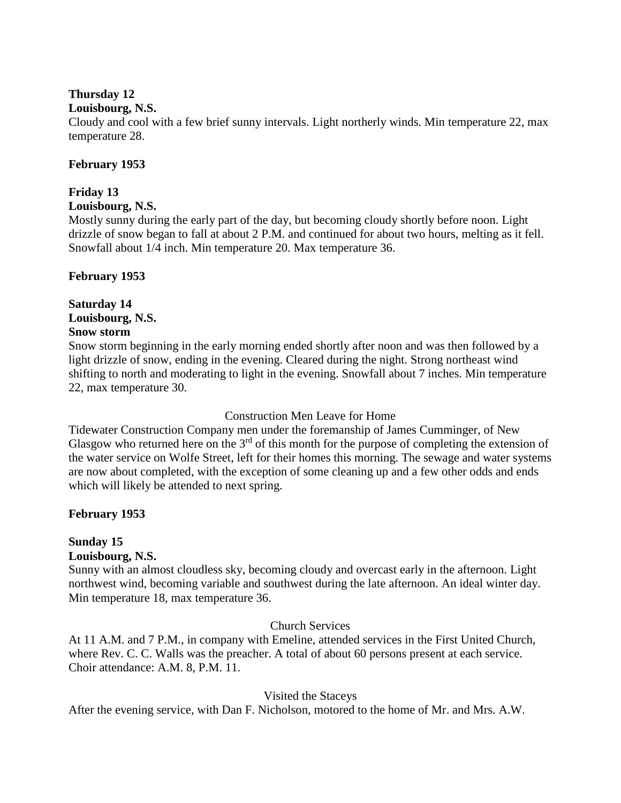# **Thursday 12**

#### **Louisbourg, N.S.**

Cloudy and cool with a few brief sunny intervals. Light northerly winds. Min temperature 22, max temperature 28.

#### **February 1953**

# **Friday 13**

#### **Louisbourg, N.S.**

Mostly sunny during the early part of the day, but becoming cloudy shortly before noon. Light drizzle of snow began to fall at about 2 P.M. and continued for about two hours, melting as it fell. Snowfall about 1/4 inch. Min temperature 20. Max temperature 36.

#### **February 1953**

# **Saturday 14 Louisbourg, N.S.**

#### **Snow storm**

Snow storm beginning in the early morning ended shortly after noon and was then followed by a light drizzle of snow, ending in the evening. Cleared during the night. Strong northeast wind shifting to north and moderating to light in the evening. Snowfall about 7 inches. Min temperature 22, max temperature 30.

#### Construction Men Leave for Home

Tidewater Construction Company men under the foremanship of James Cumminger, of New Glasgow who returned here on the  $3<sup>rd</sup>$  of this month for the purpose of completing the extension of the water service on Wolfe Street, left for their homes this morning. The sewage and water systems are now about completed, with the exception of some cleaning up and a few other odds and ends which will likely be attended to next spring.

# **February 1953**

# **Sunday 15**

#### **Louisbourg, N.S.**

Sunny with an almost cloudless sky, becoming cloudy and overcast early in the afternoon. Light northwest wind, becoming variable and southwest during the late afternoon. An ideal winter day. Min temperature 18, max temperature 36.

#### Church Services

At 11 A.M. and 7 P.M., in company with Emeline, attended services in the First United Church, where Rev. C. C. Walls was the preacher. A total of about 60 persons present at each service. Choir attendance: A.M. 8, P.M. 11.

# Visited the Staceys

After the evening service, with Dan F. Nicholson, motored to the home of Mr. and Mrs. A.W.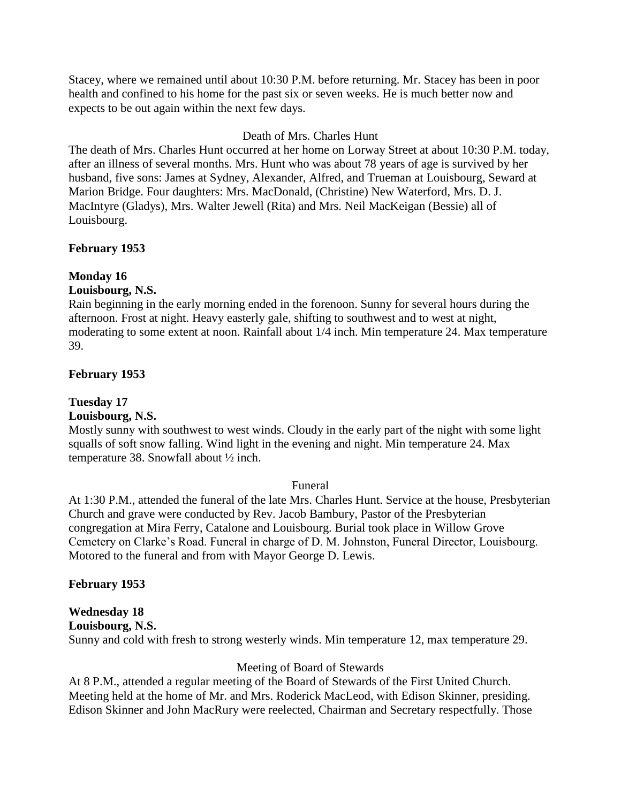Stacey, where we remained until about 10:30 P.M. before returning. Mr. Stacey has been in poor health and confined to his home for the past six or seven weeks. He is much better now and expects to be out again within the next few days.

# Death of Mrs. Charles Hunt

The death of Mrs. Charles Hunt occurred at her home on Lorway Street at about 10:30 P.M. today, after an illness of several months. Mrs. Hunt who was about 78 years of age is survived by her husband, five sons: James at Sydney, Alexander, Alfred, and Trueman at Louisbourg, Seward at Marion Bridge. Four daughters: Mrs. MacDonald, (Christine) New Waterford, Mrs. D. J. MacIntyre (Gladys), Mrs. Walter Jewell (Rita) and Mrs. Neil MacKeigan (Bessie) all of Louisbourg.

# **February 1953**

# **Monday 16**

# **Louisbourg, N.S.**

Rain beginning in the early morning ended in the forenoon. Sunny for several hours during the afternoon. Frost at night. Heavy easterly gale, shifting to southwest and to west at night, moderating to some extent at noon. Rainfall about 1/4 inch. Min temperature 24. Max temperature 39.

# **February 1953**

# **Tuesday 17**

# **Louisbourg, N.S.**

Mostly sunny with southwest to west winds. Cloudy in the early part of the night with some light squalls of soft snow falling. Wind light in the evening and night. Min temperature 24. Max temperature 38. Snowfall about ½ inch.

# Funeral

At 1:30 P.M., attended the funeral of the late Mrs. Charles Hunt. Service at the house, Presbyterian Church and grave were conducted by Rev. Jacob Bambury, Pastor of the Presbyterian congregation at Mira Ferry, Catalone and Louisbourg. Burial took place in Willow Grove Cemetery on Clarke's Road. Funeral in charge of D. M. Johnston, Funeral Director, Louisbourg. Motored to the funeral and from with Mayor George D. Lewis.

# **February 1953**

# **Wednesday 18**

**Louisbourg, N.S.** 

Sunny and cold with fresh to strong westerly winds. Min temperature 12, max temperature 29.

# Meeting of Board of Stewards

At 8 P.M., attended a regular meeting of the Board of Stewards of the First United Church. Meeting held at the home of Mr. and Mrs. Roderick MacLeod, with Edison Skinner, presiding. Edison Skinner and John MacRury were reelected, Chairman and Secretary respectfully. Those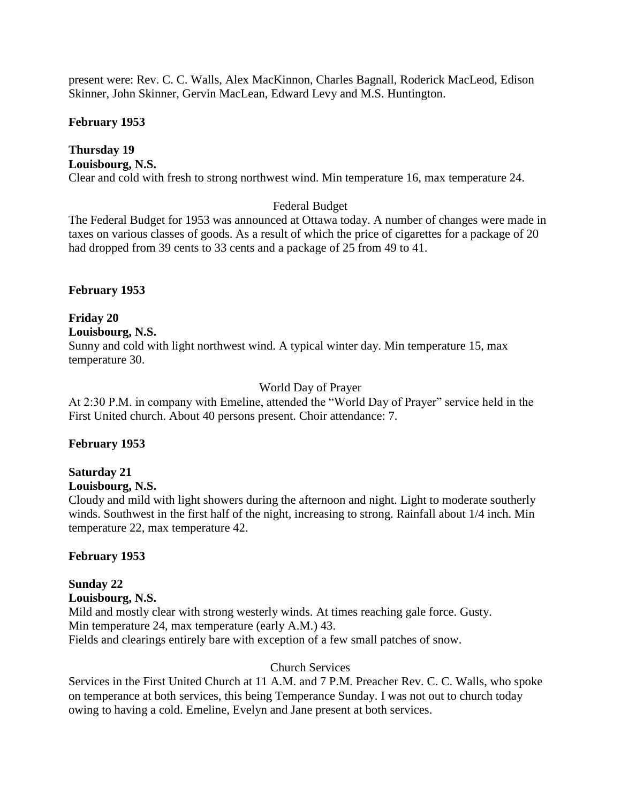present were: Rev. C. C. Walls, Alex MacKinnon, Charles Bagnall, Roderick MacLeod, Edison Skinner, John Skinner, Gervin MacLean, Edward Levy and M.S. Huntington.

#### **February 1953**

#### **Thursday 19 Louisbourg, N.S.**

Clear and cold with fresh to strong northwest wind. Min temperature 16, max temperature 24.

# Federal Budget

The Federal Budget for 1953 was announced at Ottawa today. A number of changes were made in taxes on various classes of goods. As a result of which the price of cigarettes for a package of 20 had dropped from 39 cents to 33 cents and a package of 25 from 49 to 41.

# **February 1953**

#### **Friday 20 Louisbourg, N.S.**  Sunny and cold with light northwest wind. A typical winter day. Min temperature 15, max temperature 30.

# World Day of Prayer

At 2:30 P.M. in company with Emeline, attended the "World Day of Prayer" service held in the First United church. About 40 persons present. Choir attendance: 7.

# **February 1953**

# **Saturday 21**

# **Louisbourg, N.S.**

Cloudy and mild with light showers during the afternoon and night. Light to moderate southerly winds. Southwest in the first half of the night, increasing to strong. Rainfall about 1/4 inch. Min temperature 22, max temperature 42.

# **February 1953**

# **Sunday 22**

**Louisbourg, N.S.** 

Mild and mostly clear with strong westerly winds. At times reaching gale force. Gusty. Min temperature 24, max temperature (early A.M.) 43. Fields and clearings entirely bare with exception of a few small patches of snow.

# Church Services

Services in the First United Church at 11 A.M. and 7 P.M. Preacher Rev. C. C. Walls, who spoke on temperance at both services, this being Temperance Sunday. I was not out to church today owing to having a cold. Emeline, Evelyn and Jane present at both services.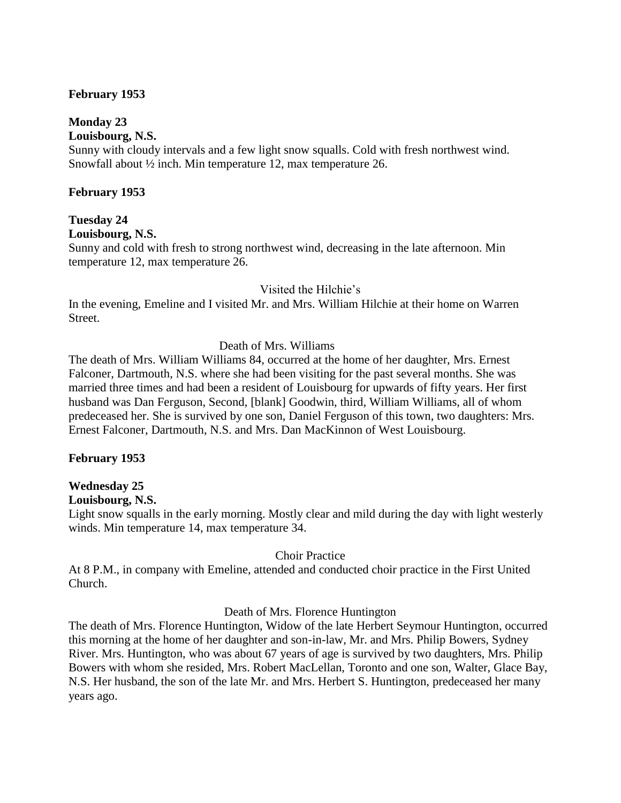#### **February 1953**

#### **Monday 23**

**Louisbourg, N.S.** 

Sunny with cloudy intervals and a few light snow squalls. Cold with fresh northwest wind. Snowfall about ½ inch. Min temperature 12, max temperature 26.

#### **February 1953**

# **Tuesday 24**

**Louisbourg, N.S.** 

Sunny and cold with fresh to strong northwest wind, decreasing in the late afternoon. Min temperature 12, max temperature 26.

#### Visited the Hilchie's

In the evening, Emeline and I visited Mr. and Mrs. William Hilchie at their home on Warren Street.

# Death of Mrs. Williams

The death of Mrs. William Williams 84, occurred at the home of her daughter, Mrs. Ernest Falconer, Dartmouth, N.S. where she had been visiting for the past several months. She was married three times and had been a resident of Louisbourg for upwards of fifty years. Her first husband was Dan Ferguson, Second, [blank] Goodwin, third, William Williams, all of whom predeceased her. She is survived by one son, Daniel Ferguson of this town, two daughters: Mrs. Ernest Falconer, Dartmouth, N.S. and Mrs. Dan MacKinnon of West Louisbourg.

#### **February 1953**

# **Wednesday 25**

#### **Louisbourg, N.S.**

Light snow squalls in the early morning. Mostly clear and mild during the day with light westerly winds. Min temperature 14, max temperature 34.

#### Choir Practice

At 8 P.M., in company with Emeline, attended and conducted choir practice in the First United Church.

#### Death of Mrs. Florence Huntington

The death of Mrs. Florence Huntington, Widow of the late Herbert Seymour Huntington, occurred this morning at the home of her daughter and son-in-law, Mr. and Mrs. Philip Bowers, Sydney River. Mrs. Huntington, who was about 67 years of age is survived by two daughters, Mrs. Philip Bowers with whom she resided, Mrs. Robert MacLellan, Toronto and one son, Walter, Glace Bay, N.S. Her husband, the son of the late Mr. and Mrs. Herbert S. Huntington, predeceased her many years ago.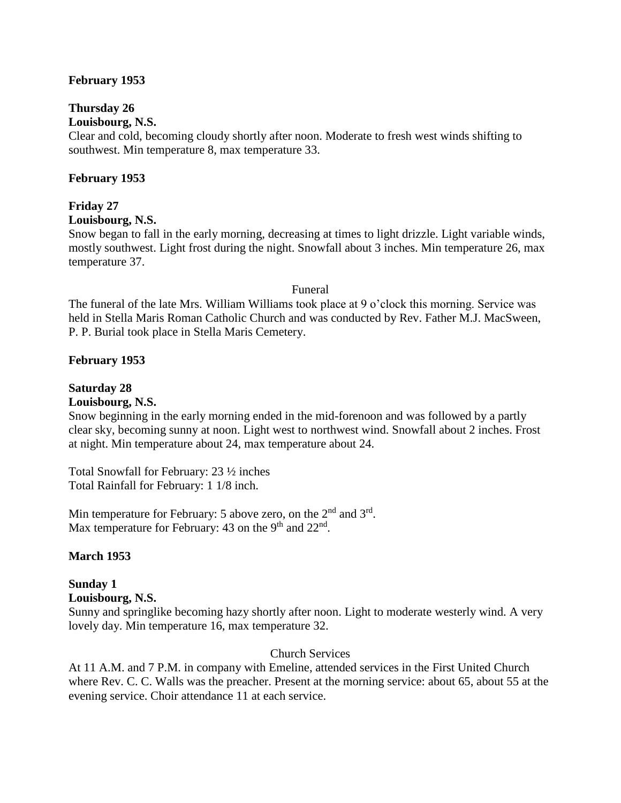#### **February 1953**

# **Thursday 26**

# **Louisbourg, N.S.**

Clear and cold, becoming cloudy shortly after noon. Moderate to fresh west winds shifting to southwest. Min temperature 8, max temperature 33.

# **February 1953**

# **Friday 27**

#### **Louisbourg, N.S.**

Snow began to fall in the early morning, decreasing at times to light drizzle. Light variable winds, mostly southwest. Light frost during the night. Snowfall about 3 inches. Min temperature 26, max temperature 37.

#### Funeral

The funeral of the late Mrs. William Williams took place at 9 o'clock this morning. Service was held in Stella Maris Roman Catholic Church and was conducted by Rev. Father M.J. MacSween, P. P. Burial took place in Stella Maris Cemetery.

#### **February 1953**

# **Saturday 28**

#### **Louisbourg, N.S.**

Snow beginning in the early morning ended in the mid-forenoon and was followed by a partly clear sky, becoming sunny at noon. Light west to northwest wind. Snowfall about 2 inches. Frost at night. Min temperature about 24, max temperature about 24.

Total Snowfall for February: 23 ½ inches Total Rainfall for February: 1 1/8 inch.

Min temperature for February: 5 above zero, on the  $2<sup>nd</sup>$  and  $3<sup>rd</sup>$ . Max temperature for February: 43 on the 9<sup>th</sup> and  $22<sup>nd</sup>$ .

# **March 1953**

# **Sunday 1**

#### **Louisbourg, N.S.**

Sunny and springlike becoming hazy shortly after noon. Light to moderate westerly wind. A very lovely day. Min temperature 16, max temperature 32.

# Church Services

At 11 A.M. and 7 P.M. in company with Emeline, attended services in the First United Church where Rev. C. C. Walls was the preacher. Present at the morning service: about 65, about 55 at the evening service. Choir attendance 11 at each service.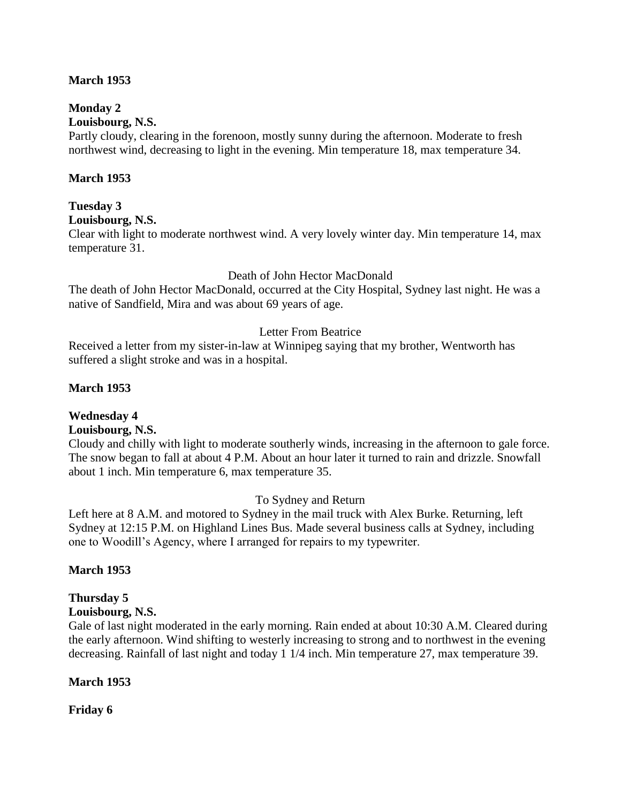#### **March 1953**

# **Monday 2**

# **Louisbourg, N.S.**

Partly cloudy, clearing in the forenoon, mostly sunny during the afternoon. Moderate to fresh northwest wind, decreasing to light in the evening. Min temperature 18, max temperature 34.

#### **March 1953**

# **Tuesday 3**

**Louisbourg, N.S.**

Clear with light to moderate northwest wind. A very lovely winter day. Min temperature 14, max temperature 31.

#### Death of John Hector MacDonald

The death of John Hector MacDonald, occurred at the City Hospital, Sydney last night. He was a native of Sandfield, Mira and was about 69 years of age.

#### Letter From Beatrice

Received a letter from my sister-in-law at Winnipeg saying that my brother, Wentworth has suffered a slight stroke and was in a hospital.

#### **March 1953**

# **Wednesday 4**

#### **Louisbourg, N.S.**

Cloudy and chilly with light to moderate southerly winds, increasing in the afternoon to gale force. The snow began to fall at about 4 P.M. About an hour later it turned to rain and drizzle. Snowfall about 1 inch. Min temperature 6, max temperature 35.

#### To Sydney and Return

Left here at 8 A.M. and motored to Sydney in the mail truck with Alex Burke. Returning, left Sydney at 12:15 P.M. on Highland Lines Bus. Made several business calls at Sydney, including one to Woodill's Agency, where I arranged for repairs to my typewriter.

#### **March 1953**

# **Thursday 5**

# **Louisbourg, N.S.**

Gale of last night moderated in the early morning. Rain ended at about 10:30 A.M. Cleared during the early afternoon. Wind shifting to westerly increasing to strong and to northwest in the evening decreasing. Rainfall of last night and today 1 1/4 inch. Min temperature 27, max temperature 39.

#### **March 1953**

**Friday 6**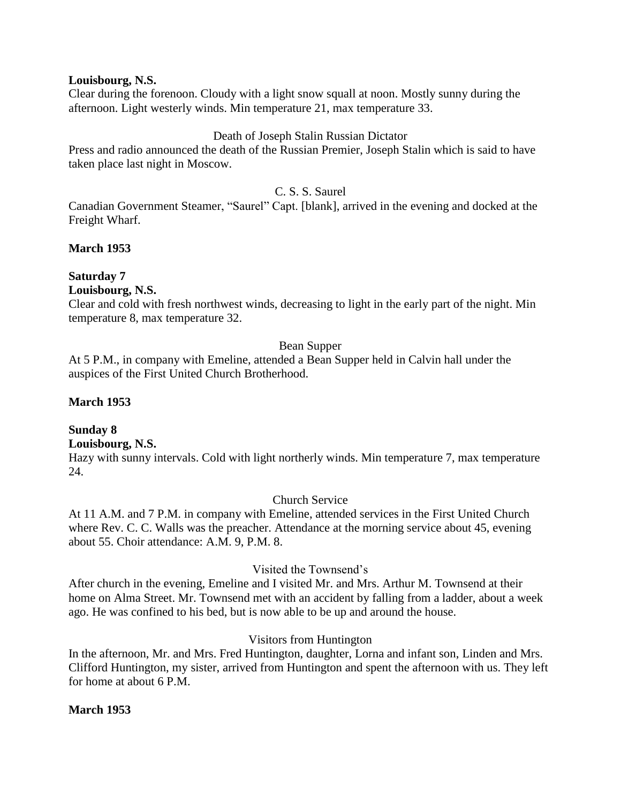#### **Louisbourg, N.S.**

Clear during the forenoon. Cloudy with a light snow squall at noon. Mostly sunny during the afternoon. Light westerly winds. Min temperature 21, max temperature 33.

#### Death of Joseph Stalin Russian Dictator

Press and radio announced the death of the Russian Premier, Joseph Stalin which is said to have taken place last night in Moscow.

# C. S. S. Saurel

Canadian Government Steamer, "Saurel" Capt. [blank], arrived in the evening and docked at the Freight Wharf.

#### **March 1953**

#### **Saturday 7**

#### **Louisbourg, N.S.**

Clear and cold with fresh northwest winds, decreasing to light in the early part of the night. Min temperature 8, max temperature 32.

#### Bean Supper

At 5 P.M., in company with Emeline, attended a Bean Supper held in Calvin hall under the auspices of the First United Church Brotherhood.

#### **March 1953**

# **Sunday 8**

# **Louisbourg, N.S.**

Hazy with sunny intervals. Cold with light northerly winds. Min temperature 7, max temperature 24.

#### Church Service

At 11 A.M. and 7 P.M. in company with Emeline, attended services in the First United Church where Rev. C. C. Walls was the preacher. Attendance at the morning service about 45, evening about 55. Choir attendance: A.M. 9, P.M. 8.

#### Visited the Townsend's

After church in the evening, Emeline and I visited Mr. and Mrs. Arthur M. Townsend at their home on Alma Street. Mr. Townsend met with an accident by falling from a ladder, about a week ago. He was confined to his bed, but is now able to be up and around the house.

#### Visitors from Huntington

In the afternoon, Mr. and Mrs. Fred Huntington, daughter, Lorna and infant son, Linden and Mrs. Clifford Huntington, my sister, arrived from Huntington and spent the afternoon with us. They left for home at about 6 P.M.

#### **March 1953**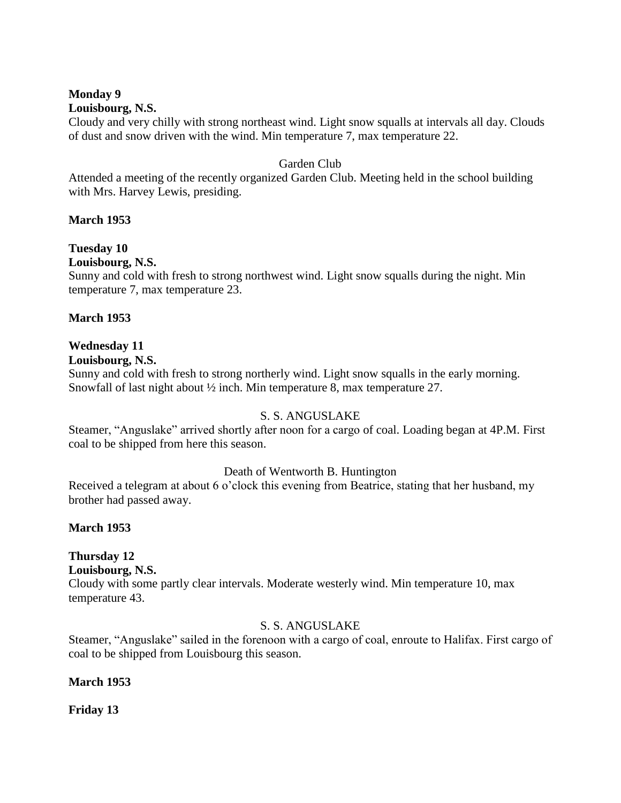#### **Monday 9 Louisbourg, N.S.**

Cloudy and very chilly with strong northeast wind. Light snow squalls at intervals all day. Clouds of dust and snow driven with the wind. Min temperature 7, max temperature 22.

# Garden Club

Attended a meeting of the recently organized Garden Club. Meeting held in the school building with Mrs. Harvey Lewis, presiding.

# **March 1953**

# **Tuesday 10**

# **Louisbourg, N.S.**

Sunny and cold with fresh to strong northwest wind. Light snow squalls during the night. Min temperature 7, max temperature 23.

# **March 1953**

# **Wednesday 11**

# **Louisbourg, N.S.**

Sunny and cold with fresh to strong northerly wind. Light snow squalls in the early morning. Snowfall of last night about  $\frac{1}{2}$  inch. Min temperature 8, max temperature 27.

# S. S. ANGUSLAKE

Steamer, "Anguslake" arrived shortly after noon for a cargo of coal. Loading began at 4P.M. First coal to be shipped from here this season.

# Death of Wentworth B. Huntington

Received a telegram at about 6 o'clock this evening from Beatrice, stating that her husband, my brother had passed away.

# **March 1953**

# **Thursday 12**

**Louisbourg, N.S.**

Cloudy with some partly clear intervals. Moderate westerly wind. Min temperature 10, max temperature 43.

# S. S. ANGUSLAKE

Steamer, "Anguslake" sailed in the forenoon with a cargo of coal, enroute to Halifax. First cargo of coal to be shipped from Louisbourg this season.

# **March 1953**

**Friday 13**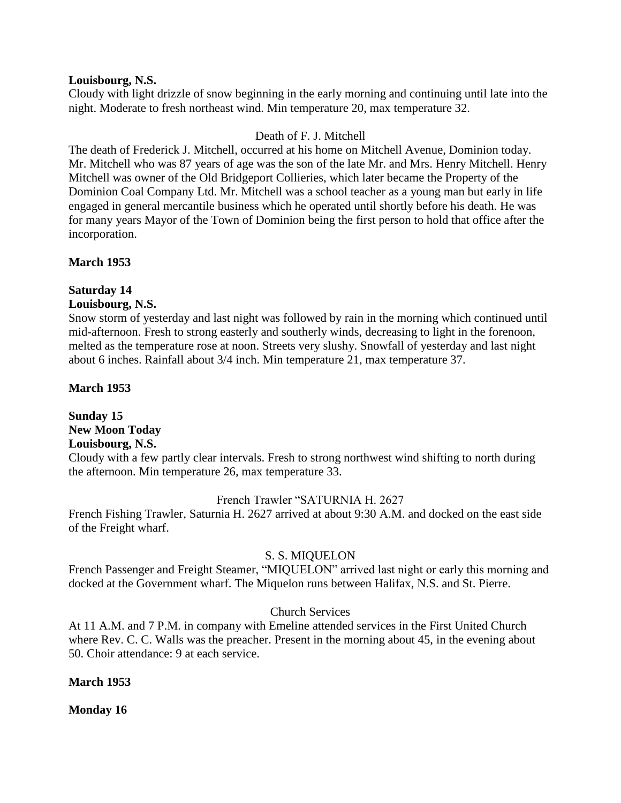#### **Louisbourg, N.S.**

Cloudy with light drizzle of snow beginning in the early morning and continuing until late into the night. Moderate to fresh northeast wind. Min temperature 20, max temperature 32.

#### Death of F. J. Mitchell

The death of Frederick J. Mitchell, occurred at his home on Mitchell Avenue, Dominion today. Mr. Mitchell who was 87 years of age was the son of the late Mr. and Mrs. Henry Mitchell. Henry Mitchell was owner of the Old Bridgeport Collieries, which later became the Property of the Dominion Coal Company Ltd. Mr. Mitchell was a school teacher as a young man but early in life engaged in general mercantile business which he operated until shortly before his death. He was for many years Mayor of the Town of Dominion being the first person to hold that office after the incorporation.

#### **March 1953**

# **Saturday 14**

# **Louisbourg, N.S.**

Snow storm of yesterday and last night was followed by rain in the morning which continued until mid-afternoon. Fresh to strong easterly and southerly winds, decreasing to light in the forenoon, melted as the temperature rose at noon. Streets very slushy. Snowfall of yesterday and last night about 6 inches. Rainfall about 3/4 inch. Min temperature 21, max temperature 37.

**March 1953**

# **Sunday 15 New Moon Today Louisbourg, N.S.**

Cloudy with a few partly clear intervals. Fresh to strong northwest wind shifting to north during the afternoon. Min temperature 26, max temperature 33.

#### French Trawler "SATURNIA H. 2627

French Fishing Trawler, Saturnia H. 2627 arrived at about 9:30 A.M. and docked on the east side of the Freight wharf.

#### S. S. MIQUELON

French Passenger and Freight Steamer, "MIQUELON" arrived last night or early this morning and docked at the Government wharf. The Miquelon runs between Halifax, N.S. and St. Pierre.

# Church Services

At 11 A.M. and 7 P.M. in company with Emeline attended services in the First United Church where Rev. C. C. Walls was the preacher. Present in the morning about 45, in the evening about 50. Choir attendance: 9 at each service.

#### **March 1953**

**Monday 16**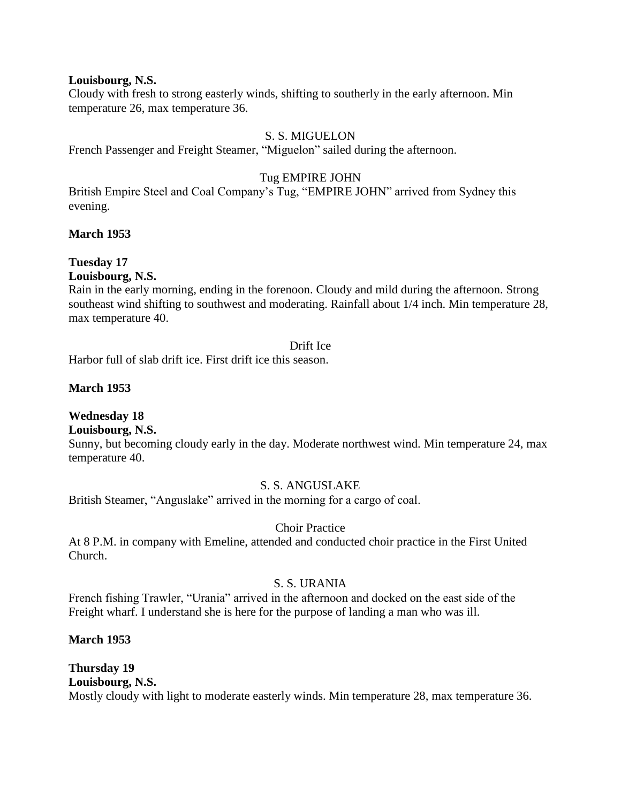#### **Louisbourg, N.S.**

Cloudy with fresh to strong easterly winds, shifting to southerly in the early afternoon. Min temperature 26, max temperature 36.

#### S. S. MIGUELON

French Passenger and Freight Steamer, "Miguelon" sailed during the afternoon.

#### Tug EMPIRE JOHN

British Empire Steel and Coal Company's Tug, "EMPIRE JOHN" arrived from Sydney this evening.

#### **March 1953**

# **Tuesday 17**

**Louisbourg, N.S.**

Rain in the early morning, ending in the forenoon. Cloudy and mild during the afternoon. Strong southeast wind shifting to southwest and moderating. Rainfall about 1/4 inch. Min temperature 28, max temperature 40.

#### Drift Ice

Harbor full of slab drift ice. First drift ice this season.

#### **March 1953**

# **Wednesday 18**

# **Louisbourg, N.S.**

Sunny, but becoming cloudy early in the day. Moderate northwest wind. Min temperature 24, max temperature 40.

#### S. S. ANGUSLAKE

British Steamer, "Anguslake" arrived in the morning for a cargo of coal.

# Choir Practice

At 8 P.M. in company with Emeline, attended and conducted choir practice in the First United Church.

#### S. S. URANIA

French fishing Trawler, "Urania" arrived in the afternoon and docked on the east side of the Freight wharf. I understand she is here for the purpose of landing a man who was ill.

#### **March 1953**

**Thursday 19 Louisbourg, N.S.** Mostly cloudy with light to moderate easterly winds. Min temperature 28, max temperature 36.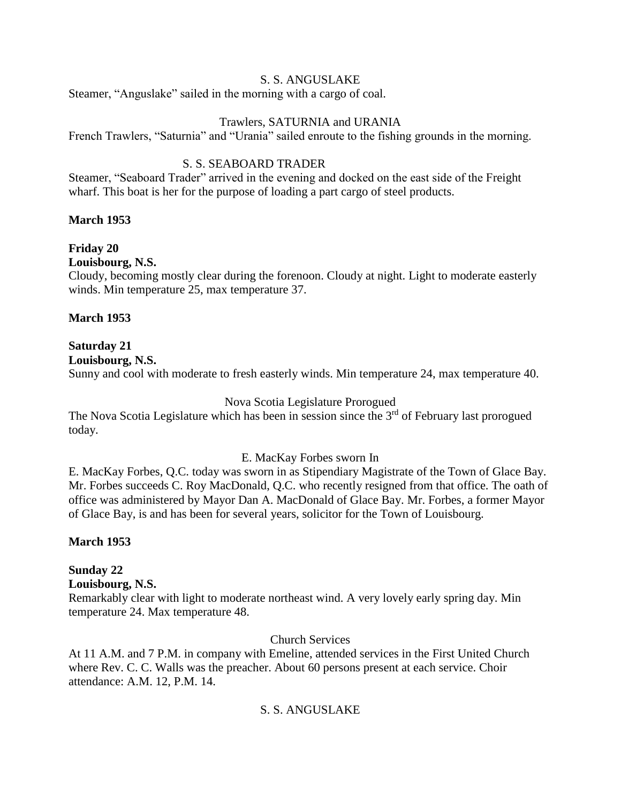#### S. S. ANGUSLAKE

Steamer, "Anguslake" sailed in the morning with a cargo of coal.

#### Trawlers, SATURNIA and URANIA

French Trawlers, "Saturnia" and "Urania" sailed enroute to the fishing grounds in the morning.

# S. S. SEABOARD TRADER

Steamer, "Seaboard Trader" arrived in the evening and docked on the east side of the Freight wharf. This boat is her for the purpose of loading a part cargo of steel products.

#### **March 1953**

**Friday 20**

**Louisbourg, N.S.**

Cloudy, becoming mostly clear during the forenoon. Cloudy at night. Light to moderate easterly winds. Min temperature 25, max temperature 37.

#### **March 1953**

# **Saturday 21**

**Louisbourg, N.S.**

Sunny and cool with moderate to fresh easterly winds. Min temperature 24, max temperature 40.

#### Nova Scotia Legislature Prorogued

The Nova Scotia Legislature which has been in session since the 3<sup>rd</sup> of February last prorogued today.

#### E. MacKay Forbes sworn In

E. MacKay Forbes, Q.C. today was sworn in as Stipendiary Magistrate of the Town of Glace Bay. Mr. Forbes succeeds C. Roy MacDonald, Q.C. who recently resigned from that office. The oath of office was administered by Mayor Dan A. MacDonald of Glace Bay. Mr. Forbes, a former Mayor of Glace Bay, is and has been for several years, solicitor for the Town of Louisbourg.

# **March 1953**

# **Sunday 22**

#### **Louisbourg, N.S.**

Remarkably clear with light to moderate northeast wind. A very lovely early spring day. Min temperature 24. Max temperature 48.

#### Church Services

At 11 A.M. and 7 P.M. in company with Emeline, attended services in the First United Church where Rev. C. C. Walls was the preacher. About 60 persons present at each service. Choir attendance: A.M. 12, P.M. 14.

# S. S. ANGUSLAKE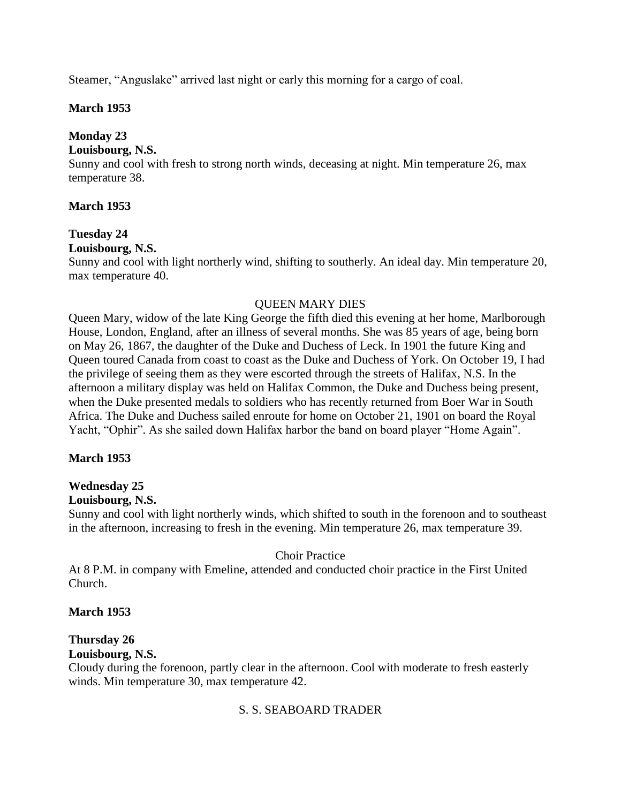Steamer, "Anguslake" arrived last night or early this morning for a cargo of coal.

# **March 1953**

# **Monday 23**

#### **Louisbourg, N.S.**

Sunny and cool with fresh to strong north winds, deceasing at night. Min temperature 26, max temperature 38.

# **March 1953**

# **Tuesday 24**

# **Louisbourg, N.S.**

Sunny and cool with light northerly wind, shifting to southerly. An ideal day. Min temperature 20, max temperature 40.

# QUEEN MARY DIES

Queen Mary, widow of the late King George the fifth died this evening at her home, Marlborough House, London, England, after an illness of several months. She was 85 years of age, being born on May 26, 1867, the daughter of the Duke and Duchess of Leck. In 1901 the future King and Queen toured Canada from coast to coast as the Duke and Duchess of York. On October 19, I had the privilege of seeing them as they were escorted through the streets of Halifax, N.S. In the afternoon a military display was held on Halifax Common, the Duke and Duchess being present, when the Duke presented medals to soldiers who has recently returned from Boer War in South Africa. The Duke and Duchess sailed enroute for home on October 21, 1901 on board the Royal Yacht, "Ophir". As she sailed down Halifax harbor the band on board player "Home Again".

# **March 1953**

# **Wednesday 25**

#### **Louisbourg, N.S.**

Sunny and cool with light northerly winds, which shifted to south in the forenoon and to southeast in the afternoon, increasing to fresh in the evening. Min temperature 26, max temperature 39.

#### Choir Practice

At 8 P.M. in company with Emeline, attended and conducted choir practice in the First United Church.

#### **March 1953**

# **Thursday 26**

#### **Louisbourg, N.S.**

Cloudy during the forenoon, partly clear in the afternoon. Cool with moderate to fresh easterly winds. Min temperature 30, max temperature 42.

# S. S. SEABOARD TRADER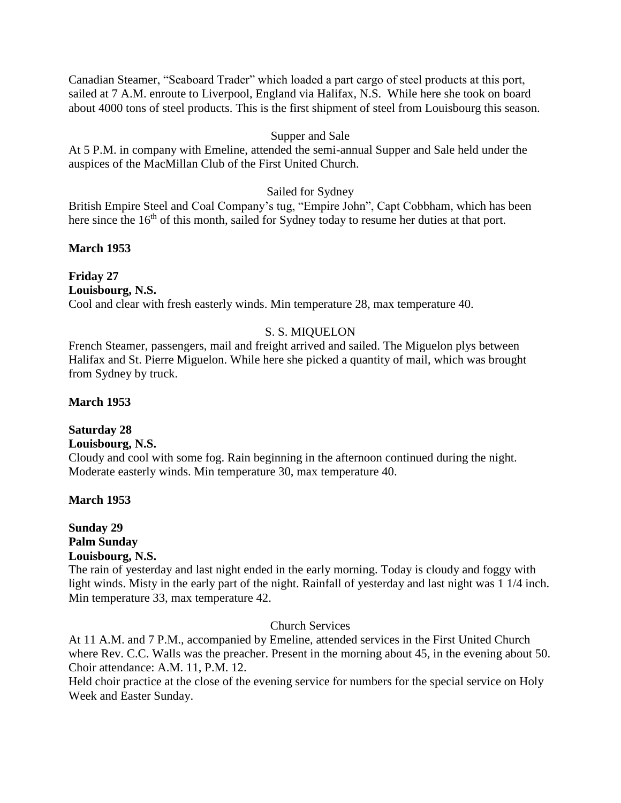Canadian Steamer, "Seaboard Trader" which loaded a part cargo of steel products at this port, sailed at 7 A.M. enroute to Liverpool, England via Halifax, N.S. While here she took on board about 4000 tons of steel products. This is the first shipment of steel from Louisbourg this season.

#### Supper and Sale

At 5 P.M. in company with Emeline, attended the semi-annual Supper and Sale held under the auspices of the MacMillan Club of the First United Church.

#### Sailed for Sydney

British Empire Steel and Coal Company's tug, "Empire John", Capt Cobbham, which has been here since the 16<sup>th</sup> of this month, sailed for Sydney today to resume her duties at that port.

#### **March 1953**

**Friday 27 Louisbourg, N.S.** Cool and clear with fresh easterly winds. Min temperature 28, max temperature 40.

# S. S. MIQUELON

French Steamer, passengers, mail and freight arrived and sailed. The Miguelon plys between Halifax and St. Pierre Miguelon. While here she picked a quantity of mail, which was brought from Sydney by truck.

#### **March 1953**

# **Saturday 28**

# **Louisbourg, N.S.**

Cloudy and cool with some fog. Rain beginning in the afternoon continued during the night. Moderate easterly winds. Min temperature 30, max temperature 40.

#### **March 1953**

#### **Sunday 29 Palm Sunday Louisbourg, N.S.**

The rain of yesterday and last night ended in the early morning. Today is cloudy and foggy with light winds. Misty in the early part of the night. Rainfall of yesterday and last night was 1 1/4 inch. Min temperature 33, max temperature 42.

#### Church Services

At 11 A.M. and 7 P.M., accompanied by Emeline, attended services in the First United Church where Rev. C.C. Walls was the preacher. Present in the morning about 45, in the evening about 50. Choir attendance: A.M. 11, P.M. 12.

Held choir practice at the close of the evening service for numbers for the special service on Holy Week and Easter Sunday.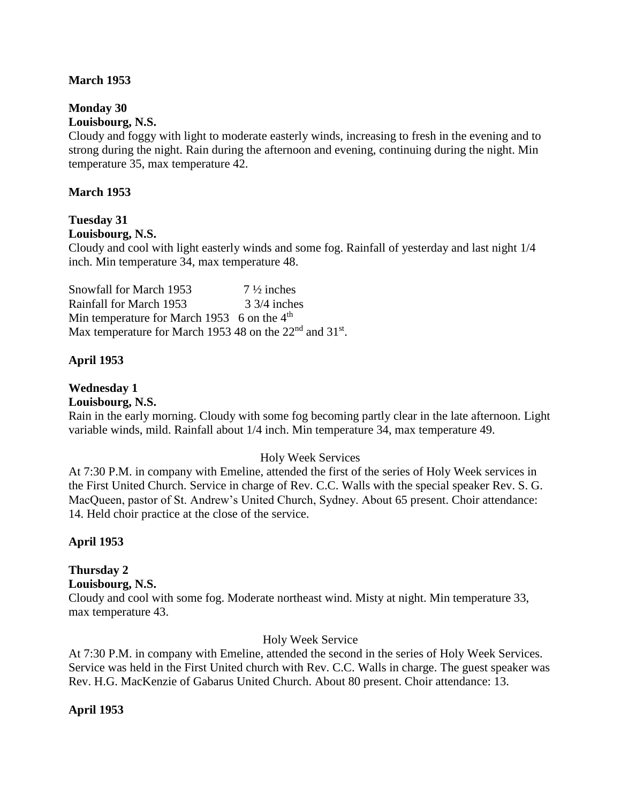#### **March 1953**

# **Monday 30**

# **Louisbourg, N.S.**

Cloudy and foggy with light to moderate easterly winds, increasing to fresh in the evening and to strong during the night. Rain during the afternoon and evening, continuing during the night. Min temperature 35, max temperature 42.

#### **March 1953**

# **Tuesday 31**

#### **Louisbourg, N.S.**

Cloudy and cool with light easterly winds and some fog. Rainfall of yesterday and last night 1/4 inch. Min temperature 34, max temperature 48.

Snowfall for March 1953 7 <sup>1</sup>/<sub>2</sub> inches Rainfall for March 1953 33/4 inches Min temperature for March 1953 6 on the  $4<sup>th</sup>$ Max temperature for March 1953 48 on the  $22<sup>nd</sup>$  and  $31<sup>st</sup>$ .

# **April 1953**

# **Wednesday 1**

**Louisbourg, N.S.**

Rain in the early morning. Cloudy with some fog becoming partly clear in the late afternoon. Light variable winds, mild. Rainfall about 1/4 inch. Min temperature 34, max temperature 49.

#### Holy Week Services

At 7:30 P.M. in company with Emeline, attended the first of the series of Holy Week services in the First United Church. Service in charge of Rev. C.C. Walls with the special speaker Rev. S. G. MacQueen, pastor of St. Andrew's United Church, Sydney. About 65 present. Choir attendance: 14. Held choir practice at the close of the service.

# **April 1953**

# **Thursday 2**

# **Louisbourg, N.S.**

Cloudy and cool with some fog. Moderate northeast wind. Misty at night. Min temperature 33, max temperature 43.

#### Holy Week Service

At 7:30 P.M. in company with Emeline, attended the second in the series of Holy Week Services. Service was held in the First United church with Rev. C.C. Walls in charge. The guest speaker was Rev. H.G. MacKenzie of Gabarus United Church. About 80 present. Choir attendance: 13.

# **April 1953**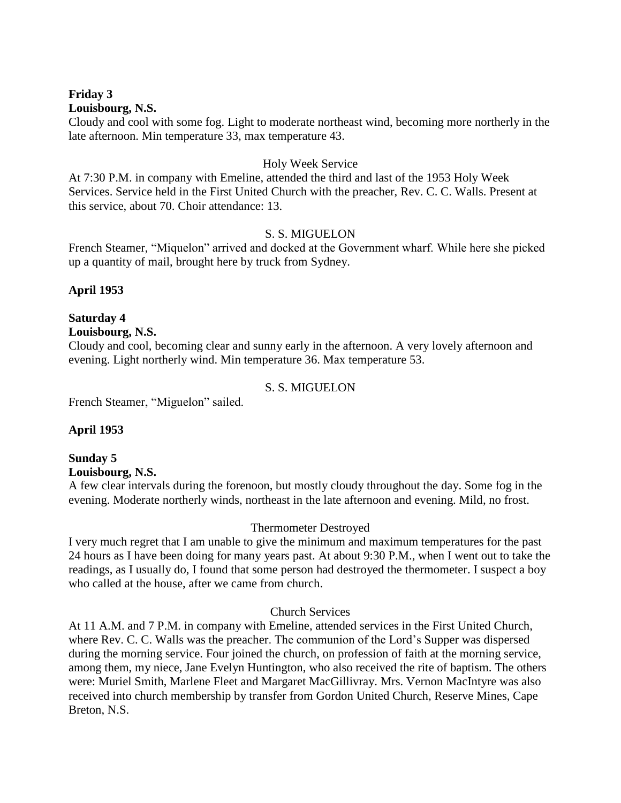#### **Friday 3 Louisbourg, N.S.**

Cloudy and cool with some fog. Light to moderate northeast wind, becoming more northerly in the late afternoon. Min temperature 33, max temperature 43.

#### Holy Week Service

At 7:30 P.M. in company with Emeline, attended the third and last of the 1953 Holy Week Services. Service held in the First United Church with the preacher, Rev. C. C. Walls. Present at this service, about 70. Choir attendance: 13.

#### S. S. MIGUELON

French Steamer, "Miquelon" arrived and docked at the Government wharf. While here she picked up a quantity of mail, brought here by truck from Sydney.

# **April 1953**

# **Saturday 4**

# **Louisbourg, N.S.**

Cloudy and cool, becoming clear and sunny early in the afternoon. A very lovely afternoon and evening. Light northerly wind. Min temperature 36. Max temperature 53.

#### S. S. MIGUELON

French Steamer, "Miguelon" sailed.

# **April 1953**

#### **Sunday 5 Louisbourg, N.S.**

A few clear intervals during the forenoon, but mostly cloudy throughout the day. Some fog in the evening. Moderate northerly winds, northeast in the late afternoon and evening. Mild, no frost.

# Thermometer Destroyed

I very much regret that I am unable to give the minimum and maximum temperatures for the past 24 hours as I have been doing for many years past. At about 9:30 P.M., when I went out to take the readings, as I usually do, I found that some person had destroyed the thermometer. I suspect a boy who called at the house, after we came from church.

#### Church Services

At 11 A.M. and 7 P.M. in company with Emeline, attended services in the First United Church, where Rev. C. C. Walls was the preacher. The communion of the Lord's Supper was dispersed during the morning service. Four joined the church, on profession of faith at the morning service, among them, my niece, Jane Evelyn Huntington, who also received the rite of baptism. The others were: Muriel Smith, Marlene Fleet and Margaret MacGillivray. Mrs. Vernon MacIntyre was also received into church membership by transfer from Gordon United Church, Reserve Mines, Cape Breton, N.S.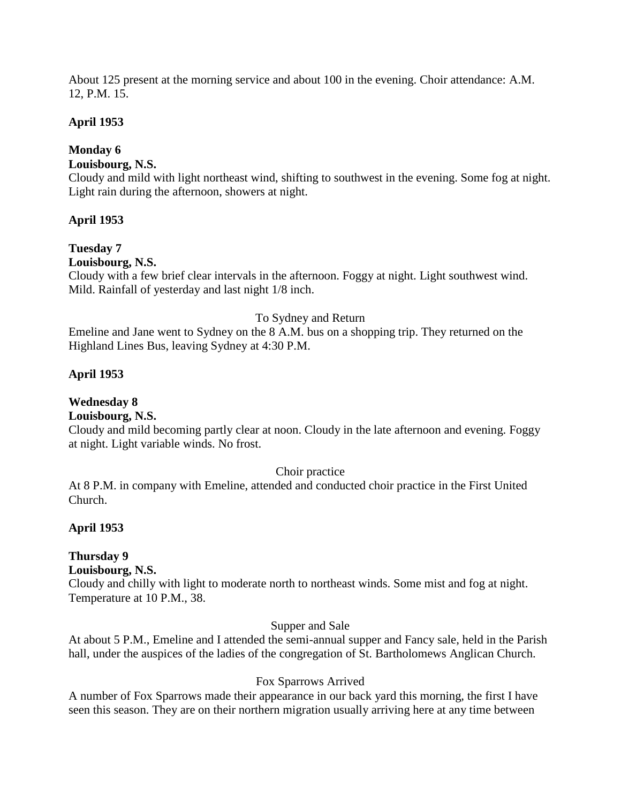About 125 present at the morning service and about 100 in the evening. Choir attendance: A.M. 12, P.M. 15.

# **April 1953**

# **Monday 6**

# **Louisbourg, N.S.**

Cloudy and mild with light northeast wind, shifting to southwest in the evening. Some fog at night. Light rain during the afternoon, showers at night.

# **April 1953**

# **Tuesday 7**

**Louisbourg, N.S.**

Cloudy with a few brief clear intervals in the afternoon. Foggy at night. Light southwest wind. Mild. Rainfall of yesterday and last night 1/8 inch.

# To Sydney and Return

Emeline and Jane went to Sydney on the 8 A.M. bus on a shopping trip. They returned on the Highland Lines Bus, leaving Sydney at 4:30 P.M.

# **April 1953**

# **Wednesday 8**

# **Louisbourg, N.S.**

Cloudy and mild becoming partly clear at noon. Cloudy in the late afternoon and evening. Foggy at night. Light variable winds. No frost.

# Choir practice

At 8 P.M. in company with Emeline, attended and conducted choir practice in the First United Church.

# **April 1953**

# **Thursday 9**

# **Louisbourg, N.S.**

Cloudy and chilly with light to moderate north to northeast winds. Some mist and fog at night. Temperature at 10 P.M., 38.

# Supper and Sale

At about 5 P.M., Emeline and I attended the semi-annual supper and Fancy sale, held in the Parish hall, under the auspices of the ladies of the congregation of St. Bartholomews Anglican Church.

# Fox Sparrows Arrived

A number of Fox Sparrows made their appearance in our back yard this morning, the first I have seen this season. They are on their northern migration usually arriving here at any time between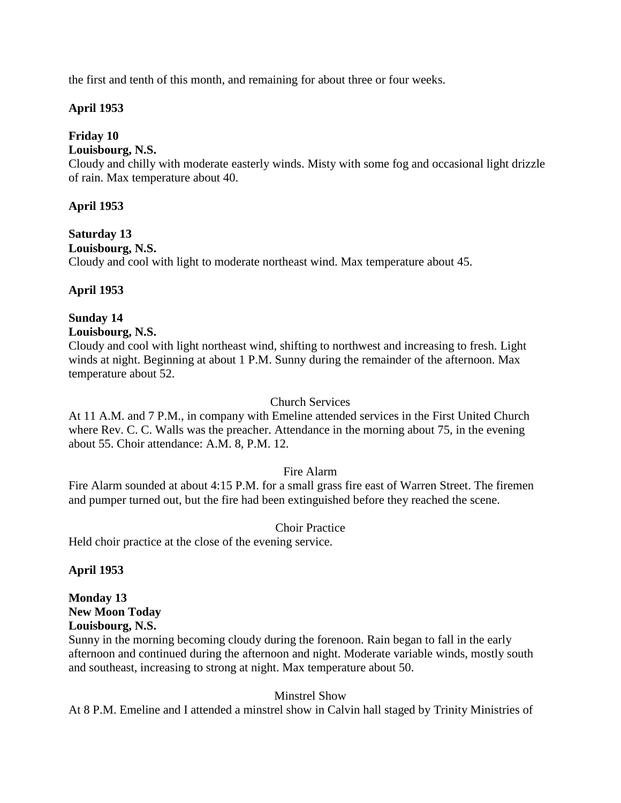the first and tenth of this month, and remaining for about three or four weeks.

# **April 1953**

# **Friday 10**

#### **Louisbourg, N.S.**

Cloudy and chilly with moderate easterly winds. Misty with some fog and occasional light drizzle of rain. Max temperature about 40.

# **April 1953**

# **Saturday 13**

**Louisbourg, N.S.**

Cloudy and cool with light to moderate northeast wind. Max temperature about 45.

# **April 1953**

# **Sunday 14**

# **Louisbourg, N.S.**

Cloudy and cool with light northeast wind, shifting to northwest and increasing to fresh. Light winds at night. Beginning at about 1 P.M. Sunny during the remainder of the afternoon. Max temperature about 52.

#### Church Services

At 11 A.M. and 7 P.M., in company with Emeline attended services in the First United Church where Rev. C. C. Walls was the preacher. Attendance in the morning about 75, in the evening about 55. Choir attendance: A.M. 8, P.M. 12.

# Fire Alarm

Fire Alarm sounded at about 4:15 P.M. for a small grass fire east of Warren Street. The firemen and pumper turned out, but the fire had been extinguished before they reached the scene.

# Choir Practice

Held choir practice at the close of the evening service.

# **April 1953**

#### **Monday 13 New Moon Today Louisbourg, N.S.**

Sunny in the morning becoming cloudy during the forenoon. Rain began to fall in the early afternoon and continued during the afternoon and night. Moderate variable winds, mostly south and southeast, increasing to strong at night. Max temperature about 50.

# Minstrel Show

At 8 P.M. Emeline and I attended a minstrel show in Calvin hall staged by Trinity Ministries of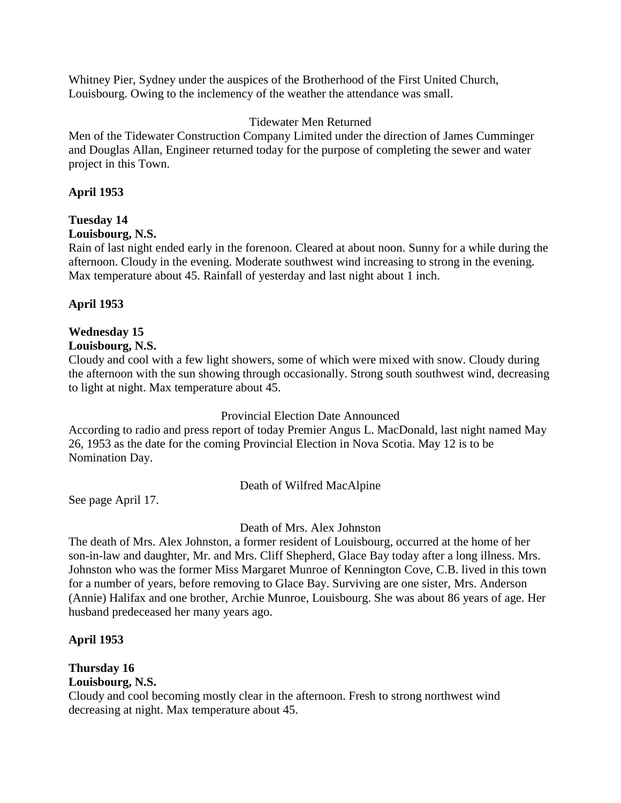Whitney Pier, Sydney under the auspices of the Brotherhood of the First United Church, Louisbourg. Owing to the inclemency of the weather the attendance was small.

#### Tidewater Men Returned

Men of the Tidewater Construction Company Limited under the direction of James Cumminger and Douglas Allan, Engineer returned today for the purpose of completing the sewer and water project in this Town.

#### **April 1953**

# **Tuesday 14**

#### **Louisbourg, N.S.**

Rain of last night ended early in the forenoon. Cleared at about noon. Sunny for a while during the afternoon. Cloudy in the evening. Moderate southwest wind increasing to strong in the evening. Max temperature about 45. Rainfall of yesterday and last night about 1 inch.

#### **April 1953**

#### **Wednesday 15**

#### **Louisbourg, N.S.**

Cloudy and cool with a few light showers, some of which were mixed with snow. Cloudy during the afternoon with the sun showing through occasionally. Strong south southwest wind, decreasing to light at night. Max temperature about 45.

Provincial Election Date Announced

According to radio and press report of today Premier Angus L. MacDonald, last night named May 26, 1953 as the date for the coming Provincial Election in Nova Scotia. May 12 is to be Nomination Day.

Death of Wilfred MacAlpine

See page April 17.

Death of Mrs. Alex Johnston

The death of Mrs. Alex Johnston, a former resident of Louisbourg, occurred at the home of her son-in-law and daughter, Mr. and Mrs. Cliff Shepherd, Glace Bay today after a long illness. Mrs. Johnston who was the former Miss Margaret Munroe of Kennington Cove, C.B. lived in this town for a number of years, before removing to Glace Bay. Surviving are one sister, Mrs. Anderson (Annie) Halifax and one brother, Archie Munroe, Louisbourg. She was about 86 years of age. Her husband predeceased her many years ago.

# **April 1953**

# **Thursday 16**

# **Louisbourg, N.S.**

Cloudy and cool becoming mostly clear in the afternoon. Fresh to strong northwest wind decreasing at night. Max temperature about 45.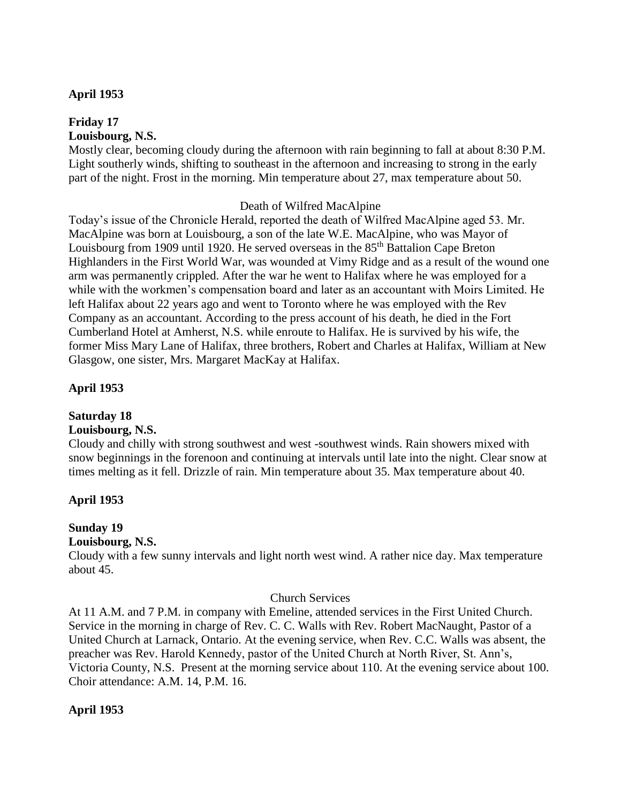# **April 1953**

#### **Friday 17 Louisbourg, N.S.**

Mostly clear, becoming cloudy during the afternoon with rain beginning to fall at about 8:30 P.M. Light southerly winds, shifting to southeast in the afternoon and increasing to strong in the early part of the night. Frost in the morning. Min temperature about 27, max temperature about 50.

#### Death of Wilfred MacAlpine

Today's issue of the Chronicle Herald, reported the death of Wilfred MacAlpine aged 53. Mr. MacAlpine was born at Louisbourg, a son of the late W.E. MacAlpine, who was Mayor of Louisbourg from 1909 until 1920. He served overseas in the 85<sup>th</sup> Battalion Cape Breton Highlanders in the First World War, was wounded at Vimy Ridge and as a result of the wound one arm was permanently crippled. After the war he went to Halifax where he was employed for a while with the workmen's compensation board and later as an accountant with Moirs Limited. He left Halifax about 22 years ago and went to Toronto where he was employed with the Rev Company as an accountant. According to the press account of his death, he died in the Fort Cumberland Hotel at Amherst, N.S. while enroute to Halifax. He is survived by his wife, the former Miss Mary Lane of Halifax, three brothers, Robert and Charles at Halifax, William at New Glasgow, one sister, Mrs. Margaret MacKay at Halifax.

# **April 1953**

# **Saturday 18**

# **Louisbourg, N.S.**

Cloudy and chilly with strong southwest and west -southwest winds. Rain showers mixed with snow beginnings in the forenoon and continuing at intervals until late into the night. Clear snow at times melting as it fell. Drizzle of rain. Min temperature about 35. Max temperature about 40.

# **April 1953**

# **Sunday 19**

# **Louisbourg, N.S.**

Cloudy with a few sunny intervals and light north west wind. A rather nice day. Max temperature about 45.

# Church Services

At 11 A.M. and 7 P.M. in company with Emeline, attended services in the First United Church. Service in the morning in charge of Rev. C. C. Walls with Rev. Robert MacNaught, Pastor of a United Church at Larnack, Ontario. At the evening service, when Rev. C.C. Walls was absent, the preacher was Rev. Harold Kennedy, pastor of the United Church at North River, St. Ann's, Victoria County, N.S. Present at the morning service about 110. At the evening service about 100. Choir attendance: A.M. 14, P.M. 16.

# **April 1953**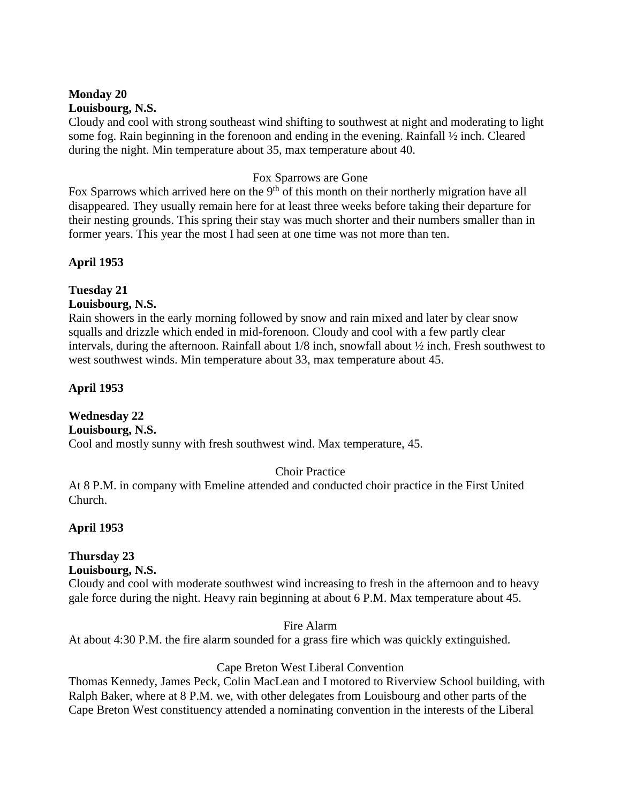#### **Monday 20 Louisbourg, N.S.**

Cloudy and cool with strong southeast wind shifting to southwest at night and moderating to light some fog. Rain beginning in the forenoon and ending in the evening. Rainfall ½ inch. Cleared during the night. Min temperature about 35, max temperature about 40.

# Fox Sparrows are Gone

Fox Sparrows which arrived here on the  $9<sup>th</sup>$  of this month on their northerly migration have all disappeared. They usually remain here for at least three weeks before taking their departure for their nesting grounds. This spring their stay was much shorter and their numbers smaller than in former years. This year the most I had seen at one time was not more than ten.

# **April 1953**

#### **Tuesday 21 Louisbourg, N.S.**

Rain showers in the early morning followed by snow and rain mixed and later by clear snow squalls and drizzle which ended in mid-forenoon. Cloudy and cool with a few partly clear intervals, during the afternoon. Rainfall about 1/8 inch, snowfall about ½ inch. Fresh southwest to west southwest winds. Min temperature about 33, max temperature about 45.

# **April 1953**

# **Wednesday 22**

**Louisbourg, N.S.**

Cool and mostly sunny with fresh southwest wind. Max temperature, 45.

# Choir Practice

At 8 P.M. in company with Emeline attended and conducted choir practice in the First United Church.

# **April 1953**

# **Thursday 23**

# **Louisbourg, N.S.**

Cloudy and cool with moderate southwest wind increasing to fresh in the afternoon and to heavy gale force during the night. Heavy rain beginning at about 6 P.M. Max temperature about 45.

#### Fire Alarm

At about 4:30 P.M. the fire alarm sounded for a grass fire which was quickly extinguished.

#### Cape Breton West Liberal Convention

Thomas Kennedy, James Peck, Colin MacLean and I motored to Riverview School building, with Ralph Baker, where at 8 P.M. we, with other delegates from Louisbourg and other parts of the Cape Breton West constituency attended a nominating convention in the interests of the Liberal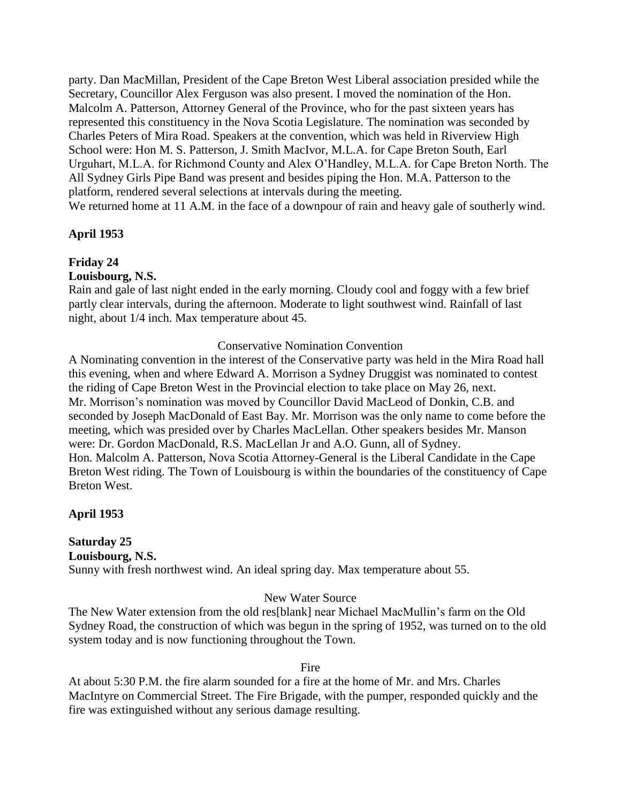party. Dan MacMillan, President of the Cape Breton West Liberal association presided while the Secretary, Councillor Alex Ferguson was also present. I moved the nomination of the Hon. Malcolm A. Patterson, Attorney General of the Province, who for the past sixteen years has represented this constituency in the Nova Scotia Legislature. The nomination was seconded by Charles Peters of Mira Road. Speakers at the convention, which was held in Riverview High School were: Hon M. S. Patterson, J. Smith MacIvor, M.L.A. for Cape Breton South, Earl Urguhart, M.L.A. for Richmond County and Alex O'Handley, M.L.A. for Cape Breton North. The All Sydney Girls Pipe Band was present and besides piping the Hon. M.A. Patterson to the platform, rendered several selections at intervals during the meeting. We returned home at 11 A.M. in the face of a downpour of rain and heavy gale of southerly wind.

## **April 1953**

## **Friday 24**

**Louisbourg, N.S.**

Rain and gale of last night ended in the early morning. Cloudy cool and foggy with a few brief partly clear intervals, during the afternoon. Moderate to light southwest wind. Rainfall of last night, about 1/4 inch. Max temperature about 45.

### Conservative Nomination Convention

A Nominating convention in the interest of the Conservative party was held in the Mira Road hall this evening, when and where Edward A. Morrison a Sydney Druggist was nominated to contest the riding of Cape Breton West in the Provincial election to take place on May 26, next. Mr. Morrison's nomination was moved by Councillor David MacLeod of Donkin, C.B. and seconded by Joseph MacDonald of East Bay. Mr. Morrison was the only name to come before the meeting, which was presided over by Charles MacLellan. Other speakers besides Mr. Manson were: Dr. Gordon MacDonald, R.S. MacLellan Jr and A.O. Gunn, all of Sydney. Hon. Malcolm A. Patterson, Nova Scotia Attorney-General is the Liberal Candidate in the Cape Breton West riding. The Town of Louisbourg is within the boundaries of the constituency of Cape Breton West.

## **April 1953**

## **Saturday 25 Louisbourg, N.S.**

Sunny with fresh northwest wind. An ideal spring day. Max temperature about 55.

### New Water Source

The New Water extension from the old res[blank] near Michael MacMullin's farm on the Old Sydney Road, the construction of which was begun in the spring of 1952, was turned on to the old system today and is now functioning throughout the Town.

### Fire

At about 5:30 P.M. the fire alarm sounded for a fire at the home of Mr. and Mrs. Charles MacIntyre on Commercial Street. The Fire Brigade, with the pumper, responded quickly and the fire was extinguished without any serious damage resulting.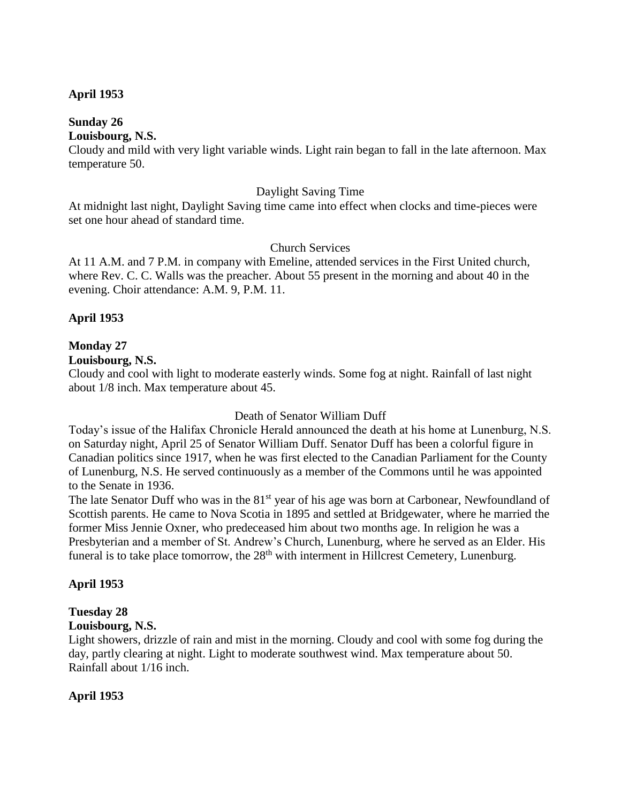### **April 1953**

### **Sunday 26**

### **Louisbourg, N.S.**

Cloudy and mild with very light variable winds. Light rain began to fall in the late afternoon. Max temperature 50.

#### Daylight Saving Time

At midnight last night, Daylight Saving time came into effect when clocks and time-pieces were set one hour ahead of standard time.

### Church Services

At 11 A.M. and 7 P.M. in company with Emeline, attended services in the First United church, where Rev. C. C. Walls was the preacher. About 55 present in the morning and about 40 in the evening. Choir attendance: A.M. 9, P.M. 11.

### **April 1953**

### **Monday 27**

### **Louisbourg, N.S.**

Cloudy and cool with light to moderate easterly winds. Some fog at night. Rainfall of last night about 1/8 inch. Max temperature about 45.

### Death of Senator William Duff

Today's issue of the Halifax Chronicle Herald announced the death at his home at Lunenburg, N.S. on Saturday night, April 25 of Senator William Duff. Senator Duff has been a colorful figure in Canadian politics since 1917, when he was first elected to the Canadian Parliament for the County of Lunenburg, N.S. He served continuously as a member of the Commons until he was appointed to the Senate in 1936.

The late Senator Duff who was in the  $81<sup>st</sup>$  year of his age was born at Carbonear, Newfoundland of Scottish parents. He came to Nova Scotia in 1895 and settled at Bridgewater, where he married the former Miss Jennie Oxner, who predeceased him about two months age. In religion he was a Presbyterian and a member of St. Andrew's Church, Lunenburg, where he served as an Elder. His funeral is to take place tomorrow, the 28<sup>th</sup> with interment in Hillcrest Cemetery, Lunenburg.

## **April 1953**

## **Tuesday 28**

## **Louisbourg, N.S.**

Light showers, drizzle of rain and mist in the morning. Cloudy and cool with some fog during the day, partly clearing at night. Light to moderate southwest wind. Max temperature about 50. Rainfall about 1/16 inch.

## **April 1953**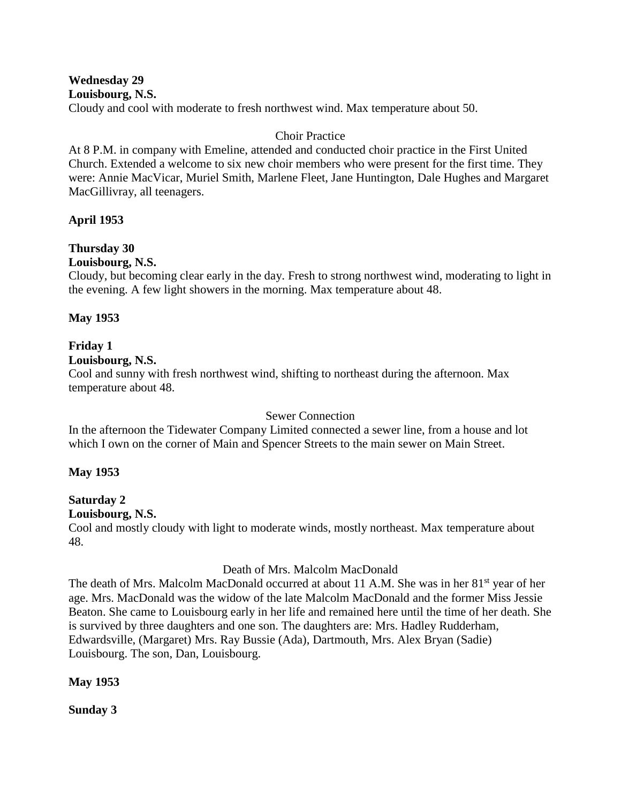**Wednesday 29 Louisbourg, N.S.**

Cloudy and cool with moderate to fresh northwest wind. Max temperature about 50.

## Choir Practice

At 8 P.M. in company with Emeline, attended and conducted choir practice in the First United Church. Extended a welcome to six new choir members who were present for the first time. They were: Annie MacVicar, Muriel Smith, Marlene Fleet, Jane Huntington, Dale Hughes and Margaret MacGillivray, all teenagers.

## **April 1953**

## **Thursday 30**

### **Louisbourg, N.S.**

Cloudy, but becoming clear early in the day. Fresh to strong northwest wind, moderating to light in the evening. A few light showers in the morning. Max temperature about 48.

## **May 1953**

# **Friday 1**

## **Louisbourg, N.S.**

Cool and sunny with fresh northwest wind, shifting to northeast during the afternoon. Max temperature about 48.

## Sewer Connection

In the afternoon the Tidewater Company Limited connected a sewer line, from a house and lot which I own on the corner of Main and Spencer Streets to the main sewer on Main Street.

## **May 1953**

#### **Saturday 2 Louisbourg, N.S.**

## Cool and mostly cloudy with light to moderate winds, mostly northeast. Max temperature about 48.

## Death of Mrs. Malcolm MacDonald

The death of Mrs. Malcolm MacDonald occurred at about 11 A.M. She was in her 81<sup>st</sup> year of her age. Mrs. MacDonald was the widow of the late Malcolm MacDonald and the former Miss Jessie Beaton. She came to Louisbourg early in her life and remained here until the time of her death. She is survived by three daughters and one son. The daughters are: Mrs. Hadley Rudderham, Edwardsville, (Margaret) Mrs. Ray Bussie (Ada), Dartmouth, Mrs. Alex Bryan (Sadie) Louisbourg. The son, Dan, Louisbourg.

## **May 1953**

**Sunday 3**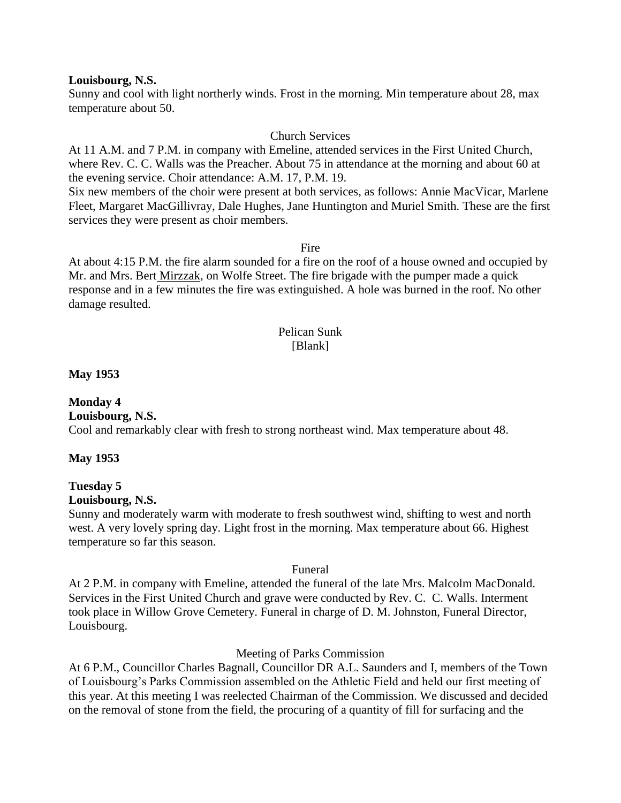#### **Louisbourg, N.S.**

Sunny and cool with light northerly winds. Frost in the morning. Min temperature about 28, max temperature about 50.

### Church Services

At 11 A.M. and 7 P.M. in company with Emeline, attended services in the First United Church, where Rev. C. C. Walls was the Preacher. About 75 in attendance at the morning and about 60 at the evening service. Choir attendance: A.M. 17, P.M. 19.

Six new members of the choir were present at both services, as follows: Annie MacVicar, Marlene Fleet, Margaret MacGillivray, Dale Hughes, Jane Huntington and Muriel Smith. These are the first services they were present as choir members.

Fire

At about 4:15 P.M. the fire alarm sounded for a fire on the roof of a house owned and occupied by Mr. and Mrs. Bert Mirzzak, on Wolfe Street. The fire brigade with the pumper made a quick response and in a few minutes the fire was extinguished. A hole was burned in the roof. No other damage resulted.

#### Pelican Sunk [Blank]

#### **May 1953**

## **Monday 4**

**Louisbourg, N.S.** Cool and remarkably clear with fresh to strong northeast wind. Max temperature about 48.

### **May 1953**

## **Tuesday 5**

### **Louisbourg, N.S.**

Sunny and moderately warm with moderate to fresh southwest wind, shifting to west and north west. A very lovely spring day. Light frost in the morning. Max temperature about 66. Highest temperature so far this season.

#### Funeral

At 2 P.M. in company with Emeline, attended the funeral of the late Mrs. Malcolm MacDonald. Services in the First United Church and grave were conducted by Rev. C. C. Walls. Interment took place in Willow Grove Cemetery. Funeral in charge of D. M. Johnston, Funeral Director, Louisbourg.

### Meeting of Parks Commission

At 6 P.M., Councillor Charles Bagnall, Councillor DR A.L. Saunders and I, members of the Town of Louisbourg's Parks Commission assembled on the Athletic Field and held our first meeting of this year. At this meeting I was reelected Chairman of the Commission. We discussed and decided on the removal of stone from the field, the procuring of a quantity of fill for surfacing and the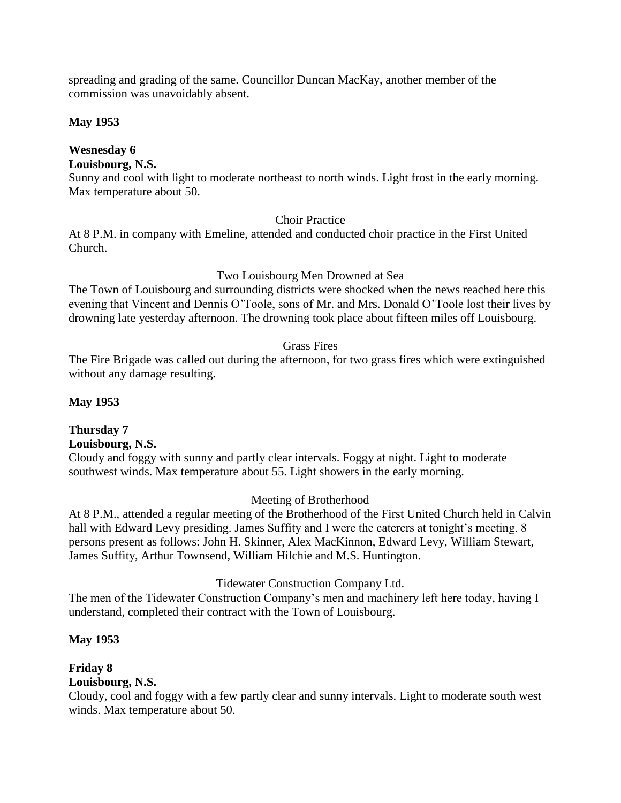spreading and grading of the same. Councillor Duncan MacKay, another member of the commission was unavoidably absent.

## **May 1953**

# **Wesnesday 6**

## **Louisbourg, N.S.**

Sunny and cool with light to moderate northeast to north winds. Light frost in the early morning. Max temperature about 50.

## Choir Practice

At 8 P.M. in company with Emeline, attended and conducted choir practice in the First United Church.

## Two Louisbourg Men Drowned at Sea

The Town of Louisbourg and surrounding districts were shocked when the news reached here this evening that Vincent and Dennis O'Toole, sons of Mr. and Mrs. Donald O'Toole lost their lives by drowning late yesterday afternoon. The drowning took place about fifteen miles off Louisbourg.

## Grass Fires

The Fire Brigade was called out during the afternoon, for two grass fires which were extinguished without any damage resulting.

## **May 1953**

#### **Thursday 7 Louisbourg, N.S.**

Cloudy and foggy with sunny and partly clear intervals. Foggy at night. Light to moderate southwest winds. Max temperature about 55. Light showers in the early morning.

## Meeting of Brotherhood

At 8 P.M., attended a regular meeting of the Brotherhood of the First United Church held in Calvin hall with Edward Levy presiding. James Suffity and I were the caterers at tonight's meeting. 8 persons present as follows: John H. Skinner, Alex MacKinnon, Edward Levy, William Stewart, James Suffity, Arthur Townsend, William Hilchie and M.S. Huntington.

Tidewater Construction Company Ltd.

The men of the Tidewater Construction Company's men and machinery left here today, having I understand, completed their contract with the Town of Louisbourg.

## **May 1953**

#### **Friday 8 Louisbourg, N.S.**

Cloudy, cool and foggy with a few partly clear and sunny intervals. Light to moderate south west winds. Max temperature about 50.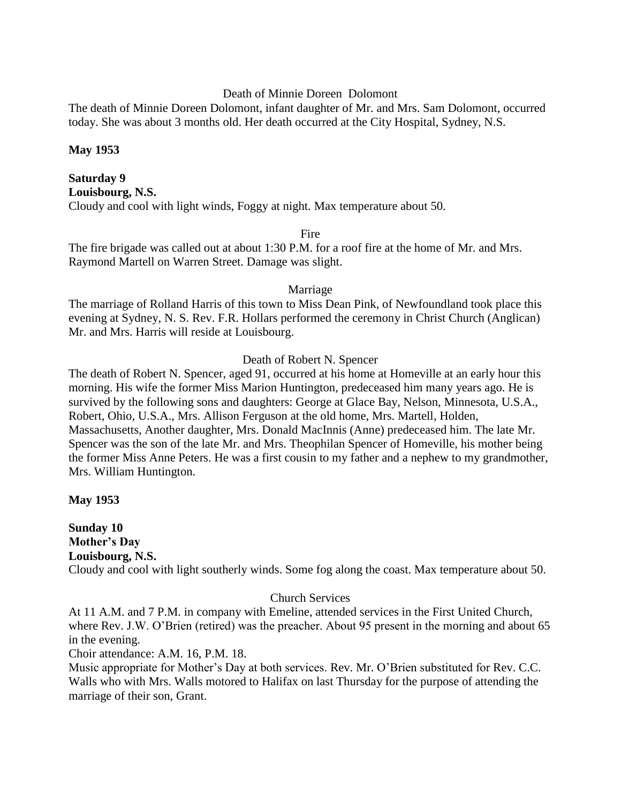#### Death of Minnie Doreen Dolomont

The death of Minnie Doreen Dolomont, infant daughter of Mr. and Mrs. Sam Dolomont, occurred today. She was about 3 months old. Her death occurred at the City Hospital, Sydney, N.S.

### **May 1953**

## **Saturday 9 Louisbourg, N.S.** Cloudy and cool with light winds, Foggy at night. Max temperature about 50.

#### **Fire**

The fire brigade was called out at about 1:30 P.M. for a roof fire at the home of Mr. and Mrs. Raymond Martell on Warren Street. Damage was slight.

#### Marriage

The marriage of Rolland Harris of this town to Miss Dean Pink, of Newfoundland took place this evening at Sydney, N. S. Rev. F.R. Hollars performed the ceremony in Christ Church (Anglican) Mr. and Mrs. Harris will reside at Louisbourg.

### Death of Robert N. Spencer

The death of Robert N. Spencer, aged 91, occurred at his home at Homeville at an early hour this morning. His wife the former Miss Marion Huntington, predeceased him many years ago. He is survived by the following sons and daughters: George at Glace Bay, Nelson, Minnesota, U.S.A., Robert, Ohio, U.S.A., Mrs. Allison Ferguson at the old home, Mrs. Martell, Holden, Massachusetts, Another daughter, Mrs. Donald MacInnis (Anne) predeceased him. The late Mr. Spencer was the son of the late Mr. and Mrs. Theophilan Spencer of Homeville, his mother being the former Miss Anne Peters. He was a first cousin to my father and a nephew to my grandmother, Mrs. William Huntington.

### **May 1953**

**Sunday 10 Mother's Day Louisbourg, N.S.** Cloudy and cool with light southerly winds. Some fog along the coast. Max temperature about 50.

### Church Services

At 11 A.M. and 7 P.M. in company with Emeline, attended services in the First United Church, where Rev. J.W. O'Brien (retired) was the preacher. About 95 present in the morning and about 65 in the evening.

Choir attendance: A.M. 16, P.M. 18.

Music appropriate for Mother's Day at both services. Rev. Mr. O'Brien substituted for Rev. C.C. Walls who with Mrs. Walls motored to Halifax on last Thursday for the purpose of attending the marriage of their son, Grant.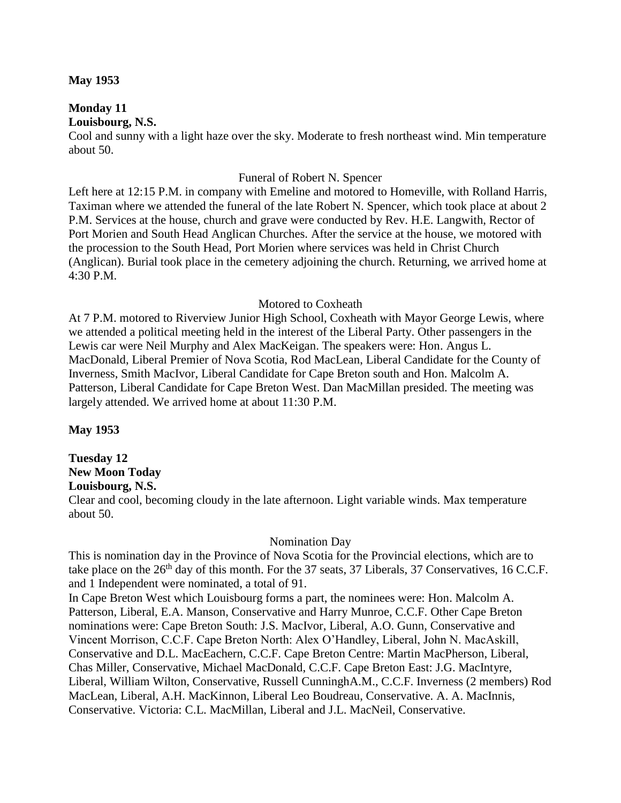#### **May 1953**

#### **Monday 11 Louisbourg, N.S.**

Cool and sunny with a light haze over the sky. Moderate to fresh northeast wind. Min temperature about 50.

#### Funeral of Robert N. Spencer

Left here at 12:15 P.M. in company with Emeline and motored to Homeville, with Rolland Harris, Taximan where we attended the funeral of the late Robert N. Spencer, which took place at about 2 P.M. Services at the house, church and grave were conducted by Rev. H.E. Langwith, Rector of Port Morien and South Head Anglican Churches. After the service at the house, we motored with the procession to the South Head, Port Morien where services was held in Christ Church (Anglican). Burial took place in the cemetery adjoining the church. Returning, we arrived home at 4:30 P.M.

#### Motored to Coxheath

At 7 P.M. motored to Riverview Junior High School, Coxheath with Mayor George Lewis, where we attended a political meeting held in the interest of the Liberal Party. Other passengers in the Lewis car were Neil Murphy and Alex MacKeigan. The speakers were: Hon. Angus L. MacDonald, Liberal Premier of Nova Scotia, Rod MacLean, Liberal Candidate for the County of Inverness, Smith MacIvor, Liberal Candidate for Cape Breton south and Hon. Malcolm A. Patterson, Liberal Candidate for Cape Breton West. Dan MacMillan presided. The meeting was largely attended. We arrived home at about 11:30 P.M.

### **May 1953**

## **Tuesday 12 New Moon Today**

## **Louisbourg, N.S.**

Clear and cool, becoming cloudy in the late afternoon. Light variable winds. Max temperature about 50.

#### Nomination Day

This is nomination day in the Province of Nova Scotia for the Provincial elections, which are to take place on the 26<sup>th</sup> day of this month. For the 37 seats, 37 Liberals, 37 Conservatives, 16 C.C.F. and 1 Independent were nominated, a total of 91.

In Cape Breton West which Louisbourg forms a part, the nominees were: Hon. Malcolm A. Patterson, Liberal, E.A. Manson, Conservative and Harry Munroe, C.C.F. Other Cape Breton nominations were: Cape Breton South: J.S. MacIvor, Liberal, A.O. Gunn, Conservative and Vincent Morrison, C.C.F. Cape Breton North: Alex O'Handley, Liberal, John N. MacAskill, Conservative and D.L. MacEachern, C.C.F. Cape Breton Centre: Martin MacPherson, Liberal, Chas Miller, Conservative, Michael MacDonald, C.C.F. Cape Breton East: J.G. MacIntyre, Liberal, William Wilton, Conservative, Russell CunninghA.M., C.C.F. Inverness (2 members) Rod MacLean, Liberal, A.H. MacKinnon, Liberal Leo Boudreau, Conservative. A. A. MacInnis, Conservative. Victoria: C.L. MacMillan, Liberal and J.L. MacNeil, Conservative.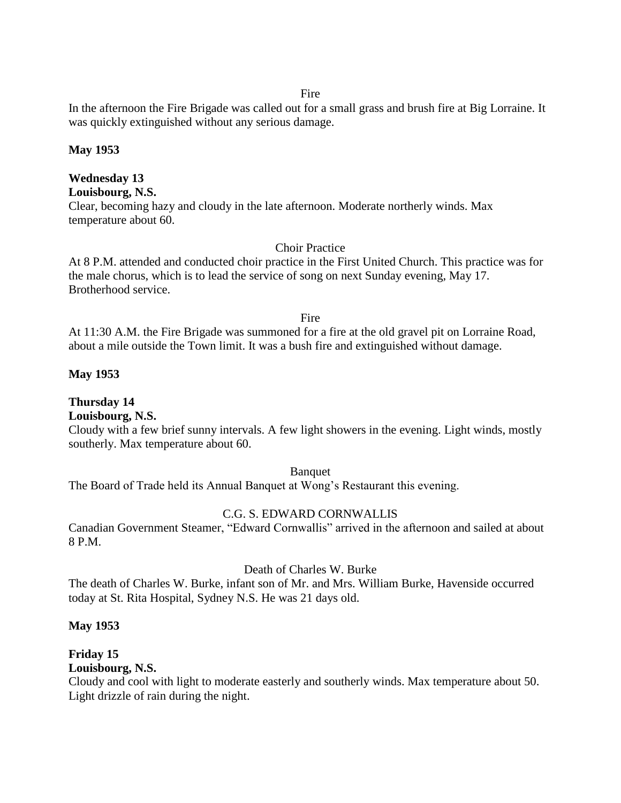Fire

In the afternoon the Fire Brigade was called out for a small grass and brush fire at Big Lorraine. It was quickly extinguished without any serious damage.

### **May 1953**

## **Wednesday 13**

**Louisbourg, N.S.**

Clear, becoming hazy and cloudy in the late afternoon. Moderate northerly winds. Max temperature about 60.

### Choir Practice

At 8 P.M. attended and conducted choir practice in the First United Church. This practice was for the male chorus, which is to lead the service of song on next Sunday evening, May 17. Brotherhood service.

### Fire

At 11:30 A.M. the Fire Brigade was summoned for a fire at the old gravel pit on Lorraine Road, about a mile outside the Town limit. It was a bush fire and extinguished without damage.

## **May 1953**

## **Thursday 14**

## **Louisbourg, N.S.**

Cloudy with a few brief sunny intervals. A few light showers in the evening. Light winds, mostly southerly. Max temperature about 60.

### Banquet

The Board of Trade held its Annual Banquet at Wong's Restaurant this evening.

## C.G. S. EDWARD CORNWALLIS

Canadian Government Steamer, "Edward Cornwallis" arrived in the afternoon and sailed at about 8 P.M.

### Death of Charles W. Burke

The death of Charles W. Burke, infant son of Mr. and Mrs. William Burke, Havenside occurred today at St. Rita Hospital, Sydney N.S. He was 21 days old.

## **May 1953**

## **Friday 15**

## **Louisbourg, N.S.**

Cloudy and cool with light to moderate easterly and southerly winds. Max temperature about 50. Light drizzle of rain during the night.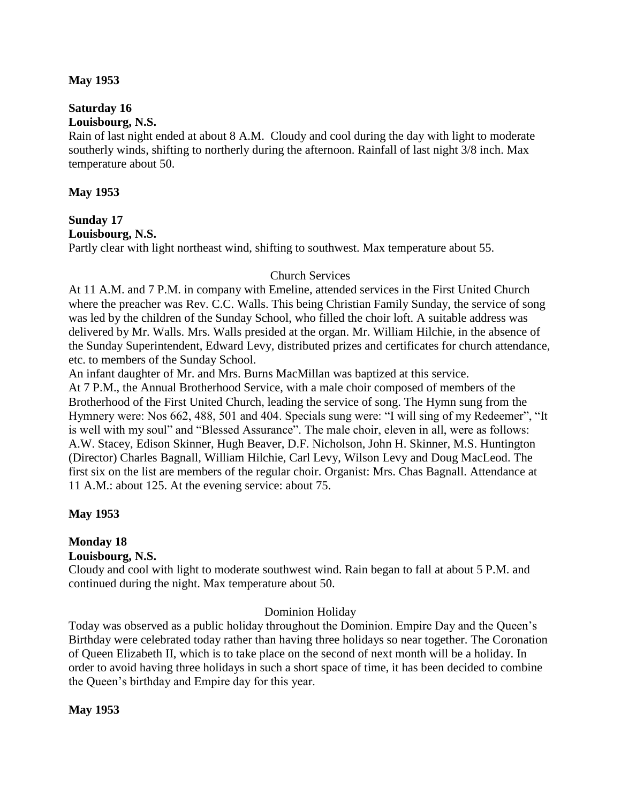### **May 1953**

# **Saturday 16**

## **Louisbourg, N.S.**

Rain of last night ended at about 8 A.M. Cloudy and cool during the day with light to moderate southerly winds, shifting to northerly during the afternoon. Rainfall of last night 3/8 inch. Max temperature about 50.

### **May 1953**

#### **Sunday 17 Louisbourg, N.S.**

Partly clear with light northeast wind, shifting to southwest. Max temperature about 55.

### Church Services

At 11 A.M. and 7 P.M. in company with Emeline, attended services in the First United Church where the preacher was Rev. C.C. Walls. This being Christian Family Sunday, the service of song was led by the children of the Sunday School, who filled the choir loft. A suitable address was delivered by Mr. Walls. Mrs. Walls presided at the organ. Mr. William Hilchie, in the absence of the Sunday Superintendent, Edward Levy, distributed prizes and certificates for church attendance, etc. to members of the Sunday School.

An infant daughter of Mr. and Mrs. Burns MacMillan was baptized at this service. At 7 P.M., the Annual Brotherhood Service, with a male choir composed of members of the Brotherhood of the First United Church, leading the service of song. The Hymn sung from the Hymnery were: Nos 662, 488, 501 and 404. Specials sung were: "I will sing of my Redeemer", "It is well with my soul" and "Blessed Assurance". The male choir, eleven in all, were as follows: A.W. Stacey, Edison Skinner, Hugh Beaver, D.F. Nicholson, John H. Skinner, M.S. Huntington (Director) Charles Bagnall, William Hilchie, Carl Levy, Wilson Levy and Doug MacLeod. The first six on the list are members of the regular choir. Organist: Mrs. Chas Bagnall. Attendance at 11 A.M.: about 125. At the evening service: about 75.

## **May 1953**

## **Monday 18**

### **Louisbourg, N.S.**

Cloudy and cool with light to moderate southwest wind. Rain began to fall at about 5 P.M. and continued during the night. Max temperature about 50.

## Dominion Holiday

Today was observed as a public holiday throughout the Dominion. Empire Day and the Queen's Birthday were celebrated today rather than having three holidays so near together. The Coronation of Queen Elizabeth II, which is to take place on the second of next month will be a holiday. In order to avoid having three holidays in such a short space of time, it has been decided to combine the Queen's birthday and Empire day for this year.

### **May 1953**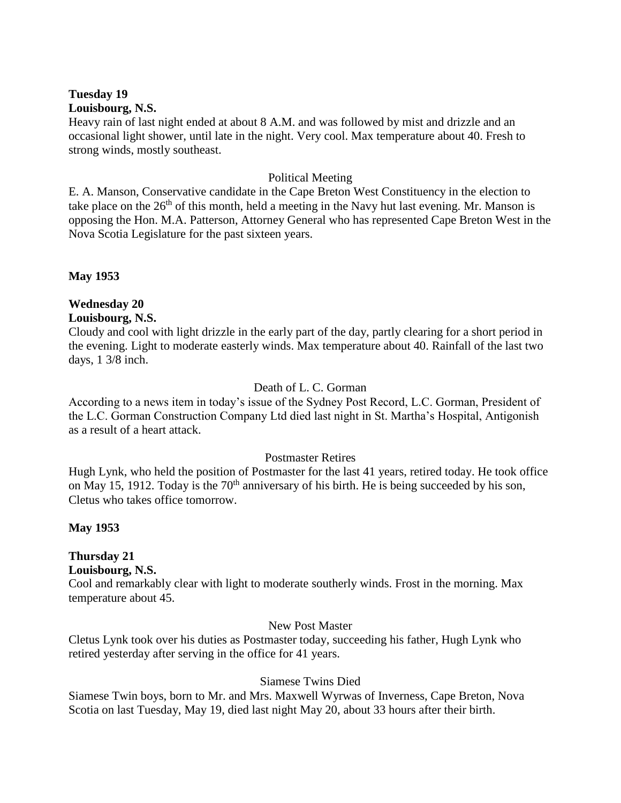#### **Tuesday 19 Louisbourg, N.S.**

Heavy rain of last night ended at about 8 A.M. and was followed by mist and drizzle and an occasional light shower, until late in the night. Very cool. Max temperature about 40. Fresh to strong winds, mostly southeast.

### Political Meeting

E. A. Manson, Conservative candidate in the Cape Breton West Constituency in the election to take place on the  $26<sup>th</sup>$  of this month, held a meeting in the Navy hut last evening. Mr. Manson is opposing the Hon. M.A. Patterson, Attorney General who has represented Cape Breton West in the Nova Scotia Legislature for the past sixteen years.

**May 1953**

# **Wednesday 20**

### **Louisbourg, N.S.**

Cloudy and cool with light drizzle in the early part of the day, partly clearing for a short period in the evening. Light to moderate easterly winds. Max temperature about 40. Rainfall of the last two days, 1 3/8 inch.

## Death of L. C. Gorman

According to a news item in today's issue of the Sydney Post Record, L.C. Gorman, President of the L.C. Gorman Construction Company Ltd died last night in St. Martha's Hospital, Antigonish as a result of a heart attack.

### Postmaster Retires

Hugh Lynk, who held the position of Postmaster for the last 41 years, retired today. He took office on May 15, 1912. Today is the  $70<sup>th</sup>$  anniversary of his birth. He is being succeeded by his son, Cletus who takes office tomorrow.

**May 1953**

## **Thursday 21**

### **Louisbourg, N.S.**

Cool and remarkably clear with light to moderate southerly winds. Frost in the morning. Max temperature about 45.

### New Post Master

Cletus Lynk took over his duties as Postmaster today, succeeding his father, Hugh Lynk who retired yesterday after serving in the office for 41 years.

## Siamese Twins Died

Siamese Twin boys, born to Mr. and Mrs. Maxwell Wyrwas of Inverness, Cape Breton, Nova Scotia on last Tuesday, May 19, died last night May 20, about 33 hours after their birth.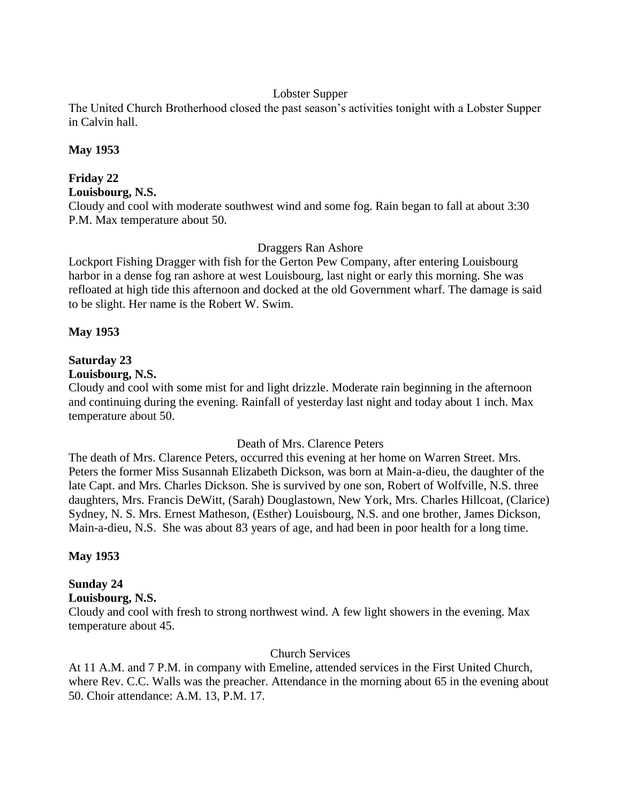### Lobster Supper

The United Church Brotherhood closed the past season's activities tonight with a Lobster Supper in Calvin hall.

### **May 1953**

## **Friday 22**

**Louisbourg, N.S.**

Cloudy and cool with moderate southwest wind and some fog. Rain began to fall at about 3:30 P.M. Max temperature about 50.

### Draggers Ran Ashore

Lockport Fishing Dragger with fish for the Gerton Pew Company, after entering Louisbourg harbor in a dense fog ran ashore at west Louisbourg, last night or early this morning. She was refloated at high tide this afternoon and docked at the old Government wharf. The damage is said to be slight. Her name is the Robert W. Swim.

### **May 1953**

## **Saturday 23**

## **Louisbourg, N.S.**

Cloudy and cool with some mist for and light drizzle. Moderate rain beginning in the afternoon and continuing during the evening. Rainfall of yesterday last night and today about 1 inch. Max temperature about 50.

### Death of Mrs. Clarence Peters

The death of Mrs. Clarence Peters, occurred this evening at her home on Warren Street. Mrs. Peters the former Miss Susannah Elizabeth Dickson, was born at Main-a-dieu, the daughter of the late Capt. and Mrs. Charles Dickson. She is survived by one son, Robert of Wolfville, N.S. three daughters, Mrs. Francis DeWitt, (Sarah) Douglastown, New York, Mrs. Charles Hillcoat, (Clarice) Sydney, N. S. Mrs. Ernest Matheson, (Esther) Louisbourg, N.S. and one brother, James Dickson, Main-a-dieu, N.S. She was about 83 years of age, and had been in poor health for a long time.

## **May 1953**

## **Sunday 24**

### **Louisbourg, N.S.**

Cloudy and cool with fresh to strong northwest wind. A few light showers in the evening. Max temperature about 45.

## Church Services

At 11 A.M. and 7 P.M. in company with Emeline, attended services in the First United Church, where Rev. C.C. Walls was the preacher. Attendance in the morning about 65 in the evening about 50. Choir attendance: A.M. 13, P.M. 17.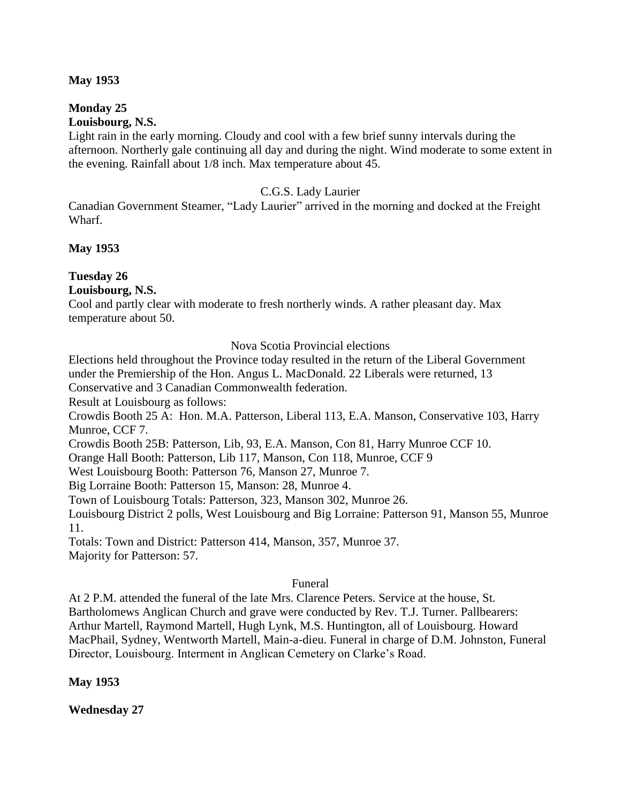### **May 1953**

#### **Monday 25 Louisbourg, N.S.**

Light rain in the early morning. Cloudy and cool with a few brief sunny intervals during the afternoon. Northerly gale continuing all day and during the night. Wind moderate to some extent in the evening. Rainfall about 1/8 inch. Max temperature about 45.

### C.G.S. Lady Laurier

Canadian Government Steamer, "Lady Laurier" arrived in the morning and docked at the Freight Wharf.

### **May 1953**

## **Tuesday 26**

**Louisbourg, N.S.**

Cool and partly clear with moderate to fresh northerly winds. A rather pleasant day. Max temperature about 50.

Nova Scotia Provincial elections

Elections held throughout the Province today resulted in the return of the Liberal Government under the Premiership of the Hon. Angus L. MacDonald. 22 Liberals were returned, 13 Conservative and 3 Canadian Commonwealth federation.

Result at Louisbourg as follows:

Crowdis Booth 25 A: Hon. M.A. Patterson, Liberal 113, E.A. Manson, Conservative 103, Harry Munroe, CCF 7.

Crowdis Booth 25B: Patterson, Lib, 93, E.A. Manson, Con 81, Harry Munroe CCF 10.

Orange Hall Booth: Patterson, Lib 117, Manson, Con 118, Munroe, CCF 9

West Louisbourg Booth: Patterson 76, Manson 27, Munroe 7.

Big Lorraine Booth: Patterson 15, Manson: 28, Munroe 4.

Town of Louisbourg Totals: Patterson, 323, Manson 302, Munroe 26.

Louisbourg District 2 polls, West Louisbourg and Big Lorraine: Patterson 91, Manson 55, Munroe 11.

Totals: Town and District: Patterson 414, Manson, 357, Munroe 37. Majority for Patterson: 57.

### Funeral

At 2 P.M. attended the funeral of the late Mrs. Clarence Peters. Service at the house, St. Bartholomews Anglican Church and grave were conducted by Rev. T.J. Turner. Pallbearers: Arthur Martell, Raymond Martell, Hugh Lynk, M.S. Huntington, all of Louisbourg. Howard MacPhail, Sydney, Wentworth Martell, Main-a-dieu. Funeral in charge of D.M. Johnston, Funeral Director, Louisbourg. Interment in Anglican Cemetery on Clarke's Road.

**May 1953**

**Wednesday 27**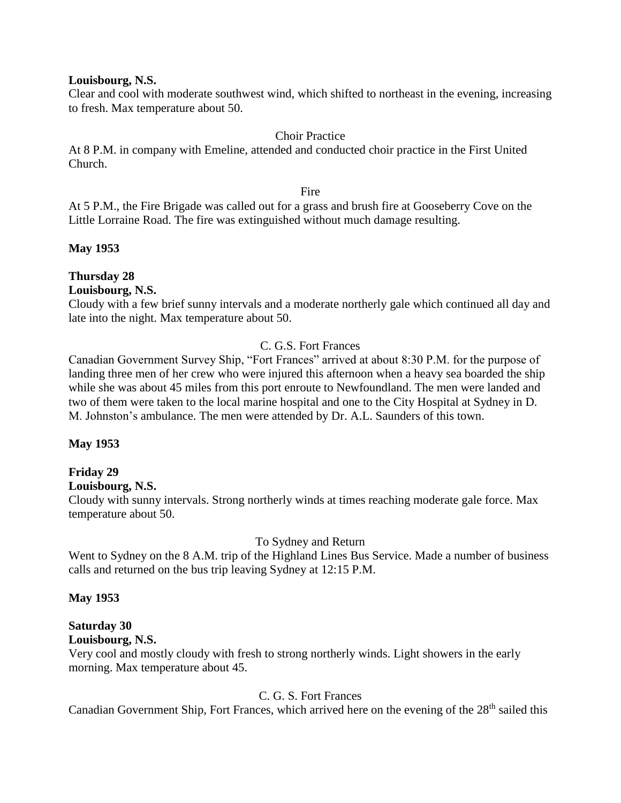#### **Louisbourg, N.S.**

Clear and cool with moderate southwest wind, which shifted to northeast in the evening, increasing to fresh. Max temperature about 50.

### Choir Practice

At 8 P.M. in company with Emeline, attended and conducted choir practice in the First United Church.

#### Fire

At 5 P.M., the Fire Brigade was called out for a grass and brush fire at Gooseberry Cove on the Little Lorraine Road. The fire was extinguished without much damage resulting.

### **May 1953**

## **Thursday 28**

### **Louisbourg, N.S.**

Cloudy with a few brief sunny intervals and a moderate northerly gale which continued all day and late into the night. Max temperature about 50.

### C. G.S. Fort Frances

Canadian Government Survey Ship, "Fort Frances" arrived at about 8:30 P.M. for the purpose of landing three men of her crew who were injured this afternoon when a heavy sea boarded the ship while she was about 45 miles from this port enroute to Newfoundland. The men were landed and two of them were taken to the local marine hospital and one to the City Hospital at Sydney in D. M. Johnston's ambulance. The men were attended by Dr. A.L. Saunders of this town.

### **May 1953**

## **Friday 29**

### **Louisbourg, N.S.**

Cloudy with sunny intervals. Strong northerly winds at times reaching moderate gale force. Max temperature about 50.

### To Sydney and Return

Went to Sydney on the 8 A.M. trip of the Highland Lines Bus Service. Made a number of business calls and returned on the bus trip leaving Sydney at 12:15 P.M.

### **May 1953**

## **Saturday 30**

## **Louisbourg, N.S.**

Very cool and mostly cloudy with fresh to strong northerly winds. Light showers in the early morning. Max temperature about 45.

## C. G. S. Fort Frances

Canadian Government Ship, Fort Frances, which arrived here on the evening of the 28<sup>th</sup> sailed this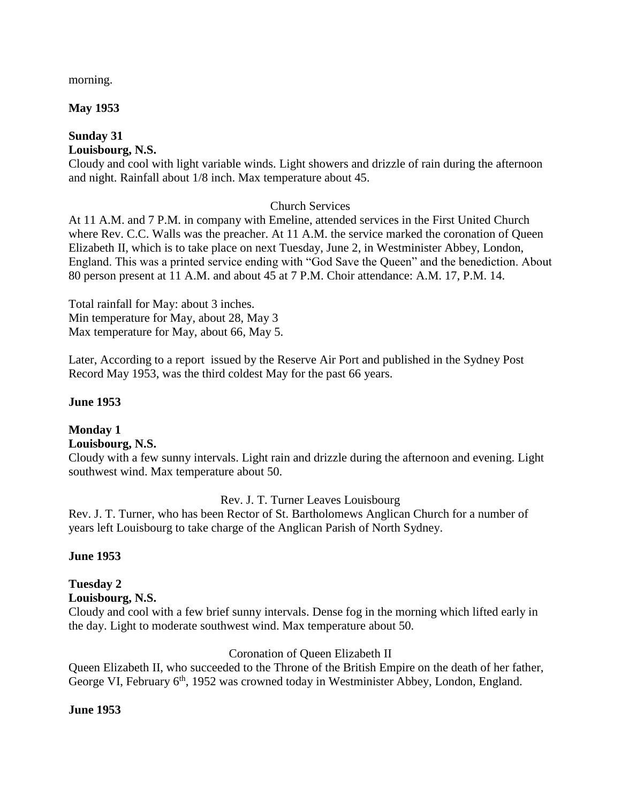morning.

## **May 1953**

## **Sunday 31**

## **Louisbourg, N.S.**

Cloudy and cool with light variable winds. Light showers and drizzle of rain during the afternoon and night. Rainfall about 1/8 inch. Max temperature about 45.

## Church Services

At 11 A.M. and 7 P.M. in company with Emeline, attended services in the First United Church where Rev. C.C. Walls was the preacher. At 11 A.M. the service marked the coronation of Queen Elizabeth II, which is to take place on next Tuesday, June 2, in Westminister Abbey, London, England. This was a printed service ending with "God Save the Queen" and the benediction. About 80 person present at 11 A.M. and about 45 at 7 P.M. Choir attendance: A.M. 17, P.M. 14.

Total rainfall for May: about 3 inches. Min temperature for May, about 28, May 3 Max temperature for May, about 66, May 5.

Later, According to a report issued by the Reserve Air Port and published in the Sydney Post Record May 1953, was the third coldest May for the past 66 years.

## **June 1953**

#### **Monday 1 Louisbourg, N.S.**

Cloudy with a few sunny intervals. Light rain and drizzle during the afternoon and evening. Light southwest wind. Max temperature about 50.

## Rev. J. T. Turner Leaves Louisbourg

Rev. J. T. Turner, who has been Rector of St. Bartholomews Anglican Church for a number of years left Louisbourg to take charge of the Anglican Parish of North Sydney.

## **June 1953**

## **Tuesday 2**

## **Louisbourg, N.S.**

Cloudy and cool with a few brief sunny intervals. Dense fog in the morning which lifted early in the day. Light to moderate southwest wind. Max temperature about 50.

## Coronation of Queen Elizabeth II

Queen Elizabeth II, who succeeded to the Throne of the British Empire on the death of her father, George VI, February 6<sup>th</sup>, 1952 was crowned today in Westminister Abbey, London, England.

## **June 1953**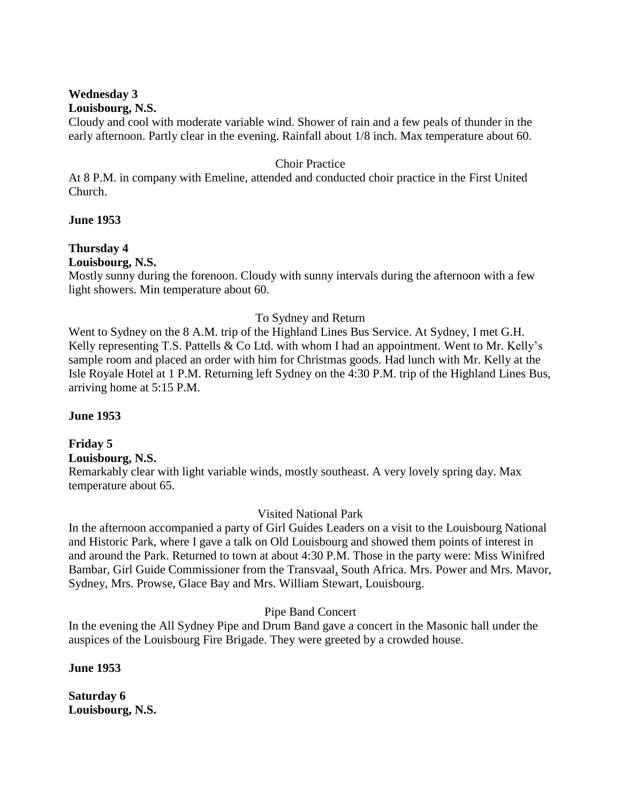#### **Wednesday 3 Louisbourg, N.S.**

Cloudy and cool with moderate variable wind. Shower of rain and a few peals of thunder in the early afternoon. Partly clear in the evening. Rainfall about 1/8 inch. Max temperature about 60.

### Choir Practice

At 8 P.M. in company with Emeline, attended and conducted choir practice in the First United Church.

### **June 1953**

## **Thursday 4**

**Louisbourg, N.S.**

Mostly sunny during the forenoon. Cloudy with sunny intervals during the afternoon with a few light showers. Min temperature about 60.

## To Sydney and Return

Went to Sydney on the 8 A.M. trip of the Highland Lines Bus Service. At Sydney, I met G.H. Kelly representing T.S. Pattells & Co Ltd. with whom I had an appointment. Went to Mr. Kelly's sample room and placed an order with him for Christmas goods. Had lunch with Mr. Kelly at the Isle Royale Hotel at 1 P.M. Returning left Sydney on the 4:30 P.M. trip of the Highland Lines Bus, arriving home at 5:15 P.M.

## **June 1953**

## **Friday 5**

**Louisbourg, N.S.**

Remarkably clear with light variable winds, mostly southeast. A very lovely spring day. Max temperature about 65.

## Visited National Park

In the afternoon accompanied a party of Girl Guides Leaders on a visit to the Louisbourg National and Historic Park, where I gave a talk on Old Louisbourg and showed them points of interest in and around the Park. Returned to town at about 4:30 P.M. Those in the party were: Miss Winifred Bambar, Girl Guide Commissioner from the Transvaal, South Africa. Mrs. Power and Mrs. Mavor, Sydney, Mrs. Prowse, Glace Bay and Mrs. William Stewart, Louisbourg.

Pipe Band Concert

In the evening the All Sydney Pipe and Drum Band gave a concert in the Masonic hall under the auspices of the Louisbourg Fire Brigade. They were greeted by a crowded house.

**June 1953**

**Saturday 6 Louisbourg, N.S.**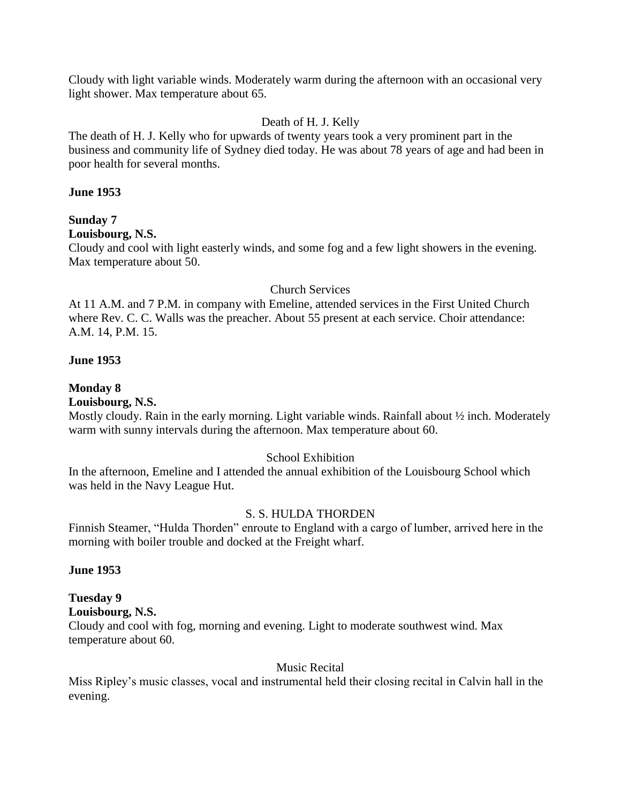Cloudy with light variable winds. Moderately warm during the afternoon with an occasional very light shower. Max temperature about 65.

### Death of H. J. Kelly

The death of H. J. Kelly who for upwards of twenty years took a very prominent part in the business and community life of Sydney died today. He was about 78 years of age and had been in poor health for several months.

#### **June 1953**

### **Sunday 7**

### **Louisbourg, N.S.**

Cloudy and cool with light easterly winds, and some fog and a few light showers in the evening. Max temperature about 50.

#### Church Services

At 11 A.M. and 7 P.M. in company with Emeline, attended services in the First United Church where Rev. C. C. Walls was the preacher. About 55 present at each service. Choir attendance: A.M. 14, P.M. 15.

#### **June 1953**

### **Monday 8**

### **Louisbourg, N.S.**

Mostly cloudy. Rain in the early morning. Light variable winds. Rainfall about ½ inch. Moderately warm with sunny intervals during the afternoon. Max temperature about 60.

### School Exhibition

In the afternoon, Emeline and I attended the annual exhibition of the Louisbourg School which was held in the Navy League Hut.

### S. S. HULDA THORDEN

Finnish Steamer, "Hulda Thorden" enroute to England with a cargo of lumber, arrived here in the morning with boiler trouble and docked at the Freight wharf.

#### **June 1953**

# **Tuesday 9**

**Louisbourg, N.S.**

Cloudy and cool with fog, morning and evening. Light to moderate southwest wind. Max temperature about 60.

#### Music Recital

Miss Ripley's music classes, vocal and instrumental held their closing recital in Calvin hall in the evening.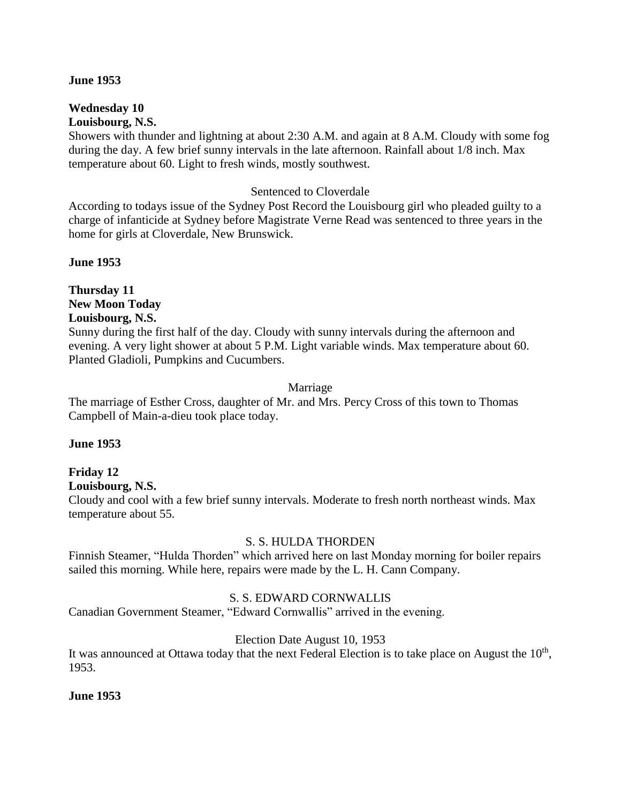#### **June 1953**

#### **Wednesday 10 Louisbourg, N.S.**

Showers with thunder and lightning at about 2:30 A.M. and again at 8 A.M. Cloudy with some fog during the day. A few brief sunny intervals in the late afternoon. Rainfall about 1/8 inch. Max temperature about 60. Light to fresh winds, mostly southwest.

#### Sentenced to Cloverdale

According to todays issue of the Sydney Post Record the Louisbourg girl who pleaded guilty to a charge of infanticide at Sydney before Magistrate Verne Read was sentenced to three years in the home for girls at Cloverdale, New Brunswick.

**June 1953**

**Thursday 11 New Moon Today Louisbourg, N.S.**

Sunny during the first half of the day. Cloudy with sunny intervals during the afternoon and evening. A very light shower at about 5 P.M. Light variable winds. Max temperature about 60. Planted Gladioli, Pumpkins and Cucumbers.

#### Marriage

The marriage of Esther Cross, daughter of Mr. and Mrs. Percy Cross of this town to Thomas Campbell of Main-a-dieu took place today.

### **June 1953**

## **Friday 12**

**Louisbourg, N.S.**

Cloudy and cool with a few brief sunny intervals. Moderate to fresh north northeast winds. Max temperature about 55.

### S. S. HULDA THORDEN

Finnish Steamer, "Hulda Thorden" which arrived here on last Monday morning for boiler repairs sailed this morning. While here, repairs were made by the L. H. Cann Company.

### S. S. EDWARD CORNWALLIS

Canadian Government Steamer, "Edward Cornwallis" arrived in the evening.

### Election Date August 10, 1953

It was announced at Ottawa today that the next Federal Election is to take place on August the  $10<sup>th</sup>$ , 1953.

### **June 1953**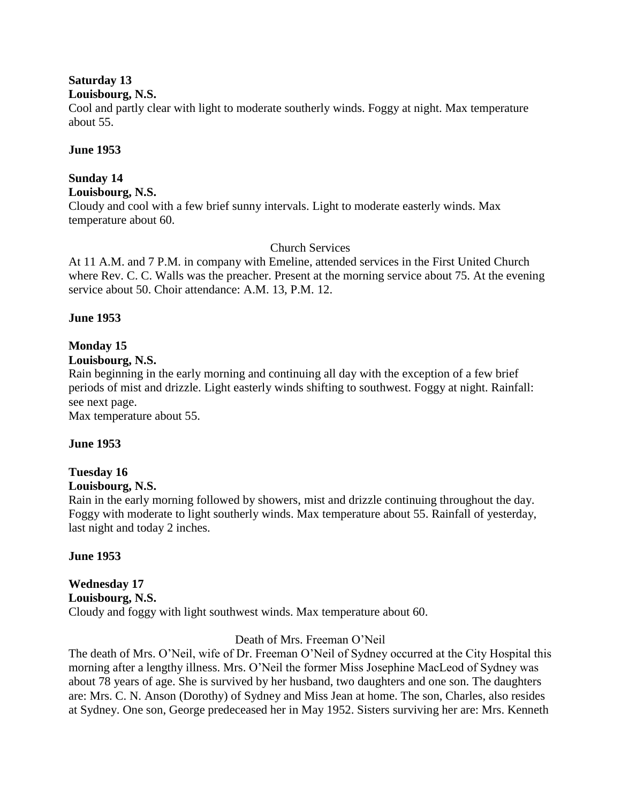## **Saturday 13**

### **Louisbourg, N.S.**

Cool and partly clear with light to moderate southerly winds. Foggy at night. Max temperature about 55.

### **June 1953**

## **Sunday 14**

**Louisbourg, N.S.**

Cloudy and cool with a few brief sunny intervals. Light to moderate easterly winds. Max temperature about 60.

## Church Services

At 11 A.M. and 7 P.M. in company with Emeline, attended services in the First United Church where Rev. C. C. Walls was the preacher. Present at the morning service about 75. At the evening service about 50. Choir attendance: A.M. 13, P.M. 12.

## **June 1953**

## **Monday 15**

### **Louisbourg, N.S.**

Rain beginning in the early morning and continuing all day with the exception of a few brief periods of mist and drizzle. Light easterly winds shifting to southwest. Foggy at night. Rainfall: see next page.

Max temperature about 55.

## **June 1953**

## **Tuesday 16**

### **Louisbourg, N.S.**

Rain in the early morning followed by showers, mist and drizzle continuing throughout the day. Foggy with moderate to light southerly winds. Max temperature about 55. Rainfall of yesterday, last night and today 2 inches.

## **June 1953**

### **Wednesday 17 Louisbourg, N.S.** Cloudy and foggy with light southwest winds. Max temperature about 60.

## Death of Mrs. Freeman O'Neil

The death of Mrs. O'Neil, wife of Dr. Freeman O'Neil of Sydney occurred at the City Hospital this morning after a lengthy illness. Mrs. O'Neil the former Miss Josephine MacLeod of Sydney was about 78 years of age. She is survived by her husband, two daughters and one son. The daughters are: Mrs. C. N. Anson (Dorothy) of Sydney and Miss Jean at home. The son, Charles, also resides at Sydney. One son, George predeceased her in May 1952. Sisters surviving her are: Mrs. Kenneth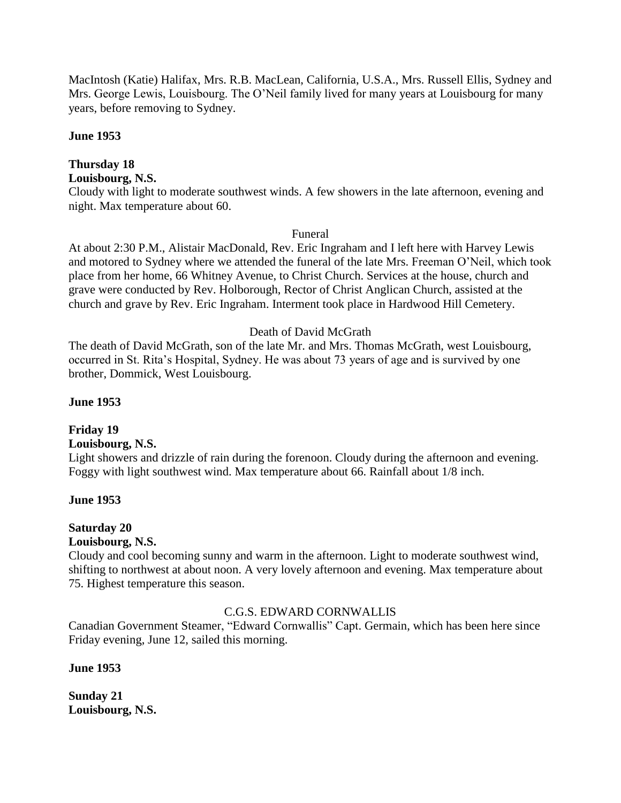MacIntosh (Katie) Halifax, Mrs. R.B. MacLean, California, U.S.A., Mrs. Russell Ellis, Sydney and Mrs. George Lewis, Louisbourg. The O'Neil family lived for many years at Louisbourg for many years, before removing to Sydney.

### **June 1953**

## **Thursday 18**

## **Louisbourg, N.S.**

Cloudy with light to moderate southwest winds. A few showers in the late afternoon, evening and night. Max temperature about 60.

Funeral

At about 2:30 P.M., Alistair MacDonald, Rev. Eric Ingraham and I left here with Harvey Lewis and motored to Sydney where we attended the funeral of the late Mrs. Freeman O'Neil, which took place from her home, 66 Whitney Avenue, to Christ Church. Services at the house, church and grave were conducted by Rev. Holborough, Rector of Christ Anglican Church, assisted at the church and grave by Rev. Eric Ingraham. Interment took place in Hardwood Hill Cemetery.

## Death of David McGrath

The death of David McGrath, son of the late Mr. and Mrs. Thomas McGrath, west Louisbourg, occurred in St. Rita's Hospital, Sydney. He was about 73 years of age and is survived by one brother, Dommick, West Louisbourg.

### **June 1953**

# **Friday 19**

## **Louisbourg, N.S.**

Light showers and drizzle of rain during the forenoon. Cloudy during the afternoon and evening. Foggy with light southwest wind. Max temperature about 66. Rainfall about 1/8 inch.

## **June 1953**

#### **Saturday 20 Louisbourg, N.S.**

Cloudy and cool becoming sunny and warm in the afternoon. Light to moderate southwest wind, shifting to northwest at about noon. A very lovely afternoon and evening. Max temperature about 75. Highest temperature this season.

## C.G.S. EDWARD CORNWALLIS

Canadian Government Steamer, "Edward Cornwallis" Capt. Germain, which has been here since Friday evening, June 12, sailed this morning.

### **June 1953**

**Sunday 21 Louisbourg, N.S.**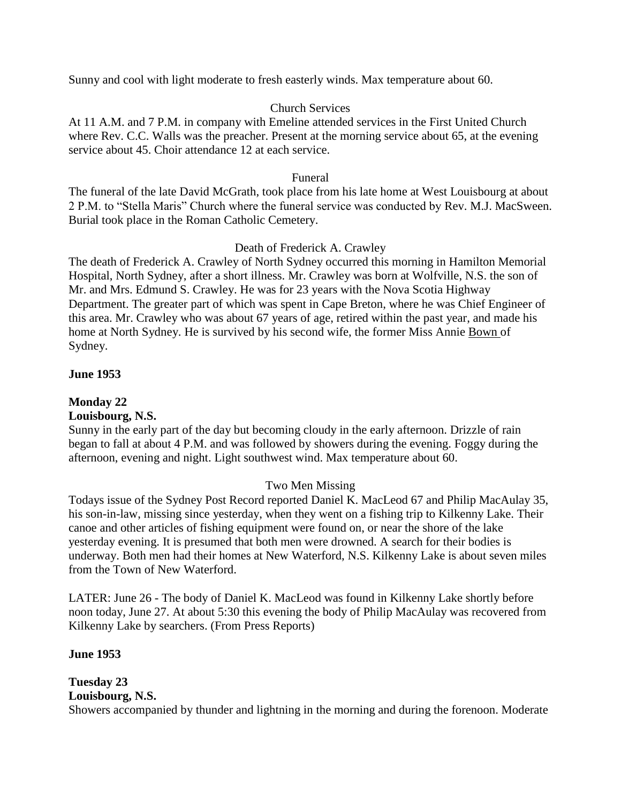Sunny and cool with light moderate to fresh easterly winds. Max temperature about 60.

## Church Services

At 11 A.M. and 7 P.M. in company with Emeline attended services in the First United Church where Rev. C.C. Walls was the preacher. Present at the morning service about 65, at the evening service about 45. Choir attendance 12 at each service.

### Funeral

The funeral of the late David McGrath, took place from his late home at West Louisbourg at about 2 P.M. to "Stella Maris" Church where the funeral service was conducted by Rev. M.J. MacSween. Burial took place in the Roman Catholic Cemetery.

## Death of Frederick A. Crawley

The death of Frederick A. Crawley of North Sydney occurred this morning in Hamilton Memorial Hospital, North Sydney, after a short illness. Mr. Crawley was born at Wolfville, N.S. the son of Mr. and Mrs. Edmund S. Crawley. He was for 23 years with the Nova Scotia Highway Department. The greater part of which was spent in Cape Breton, where he was Chief Engineer of this area. Mr. Crawley who was about 67 years of age, retired within the past year, and made his home at North Sydney. He is survived by his second wife, the former Miss Annie Bown of Sydney.

## **June 1953**

## **Monday 22**

## **Louisbourg, N.S.**

Sunny in the early part of the day but becoming cloudy in the early afternoon. Drizzle of rain began to fall at about 4 P.M. and was followed by showers during the evening. Foggy during the afternoon, evening and night. Light southwest wind. Max temperature about 60.

## Two Men Missing

Todays issue of the Sydney Post Record reported Daniel K. MacLeod 67 and Philip MacAulay 35, his son-in-law, missing since yesterday, when they went on a fishing trip to Kilkenny Lake. Their canoe and other articles of fishing equipment were found on, or near the shore of the lake yesterday evening. It is presumed that both men were drowned. A search for their bodies is underway. Both men had their homes at New Waterford, N.S. Kilkenny Lake is about seven miles from the Town of New Waterford.

LATER: June 26 - The body of Daniel K. MacLeod was found in Kilkenny Lake shortly before noon today, June 27. At about 5:30 this evening the body of Philip MacAulay was recovered from Kilkenny Lake by searchers. (From Press Reports)

## **June 1953**

#### **Tuesday 23 Louisbourg, N.S.**

Showers accompanied by thunder and lightning in the morning and during the forenoon. Moderate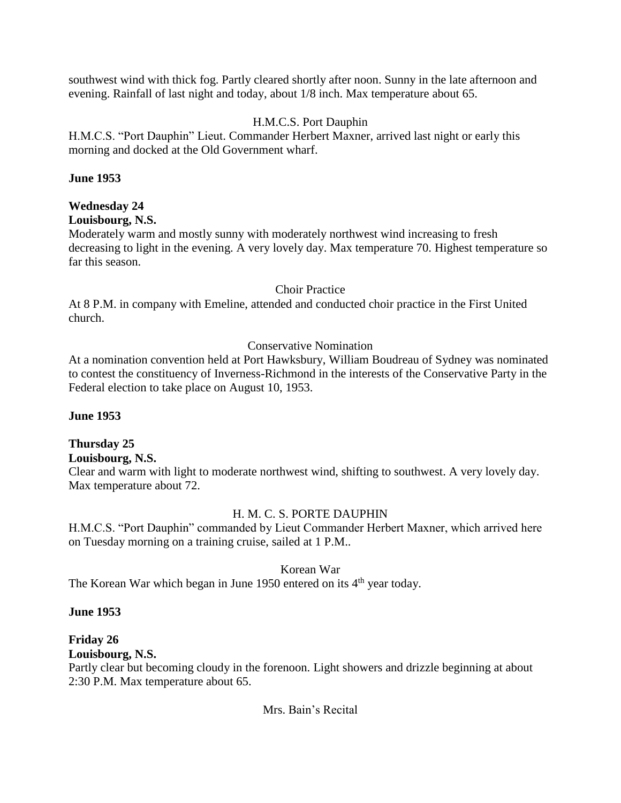southwest wind with thick fog. Partly cleared shortly after noon. Sunny in the late afternoon and evening. Rainfall of last night and today, about 1/8 inch. Max temperature about 65.

## H.M.C.S. Port Dauphin

H.M.C.S. "Port Dauphin" Lieut. Commander Herbert Maxner, arrived last night or early this morning and docked at the Old Government wharf.

### **June 1953**

## **Wednesday 24**

### **Louisbourg, N.S.**

Moderately warm and mostly sunny with moderately northwest wind increasing to fresh decreasing to light in the evening. A very lovely day. Max temperature 70. Highest temperature so far this season.

### Choir Practice

At 8 P.M. in company with Emeline, attended and conducted choir practice in the First United church.

## Conservative Nomination

At a nomination convention held at Port Hawksbury, William Boudreau of Sydney was nominated to contest the constituency of Inverness-Richmond in the interests of the Conservative Party in the Federal election to take place on August 10, 1953.

## **June 1953**

## **Thursday 25**

**Louisbourg, N.S.**

Clear and warm with light to moderate northwest wind, shifting to southwest. A very lovely day. Max temperature about 72.

## H. M. C. S. PORTE DAUPHIN

H.M.C.S. "Port Dauphin" commanded by Lieut Commander Herbert Maxner, which arrived here on Tuesday morning on a training cruise, sailed at 1 P.M..

## Korean War

The Korean War which began in June 1950 entered on its  $4<sup>th</sup>$  year today.

### **June 1953**

## **Friday 26**

## **Louisbourg, N.S.**

Partly clear but becoming cloudy in the forenoon. Light showers and drizzle beginning at about 2:30 P.M. Max temperature about 65.

Mrs. Bain's Recital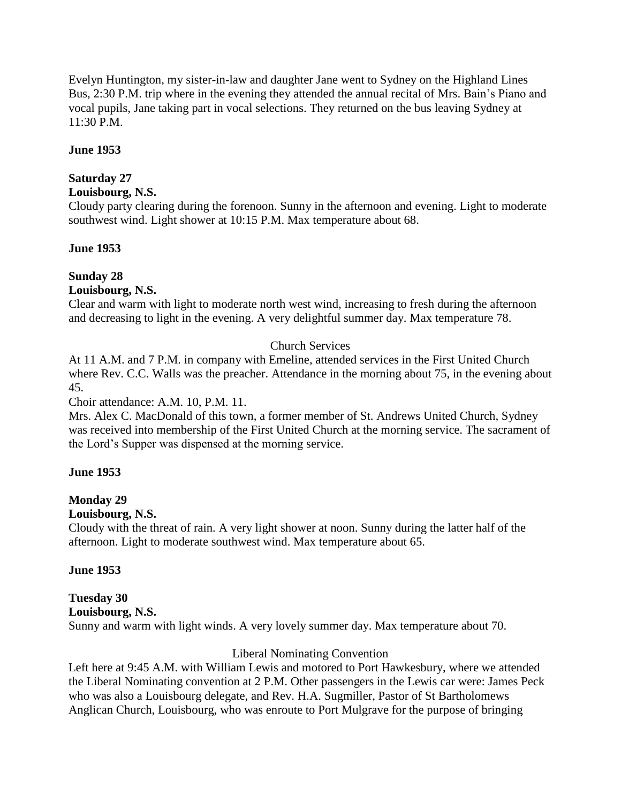Evelyn Huntington, my sister-in-law and daughter Jane went to Sydney on the Highland Lines Bus, 2:30 P.M. trip where in the evening they attended the annual recital of Mrs. Bain's Piano and vocal pupils, Jane taking part in vocal selections. They returned on the bus leaving Sydney at 11:30 P.M.

## **June 1953**

## **Saturday 27**

### **Louisbourg, N.S.**

Cloudy party clearing during the forenoon. Sunny in the afternoon and evening. Light to moderate southwest wind. Light shower at 10:15 P.M. Max temperature about 68.

### **June 1953**

## **Sunday 28**

### **Louisbourg, N.S.**

Clear and warm with light to moderate north west wind, increasing to fresh during the afternoon and decreasing to light in the evening. A very delightful summer day. Max temperature 78.

## Church Services

At 11 A.M. and 7 P.M. in company with Emeline, attended services in the First United Church where Rev. C.C. Walls was the preacher. Attendance in the morning about 75, in the evening about 45.

### Choir attendance: A.M. 10, P.M. 11.

Mrs. Alex C. MacDonald of this town, a former member of St. Andrews United Church, Sydney was received into membership of the First United Church at the morning service. The sacrament of the Lord's Supper was dispensed at the morning service.

### **June 1953**

# **Monday 29**

## **Louisbourg, N.S.**

Cloudy with the threat of rain. A very light shower at noon. Sunny during the latter half of the afternoon. Light to moderate southwest wind. Max temperature about 65.

## **June 1953**

### **Tuesday 30 Louisbourg, N.S.** Sunny and warm with light winds. A very lovely summer day. Max temperature about 70.

## Liberal Nominating Convention

Left here at 9:45 A.M. with William Lewis and motored to Port Hawkesbury, where we attended the Liberal Nominating convention at 2 P.M. Other passengers in the Lewis car were: James Peck who was also a Louisbourg delegate, and Rev. H.A. Sugmiller, Pastor of St Bartholomews Anglican Church, Louisbourg, who was enroute to Port Mulgrave for the purpose of bringing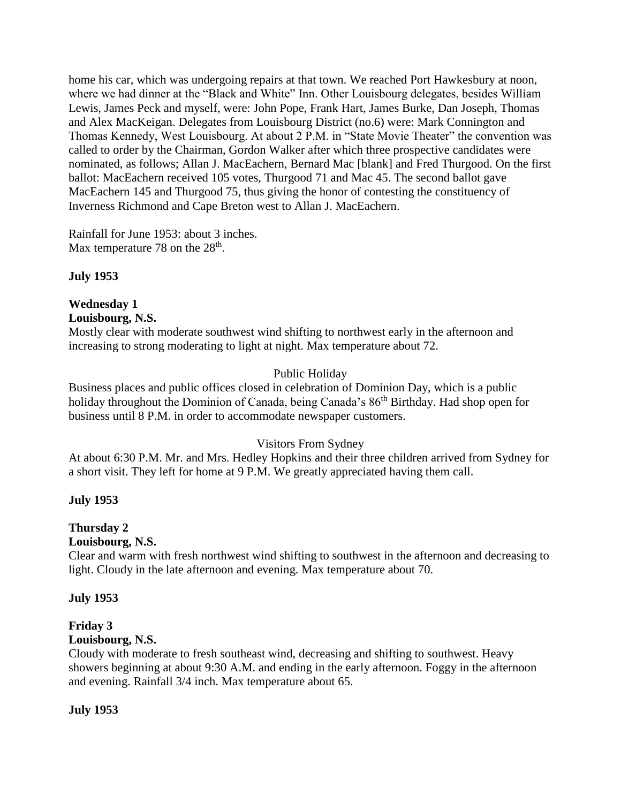home his car, which was undergoing repairs at that town. We reached Port Hawkesbury at noon, where we had dinner at the "Black and White" Inn. Other Louisbourg delegates, besides William Lewis, James Peck and myself, were: John Pope, Frank Hart, James Burke, Dan Joseph, Thomas and Alex MacKeigan. Delegates from Louisbourg District (no.6) were: Mark Connington and Thomas Kennedy, West Louisbourg. At about 2 P.M. in "State Movie Theater" the convention was called to order by the Chairman, Gordon Walker after which three prospective candidates were nominated, as follows; Allan J. MacEachern, Bernard Mac [blank] and Fred Thurgood. On the first ballot: MacEachern received 105 votes, Thurgood 71 and Mac 45. The second ballot gave MacEachern 145 and Thurgood 75, thus giving the honor of contesting the constituency of Inverness Richmond and Cape Breton west to Allan J. MacEachern.

Rainfall for June 1953: about 3 inches. Max temperature 78 on the  $28<sup>th</sup>$ .

**July 1953**

# **Wednesday 1**

**Louisbourg, N.S.**

Mostly clear with moderate southwest wind shifting to northwest early in the afternoon and increasing to strong moderating to light at night. Max temperature about 72.

## Public Holiday

Business places and public offices closed in celebration of Dominion Day, which is a public holiday throughout the Dominion of Canada, being Canada's 86<sup>th</sup> Birthday. Had shop open for business until 8 P.M. in order to accommodate newspaper customers.

## Visitors From Sydney

At about 6:30 P.M. Mr. and Mrs. Hedley Hopkins and their three children arrived from Sydney for a short visit. They left for home at 9 P.M. We greatly appreciated having them call.

## **July 1953**

## **Thursday 2**

## **Louisbourg, N.S.**

Clear and warm with fresh northwest wind shifting to southwest in the afternoon and decreasing to light. Cloudy in the late afternoon and evening. Max temperature about 70.

## **July 1953**

## **Friday 3**

## **Louisbourg, N.S.**

Cloudy with moderate to fresh southeast wind, decreasing and shifting to southwest. Heavy showers beginning at about 9:30 A.M. and ending in the early afternoon. Foggy in the afternoon and evening. Rainfall 3/4 inch. Max temperature about 65.

## **July 1953**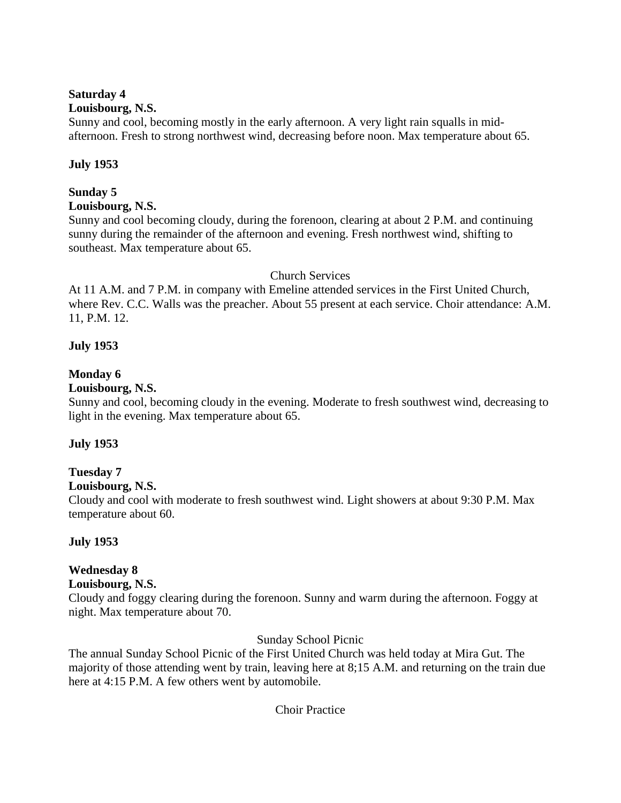### **Saturday 4**

### **Louisbourg, N.S.**

Sunny and cool, becoming mostly in the early afternoon. A very light rain squalls in midafternoon. Fresh to strong northwest wind, decreasing before noon. Max temperature about 65.

## **July 1953**

## **Sunday 5**

### **Louisbourg, N.S.**

Sunny and cool becoming cloudy, during the forenoon, clearing at about 2 P.M. and continuing sunny during the remainder of the afternoon and evening. Fresh northwest wind, shifting to southeast. Max temperature about 65.

## Church Services

At 11 A.M. and 7 P.M. in company with Emeline attended services in the First United Church, where Rev. C.C. Walls was the preacher. About 55 present at each service. Choir attendance: A.M. 11, P.M. 12.

## **July 1953**

## **Monday 6**

## **Louisbourg, N.S.**

Sunny and cool, becoming cloudy in the evening. Moderate to fresh southwest wind, decreasing to light in the evening. Max temperature about 65.

## **July 1953**

## **Tuesday 7**

## **Louisbourg, N.S.**

Cloudy and cool with moderate to fresh southwest wind. Light showers at about 9:30 P.M. Max temperature about 60.

## **July 1953**

## **Wednesday 8**

## **Louisbourg, N.S.**

Cloudy and foggy clearing during the forenoon. Sunny and warm during the afternoon. Foggy at night. Max temperature about 70.

## Sunday School Picnic

The annual Sunday School Picnic of the First United Church was held today at Mira Gut. The majority of those attending went by train, leaving here at 8;15 A.M. and returning on the train due here at 4:15 P.M. A few others went by automobile.

## Choir Practice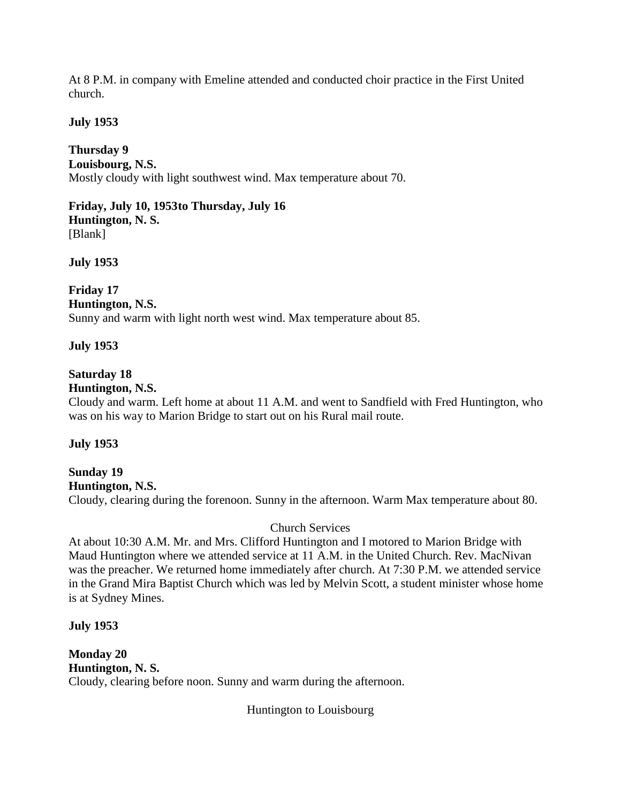At 8 P.M. in company with Emeline attended and conducted choir practice in the First United church.

## **July 1953**

**Thursday 9 Louisbourg, N.S.** Mostly cloudy with light southwest wind. Max temperature about 70.

**Friday, July 10, 1953to Thursday, July 16 Huntington, N. S.** [Blank]

**July 1953**

**Friday 17 Huntington, N.S.**

Sunny and warm with light north west wind. Max temperature about 85.

## **July 1953**

## **Saturday 18**

### **Huntington, N.S.**

Cloudy and warm. Left home at about 11 A.M. and went to Sandfield with Fred Huntington, who was on his way to Marion Bridge to start out on his Rural mail route.

## **July 1953**

**Sunday 19 Huntington, N.S.** Cloudy, clearing during the forenoon. Sunny in the afternoon. Warm Max temperature about 80.

Church Services

At about 10:30 A.M. Mr. and Mrs. Clifford Huntington and I motored to Marion Bridge with Maud Huntington where we attended service at 11 A.M. in the United Church. Rev. MacNivan was the preacher. We returned home immediately after church. At 7:30 P.M. we attended service in the Grand Mira Baptist Church which was led by Melvin Scott, a student minister whose home is at Sydney Mines.

## **July 1953**

**Monday 20 Huntington, N. S.** Cloudy, clearing before noon. Sunny and warm during the afternoon.

Huntington to Louisbourg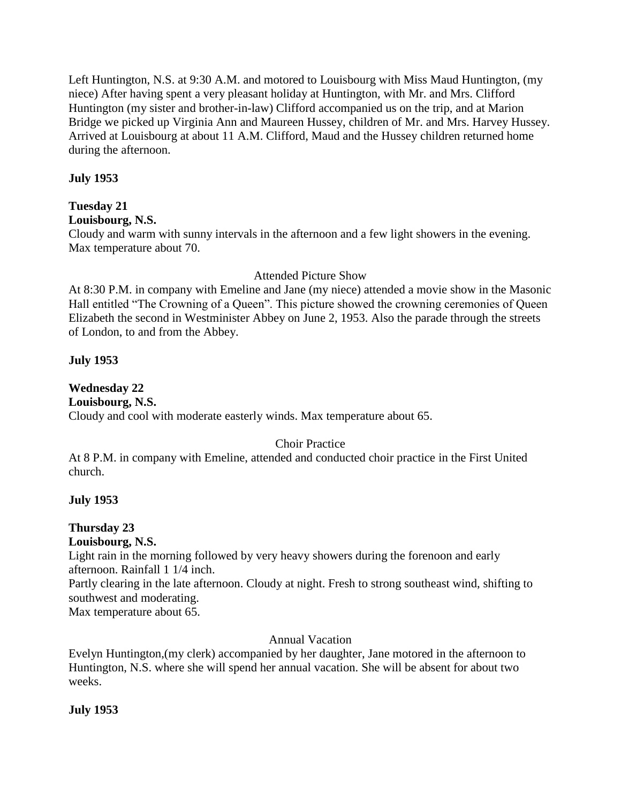Left Huntington, N.S. at 9:30 A.M. and motored to Louisbourg with Miss Maud Huntington, (my niece) After having spent a very pleasant holiday at Huntington, with Mr. and Mrs. Clifford Huntington (my sister and brother-in-law) Clifford accompanied us on the trip, and at Marion Bridge we picked up Virginia Ann and Maureen Hussey, children of Mr. and Mrs. Harvey Hussey. Arrived at Louisbourg at about 11 A.M. Clifford, Maud and the Hussey children returned home during the afternoon.

## **July 1953**

## **Tuesday 21**

**Louisbourg, N.S.**

Cloudy and warm with sunny intervals in the afternoon and a few light showers in the evening. Max temperature about 70.

### Attended Picture Show

At 8:30 P.M. in company with Emeline and Jane (my niece) attended a movie show in the Masonic Hall entitled "The Crowning of a Queen". This picture showed the crowning ceremonies of Queen Elizabeth the second in Westminister Abbey on June 2, 1953. Also the parade through the streets of London, to and from the Abbey.

## **July 1953**

## **Wednesday 22**

**Louisbourg, N.S.**

Cloudy and cool with moderate easterly winds. Max temperature about 65.

## Choir Practice

At 8 P.M. in company with Emeline, attended and conducted choir practice in the First United church.

## **July 1953**

## **Thursday 23**

## **Louisbourg, N.S.**

Light rain in the morning followed by very heavy showers during the forenoon and early afternoon. Rainfall 1 1/4 inch.

Partly clearing in the late afternoon. Cloudy at night. Fresh to strong southeast wind, shifting to southwest and moderating.

Max temperature about 65.

## Annual Vacation

Evelyn Huntington,(my clerk) accompanied by her daughter, Jane motored in the afternoon to Huntington, N.S. where she will spend her annual vacation. She will be absent for about two weeks.

## **July 1953**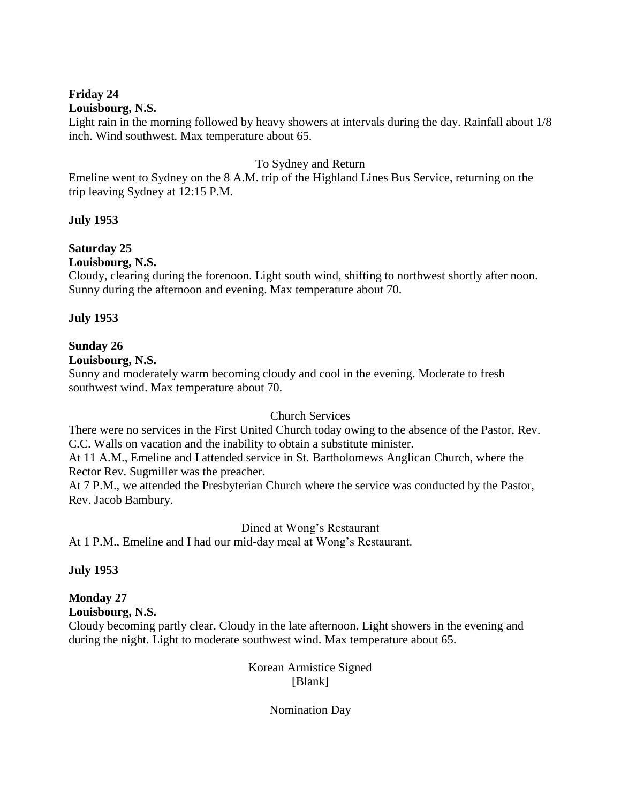#### **Friday 24 Louisbourg, N.S.**

## Light rain in the morning followed by heavy showers at intervals during the day. Rainfall about 1/8 inch. Wind southwest. Max temperature about 65.

## To Sydney and Return

Emeline went to Sydney on the 8 A.M. trip of the Highland Lines Bus Service, returning on the trip leaving Sydney at 12:15 P.M.

## **July 1953**

## **Saturday 25**

**Louisbourg, N.S.**

Cloudy, clearing during the forenoon. Light south wind, shifting to northwest shortly after noon. Sunny during the afternoon and evening. Max temperature about 70.

## **July 1953**

## **Sunday 26**

**Louisbourg, N.S.**

Sunny and moderately warm becoming cloudy and cool in the evening. Moderate to fresh southwest wind. Max temperature about 70.

## Church Services

There were no services in the First United Church today owing to the absence of the Pastor, Rev. C.C. Walls on vacation and the inability to obtain a substitute minister.

At 11 A.M., Emeline and I attended service in St. Bartholomews Anglican Church, where the Rector Rev. Sugmiller was the preacher.

At 7 P.M., we attended the Presbyterian Church where the service was conducted by the Pastor, Rev. Jacob Bambury.

Dined at Wong's Restaurant

At 1 P.M., Emeline and I had our mid-day meal at Wong's Restaurant.

## **July 1953**

## **Monday 27**

**Louisbourg, N.S.**

Cloudy becoming partly clear. Cloudy in the late afternoon. Light showers in the evening and during the night. Light to moderate southwest wind. Max temperature about 65.

> Korean Armistice Signed [Blank]

> > Nomination Day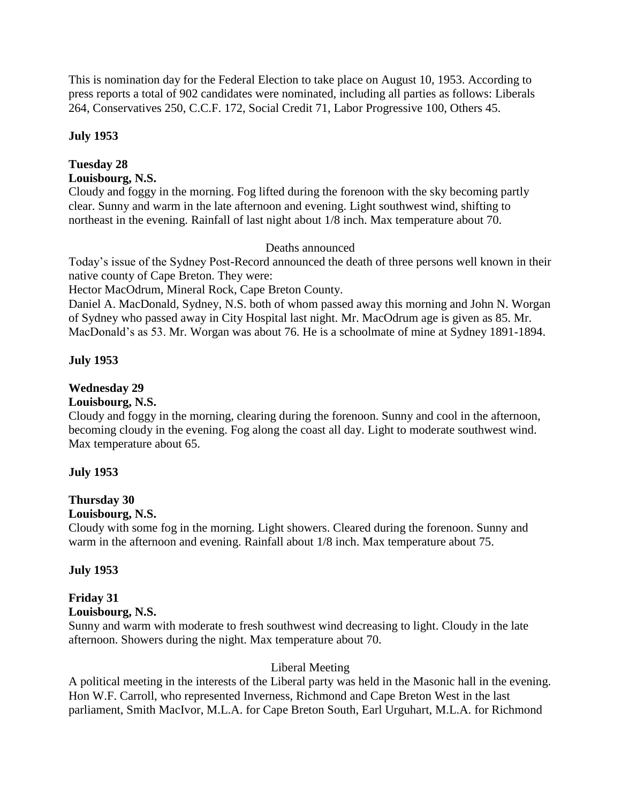This is nomination day for the Federal Election to take place on August 10, 1953. According to press reports a total of 902 candidates were nominated, including all parties as follows: Liberals 264, Conservatives 250, C.C.F. 172, Social Credit 71, Labor Progressive 100, Others 45.

### **July 1953**

## **Tuesday 28**

## **Louisbourg, N.S.**

Cloudy and foggy in the morning. Fog lifted during the forenoon with the sky becoming partly clear. Sunny and warm in the late afternoon and evening. Light southwest wind, shifting to northeast in the evening. Rainfall of last night about 1/8 inch. Max temperature about 70.

## Deaths announced

Today's issue of the Sydney Post-Record announced the death of three persons well known in their native county of Cape Breton. They were:

Hector MacOdrum, Mineral Rock, Cape Breton County.

Daniel A. MacDonald, Sydney, N.S. both of whom passed away this morning and John N. Worgan of Sydney who passed away in City Hospital last night. Mr. MacOdrum age is given as 85. Mr. MacDonald's as 53. Mr. Worgan was about 76. He is a schoolmate of mine at Sydney 1891-1894.

## **July 1953**

## **Wednesday 29**

## **Louisbourg, N.S.**

Cloudy and foggy in the morning, clearing during the forenoon. Sunny and cool in the afternoon, becoming cloudy in the evening. Fog along the coast all day. Light to moderate southwest wind. Max temperature about 65.

## **July 1953**

## **Thursday 30**

## **Louisbourg, N.S.**

Cloudy with some fog in the morning. Light showers. Cleared during the forenoon. Sunny and warm in the afternoon and evening. Rainfall about 1/8 inch. Max temperature about 75.

## **July 1953**

## **Friday 31**

## **Louisbourg, N.S.**

Sunny and warm with moderate to fresh southwest wind decreasing to light. Cloudy in the late afternoon. Showers during the night. Max temperature about 70.

## Liberal Meeting

A political meeting in the interests of the Liberal party was held in the Masonic hall in the evening. Hon W.F. Carroll, who represented Inverness, Richmond and Cape Breton West in the last parliament, Smith MacIvor, M.L.A. for Cape Breton South, Earl Urguhart, M.L.A. for Richmond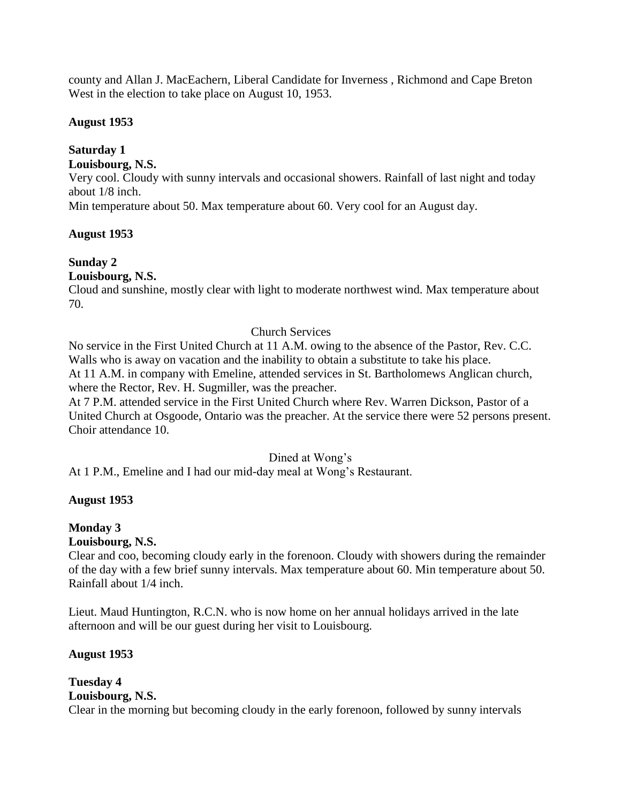county and Allan J. MacEachern, Liberal Candidate for Inverness , Richmond and Cape Breton West in the election to take place on August 10, 1953.

## **August 1953**

## **Saturday 1**

## **Louisbourg, N.S.**

Very cool. Cloudy with sunny intervals and occasional showers. Rainfall of last night and today about 1/8 inch.

Min temperature about 50. Max temperature about 60. Very cool for an August day.

## **August 1953**

## **Sunday 2**

## **Louisbourg, N.S.**

Cloud and sunshine, mostly clear with light to moderate northwest wind. Max temperature about 70.

## Church Services

No service in the First United Church at 11 A.M. owing to the absence of the Pastor, Rev. C.C. Walls who is away on vacation and the inability to obtain a substitute to take his place. At 11 A.M. in company with Emeline, attended services in St. Bartholomews Anglican church, where the Rector, Rev. H. Sugmiller, was the preacher.

At 7 P.M. attended service in the First United Church where Rev. Warren Dickson, Pastor of a United Church at Osgoode, Ontario was the preacher. At the service there were 52 persons present. Choir attendance 10.

## Dined at Wong's

At 1 P.M., Emeline and I had our mid-day meal at Wong's Restaurant.

## **August 1953**

## **Monday 3**

## **Louisbourg, N.S.**

Clear and coo, becoming cloudy early in the forenoon. Cloudy with showers during the remainder of the day with a few brief sunny intervals. Max temperature about 60. Min temperature about 50. Rainfall about 1/4 inch.

Lieut. Maud Huntington, R.C.N. who is now home on her annual holidays arrived in the late afternoon and will be our guest during her visit to Louisbourg.

## **August 1953**

### **Tuesday 4 Louisbourg, N.S.** Clear in the morning but becoming cloudy in the early forenoon, followed by sunny intervals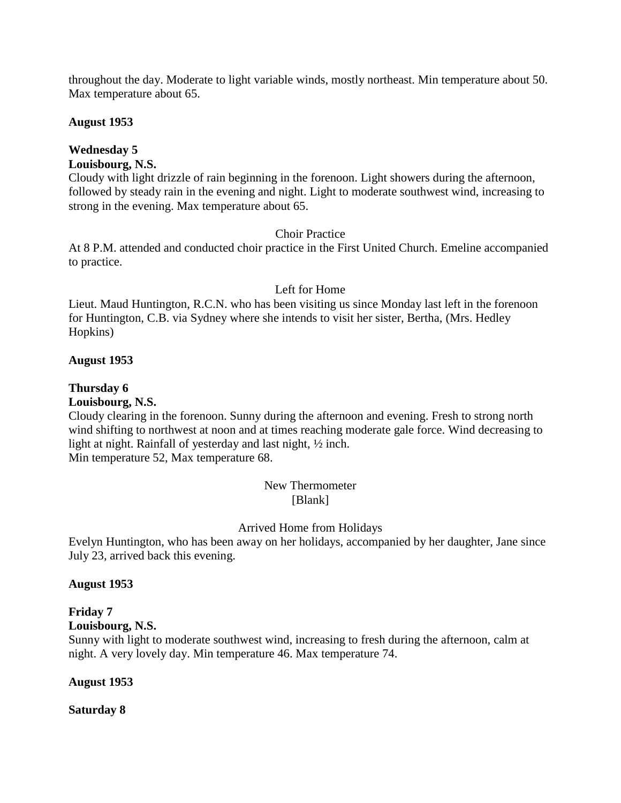throughout the day. Moderate to light variable winds, mostly northeast. Min temperature about 50. Max temperature about 65.

### **August 1953**

## **Wednesday 5**

### **Louisbourg, N.S.**

Cloudy with light drizzle of rain beginning in the forenoon. Light showers during the afternoon, followed by steady rain in the evening and night. Light to moderate southwest wind, increasing to strong in the evening. Max temperature about 65.

### Choir Practice

At 8 P.M. attended and conducted choir practice in the First United Church. Emeline accompanied to practice.

### Left for Home

Lieut. Maud Huntington, R.C.N. who has been visiting us since Monday last left in the forenoon for Huntington, C.B. via Sydney where she intends to visit her sister, Bertha, (Mrs. Hedley Hopkins)

### **August 1953**

## **Thursday 6**

### **Louisbourg, N.S.**

Cloudy clearing in the forenoon. Sunny during the afternoon and evening. Fresh to strong north wind shifting to northwest at noon and at times reaching moderate gale force. Wind decreasing to light at night. Rainfall of yesterday and last night, ½ inch. Min temperature 52, Max temperature 68.

> New Thermometer [Blank]

## Arrived Home from Holidays

Evelyn Huntington, who has been away on her holidays, accompanied by her daughter, Jane since July 23, arrived back this evening.

### **August 1953**

## **Friday 7**

**Louisbourg, N.S.**

Sunny with light to moderate southwest wind, increasing to fresh during the afternoon, calm at night. A very lovely day. Min temperature 46. Max temperature 74.

### **August 1953**

**Saturday 8**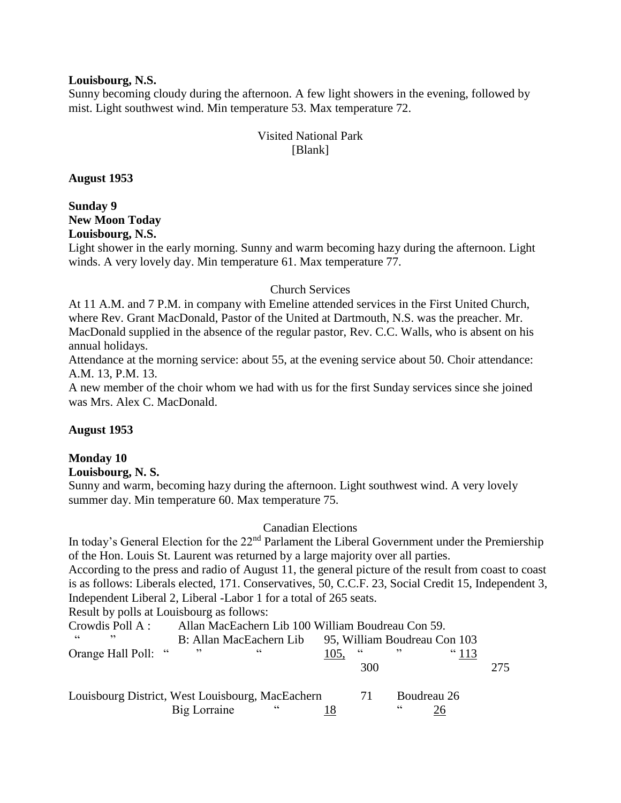#### **Louisbourg, N.S.**

Sunny becoming cloudy during the afternoon. A few light showers in the evening, followed by mist. Light southwest wind. Min temperature 53. Max temperature 72.

## Visited National Park [Blank]

**August 1953**

**Sunday 9 New Moon Today Louisbourg, N.S.**

Light shower in the early morning. Sunny and warm becoming hazy during the afternoon. Light winds. A very lovely day. Min temperature 61. Max temperature 77.

### Church Services

At 11 A.M. and 7 P.M. in company with Emeline attended services in the First United Church, where Rev. Grant MacDonald, Pastor of the United at Dartmouth, N.S. was the preacher. Mr. MacDonald supplied in the absence of the regular pastor, Rev. C.C. Walls, who is absent on his annual holidays.

Attendance at the morning service: about 55, at the evening service about 50. Choir attendance: A.M. 13, P.M. 13.

A new member of the choir whom we had with us for the first Sunday services since she joined was Mrs. Alex C. MacDonald.

## **August 1953**

## **Monday 10**

### **Louisbourg, N. S.**

Sunny and warm, becoming hazy during the afternoon. Light southwest wind. A very lovely summer day. Min temperature 60. Max temperature 75.

## Canadian Elections

In today's General Election for the 22<sup>nd</sup> Parlament the Liberal Government under the Premiership of the Hon. Louis St. Laurent was returned by a large majority over all parties.

According to the press and radio of August 11, the general picture of the result from coast to coast is as follows: Liberals elected, 171. Conservatives, 50, C.C.F. 23, Social Credit 15, Independent 3, Independent Liberal 2, Liberal -Labor 1 for a total of 265 seats.

Result by polls at Louisbourg as follows:

| Crowdis Poll A:                                  | Allan MacEachern Lib 100 William Boudreau Con 59. |            |                              |            |             |                |     |
|--------------------------------------------------|---------------------------------------------------|------------|------------------------------|------------|-------------|----------------|-----|
| cc<br>, 2                                        | B: Allan MacEachern Lib                           |            | 95, William Boudreau Con 103 |            |             |                |     |
| Orange Hall Poll: "                              | , 2                                               | $\epsilon$ | 105.                         | $\epsilon$ |             | $^{\circ}$ 113 |     |
|                                                  |                                                   |            |                              | 300        |             |                | 275 |
| Louisbourg District, West Louisbourg, MacEachern |                                                   |            | 71                           | 66         | Boudreau 26 |                |     |
|                                                  | Big Lorraine                                      | $\epsilon$ |                              |            |             |                |     |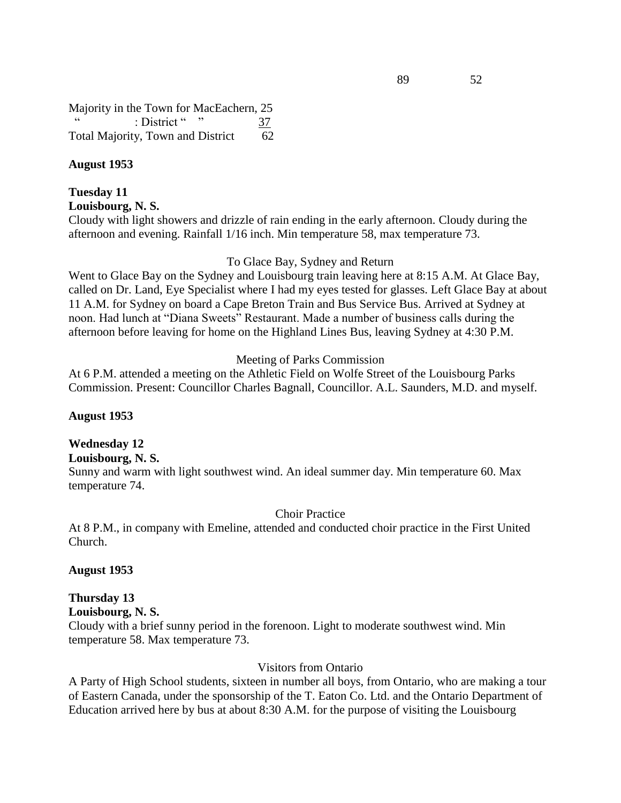Majority in the Town for MacEachern, 25 : District " 37 Total Majority, Town and District 62

### **August 1953**

#### **Tuesday 11 Louisbourg, N. S.**

Cloudy with light showers and drizzle of rain ending in the early afternoon. Cloudy during the afternoon and evening. Rainfall 1/16 inch. Min temperature 58, max temperature 73.

### To Glace Bay, Sydney and Return

Went to Glace Bay on the Sydney and Louisbourg train leaving here at 8:15 A.M. At Glace Bay, called on Dr. Land, Eye Specialist where I had my eyes tested for glasses. Left Glace Bay at about 11 A.M. for Sydney on board a Cape Breton Train and Bus Service Bus. Arrived at Sydney at noon. Had lunch at "Diana Sweets" Restaurant. Made a number of business calls during the afternoon before leaving for home on the Highland Lines Bus, leaving Sydney at 4:30 P.M.

#### Meeting of Parks Commission

At 6 P.M. attended a meeting on the Athletic Field on Wolfe Street of the Louisbourg Parks Commission. Present: Councillor Charles Bagnall, Councillor. A.L. Saunders, M.D. and myself.

#### **August 1953**

#### **Wednesday 12**

**Louisbourg, N. S.**

Sunny and warm with light southwest wind. An ideal summer day. Min temperature 60. Max temperature 74.

Choir Practice

At 8 P.M., in company with Emeline, attended and conducted choir practice in the First United Church.

#### **August 1953**

#### **Thursday 13 Louisbourg, N. S.**

Cloudy with a brief sunny period in the forenoon. Light to moderate southwest wind. Min temperature 58. Max temperature 73.

#### Visitors from Ontario

A Party of High School students, sixteen in number all boys, from Ontario, who are making a tour of Eastern Canada, under the sponsorship of the T. Eaton Co. Ltd. and the Ontario Department of Education arrived here by bus at about 8:30 A.M. for the purpose of visiting the Louisbourg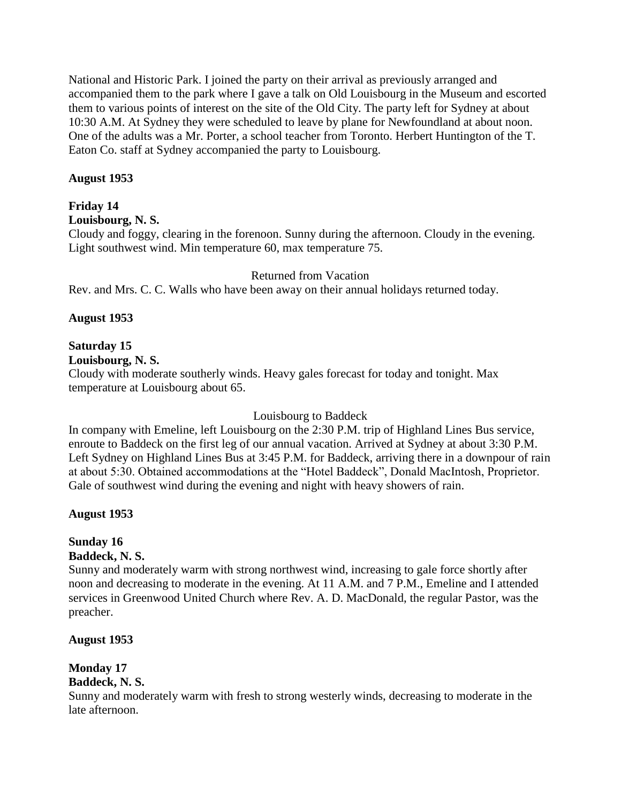National and Historic Park. I joined the party on their arrival as previously arranged and accompanied them to the park where I gave a talk on Old Louisbourg in the Museum and escorted them to various points of interest on the site of the Old City. The party left for Sydney at about 10:30 A.M. At Sydney they were scheduled to leave by plane for Newfoundland at about noon. One of the adults was a Mr. Porter, a school teacher from Toronto. Herbert Huntington of the T. Eaton Co. staff at Sydney accompanied the party to Louisbourg.

## **August 1953**

## **Friday 14**

**Louisbourg, N. S.**

Cloudy and foggy, clearing in the forenoon. Sunny during the afternoon. Cloudy in the evening. Light southwest wind. Min temperature 60, max temperature 75.

### Returned from Vacation

Rev. and Mrs. C. C. Walls who have been away on their annual holidays returned today.

## **August 1953**

## **Saturday 15**

**Louisbourg, N. S.**

Cloudy with moderate southerly winds. Heavy gales forecast for today and tonight. Max temperature at Louisbourg about 65.

## Louisbourg to Baddeck

In company with Emeline, left Louisbourg on the 2:30 P.M. trip of Highland Lines Bus service, enroute to Baddeck on the first leg of our annual vacation. Arrived at Sydney at about 3:30 P.M. Left Sydney on Highland Lines Bus at 3:45 P.M. for Baddeck, arriving there in a downpour of rain at about 5:30. Obtained accommodations at the "Hotel Baddeck", Donald MacIntosh, Proprietor. Gale of southwest wind during the evening and night with heavy showers of rain.

## **August 1953**

# **Sunday 16**

## **Baddeck, N. S.**

Sunny and moderately warm with strong northwest wind, increasing to gale force shortly after noon and decreasing to moderate in the evening. At 11 A.M. and 7 P.M., Emeline and I attended services in Greenwood United Church where Rev. A. D. MacDonald, the regular Pastor, was the preacher.

## **August 1953**

## **Monday 17**

## **Baddeck, N. S.**

Sunny and moderately warm with fresh to strong westerly winds, decreasing to moderate in the late afternoon.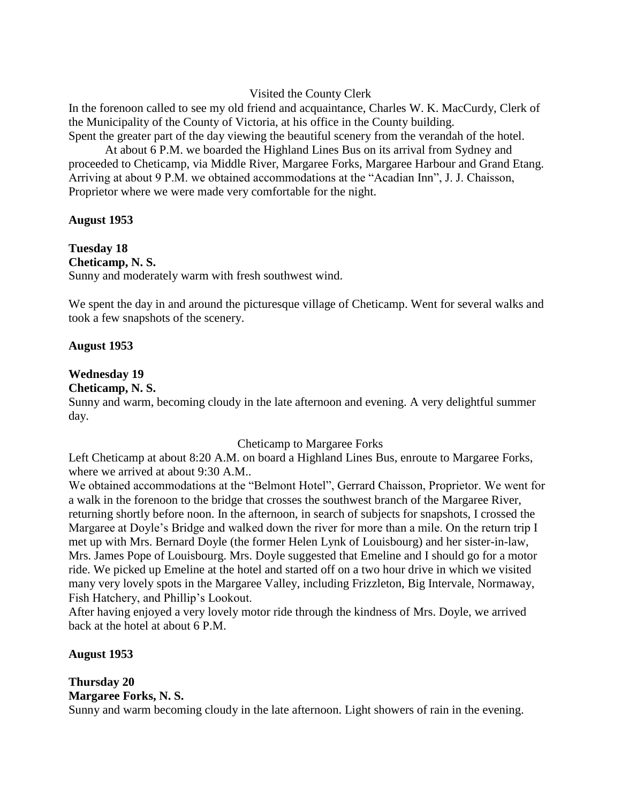### Visited the County Clerk

In the forenoon called to see my old friend and acquaintance, Charles W. K. MacCurdy, Clerk of the Municipality of the County of Victoria, at his office in the County building. Spent the greater part of the day viewing the beautiful scenery from the verandah of the hotel.

At about 6 P.M. we boarded the Highland Lines Bus on its arrival from Sydney and proceeded to Cheticamp, via Middle River, Margaree Forks, Margaree Harbour and Grand Etang. Arriving at about 9 P.M. we obtained accommodations at the "Acadian Inn", J. J. Chaisson, Proprietor where we were made very comfortable for the night.

### **August 1953**

**Tuesday 18 Cheticamp, N. S.** Sunny and moderately warm with fresh southwest wind.

We spent the day in and around the picturesque village of Cheticamp. Went for several walks and took a few snapshots of the scenery.

#### **August 1953**

### **Wednesday 19**

#### **Cheticamp, N. S.**

Sunny and warm, becoming cloudy in the late afternoon and evening. A very delightful summer day.

### Cheticamp to Margaree Forks

Left Cheticamp at about 8:20 A.M. on board a Highland Lines Bus, enroute to Margaree Forks, where we arrived at about 9:30 A.M..

We obtained accommodations at the "Belmont Hotel", Gerrard Chaisson, Proprietor. We went for a walk in the forenoon to the bridge that crosses the southwest branch of the Margaree River, returning shortly before noon. In the afternoon, in search of subjects for snapshots, I crossed the Margaree at Doyle's Bridge and walked down the river for more than a mile. On the return trip I met up with Mrs. Bernard Doyle (the former Helen Lynk of Louisbourg) and her sister-in-law, Mrs. James Pope of Louisbourg. Mrs. Doyle suggested that Emeline and I should go for a motor ride. We picked up Emeline at the hotel and started off on a two hour drive in which we visited many very lovely spots in the Margaree Valley, including Frizzleton, Big Intervale, Normaway, Fish Hatchery, and Phillip's Lookout.

After having enjoyed a very lovely motor ride through the kindness of Mrs. Doyle, we arrived back at the hotel at about 6 P.M.

### **August 1953**

## **Thursday 20 Margaree Forks, N. S.**

Sunny and warm becoming cloudy in the late afternoon. Light showers of rain in the evening.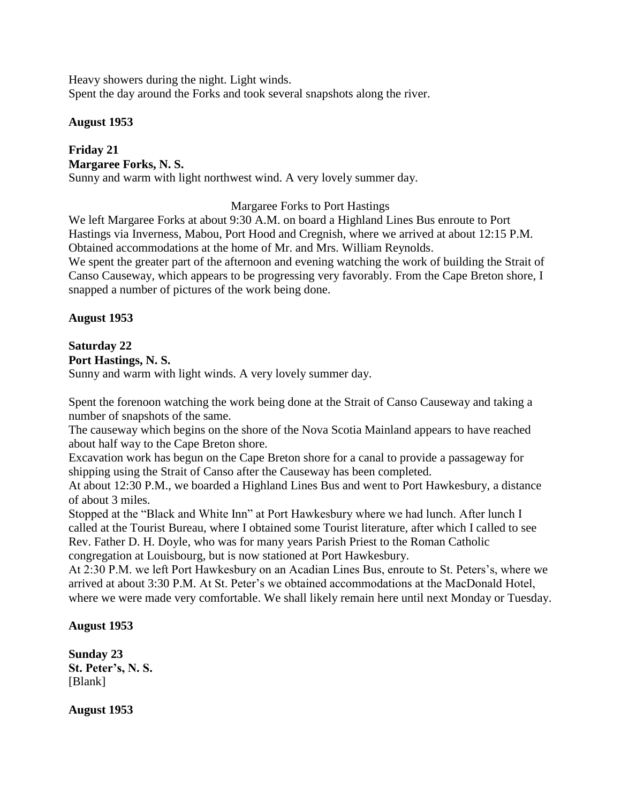Heavy showers during the night. Light winds. Spent the day around the Forks and took several snapshots along the river.

### **August 1953**

### **Friday 21 Margaree Forks, N. S.** Sunny and warm with light northwest wind. A very lovely summer day.

Margaree Forks to Port Hastings

We left Margaree Forks at about 9:30 A.M. on board a Highland Lines Bus enroute to Port Hastings via Inverness, Mabou, Port Hood and Cregnish, where we arrived at about 12:15 P.M. Obtained accommodations at the home of Mr. and Mrs. William Reynolds. We spent the greater part of the afternoon and evening watching the work of building the Strait of

Canso Causeway, which appears to be progressing very favorably. From the Cape Breton shore, I snapped a number of pictures of the work being done.

### **August 1953**

## **Saturday 22**

**Port Hastings, N. S.**

Sunny and warm with light winds. A very lovely summer day.

Spent the forenoon watching the work being done at the Strait of Canso Causeway and taking a number of snapshots of the same.

The causeway which begins on the shore of the Nova Scotia Mainland appears to have reached about half way to the Cape Breton shore.

Excavation work has begun on the Cape Breton shore for a canal to provide a passageway for shipping using the Strait of Canso after the Causeway has been completed.

At about 12:30 P.M., we boarded a Highland Lines Bus and went to Port Hawkesbury, a distance of about 3 miles.

Stopped at the "Black and White Inn" at Port Hawkesbury where we had lunch. After lunch I called at the Tourist Bureau, where I obtained some Tourist literature, after which I called to see Rev. Father D. H. Doyle, who was for many years Parish Priest to the Roman Catholic congregation at Louisbourg, but is now stationed at Port Hawkesbury.

At 2:30 P.M. we left Port Hawkesbury on an Acadian Lines Bus, enroute to St. Peters's, where we arrived at about 3:30 P.M. At St. Peter's we obtained accommodations at the MacDonald Hotel, where we were made very comfortable. We shall likely remain here until next Monday or Tuesday.

## **August 1953**

**Sunday 23 St. Peter's, N. S.** [Blank]

**August 1953**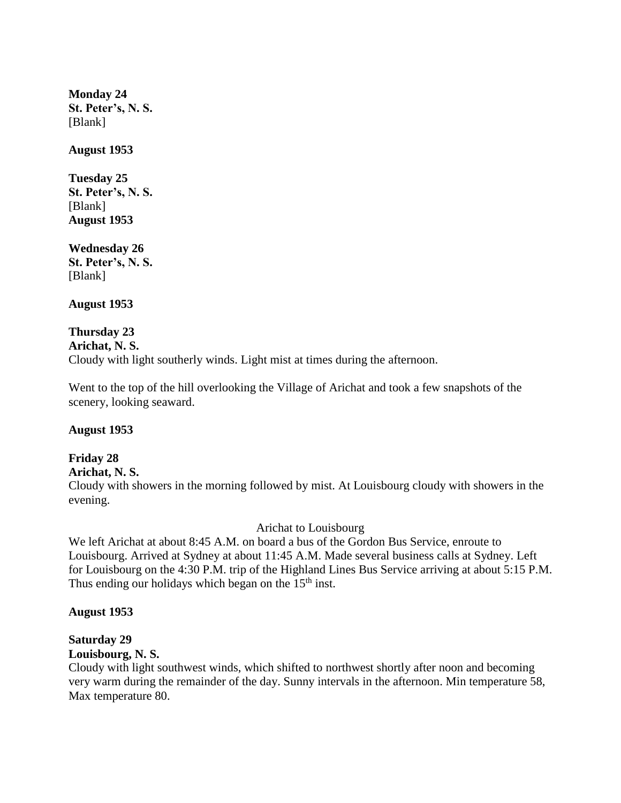**Monday 24 St. Peter's, N. S.** [Blank]

**August 1953**

**Tuesday 25 St. Peter's, N. S.** [Blank] **August 1953**

**Wednesday 26 St. Peter's, N. S.** [Blank]

**August 1953**

#### **Thursday 23 Arichat, N. S.**

Cloudy with light southerly winds. Light mist at times during the afternoon.

Went to the top of the hill overlooking the Village of Arichat and took a few snapshots of the scenery, looking seaward.

## **August 1953**

## **Friday 28**

**Arichat, N. S.**

Cloudy with showers in the morning followed by mist. At Louisbourg cloudy with showers in the evening.

### Arichat to Louisbourg

We left Arichat at about 8:45 A.M. on board a bus of the Gordon Bus Service, enroute to Louisbourg. Arrived at Sydney at about 11:45 A.M. Made several business calls at Sydney. Left for Louisbourg on the 4:30 P.M. trip of the Highland Lines Bus Service arriving at about 5:15 P.M. Thus ending our holidays which began on the  $15<sup>th</sup>$  inst.

### **August 1953**

## **Saturday 29**

## **Louisbourg, N. S.**

Cloudy with light southwest winds, which shifted to northwest shortly after noon and becoming very warm during the remainder of the day. Sunny intervals in the afternoon. Min temperature 58, Max temperature 80.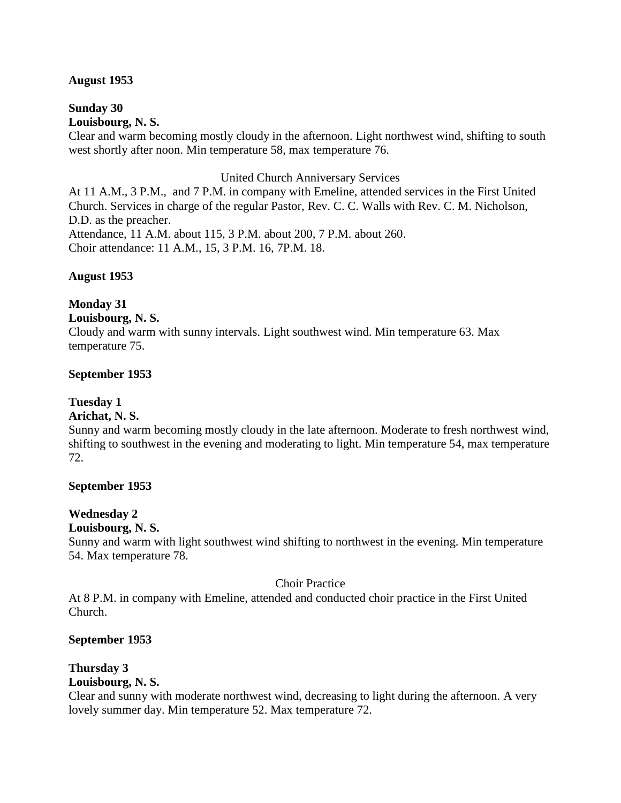#### **August 1953**

#### **Sunday 30 Louisbourg, N. S.**

Clear and warm becoming mostly cloudy in the afternoon. Light northwest wind, shifting to south west shortly after noon. Min temperature 58, max temperature 76.

#### United Church Anniversary Services

At 11 A.M., 3 P.M., and 7 P.M. in company with Emeline, attended services in the First United Church. Services in charge of the regular Pastor, Rev. C. C. Walls with Rev. C. M. Nicholson, D.D. as the preacher.

Attendance, 11 A.M. about 115, 3 P.M. about 200, 7 P.M. about 260. Choir attendance: 11 A.M., 15, 3 P.M. 16, 7P.M. 18.

#### **August 1953**

## **Monday 31**

#### **Louisbourg, N. S.**

Cloudy and warm with sunny intervals. Light southwest wind. Min temperature 63. Max temperature 75.

#### **September 1953**

## **Tuesday 1**

## **Arichat, N. S.**

Sunny and warm becoming mostly cloudy in the late afternoon. Moderate to fresh northwest wind, shifting to southwest in the evening and moderating to light. Min temperature 54, max temperature 72.

#### **September 1953**

#### **Wednesday 2**

#### **Louisbourg, N. S.**

Sunny and warm with light southwest wind shifting to northwest in the evening. Min temperature 54. Max temperature 78.

#### Choir Practice

At 8 P.M. in company with Emeline, attended and conducted choir practice in the First United Church.

#### **September 1953**

## **Thursday 3**

## **Louisbourg, N. S.**

Clear and sunny with moderate northwest wind, decreasing to light during the afternoon. A very lovely summer day. Min temperature 52. Max temperature 72.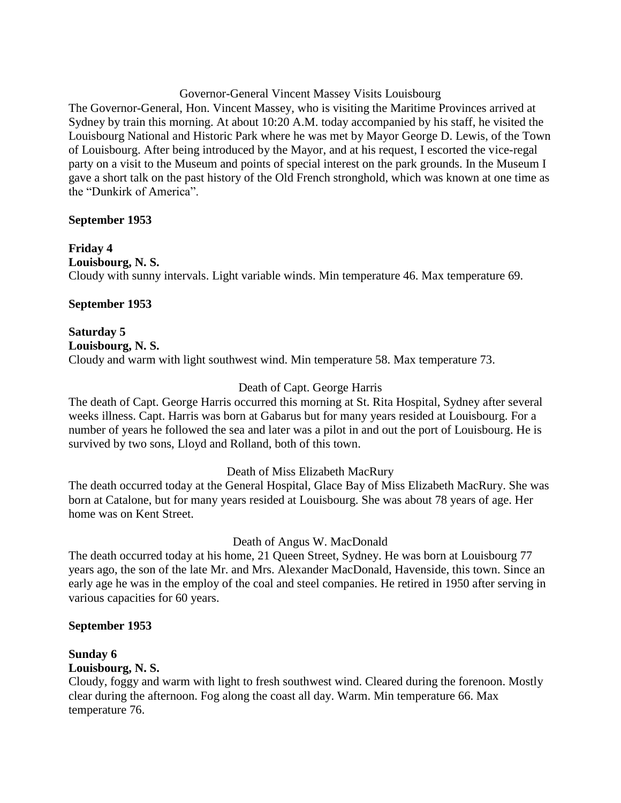### Governor-General Vincent Massey Visits Louisbourg

The Governor-General, Hon. Vincent Massey, who is visiting the Maritime Provinces arrived at Sydney by train this morning. At about 10:20 A.M. today accompanied by his staff, he visited the Louisbourg National and Historic Park where he was met by Mayor George D. Lewis, of the Town of Louisbourg. After being introduced by the Mayor, and at his request, I escorted the vice-regal party on a visit to the Museum and points of special interest on the park grounds. In the Museum I gave a short talk on the past history of the Old French stronghold, which was known at one time as the "Dunkirk of America".

## **September 1953**

**Friday 4 Louisbourg, N. S.** Cloudy with sunny intervals. Light variable winds. Min temperature 46. Max temperature 69.

## **September 1953**

**Saturday 5 Louisbourg, N. S.** Cloudy and warm with light southwest wind. Min temperature 58. Max temperature 73.

## Death of Capt. George Harris

The death of Capt. George Harris occurred this morning at St. Rita Hospital, Sydney after several weeks illness. Capt. Harris was born at Gabarus but for many years resided at Louisbourg. For a number of years he followed the sea and later was a pilot in and out the port of Louisbourg. He is survived by two sons, Lloyd and Rolland, both of this town.

Death of Miss Elizabeth MacRury

The death occurred today at the General Hospital, Glace Bay of Miss Elizabeth MacRury. She was born at Catalone, but for many years resided at Louisbourg. She was about 78 years of age. Her home was on Kent Street.

Death of Angus W. MacDonald

The death occurred today at his home, 21 Queen Street, Sydney. He was born at Louisbourg 77 years ago, the son of the late Mr. and Mrs. Alexander MacDonald, Havenside, this town. Since an early age he was in the employ of the coal and steel companies. He retired in 1950 after serving in various capacities for 60 years.

## **September 1953**

## **Sunday 6**

## **Louisbourg, N. S.**

Cloudy, foggy and warm with light to fresh southwest wind. Cleared during the forenoon. Mostly clear during the afternoon. Fog along the coast all day. Warm. Min temperature 66. Max temperature 76.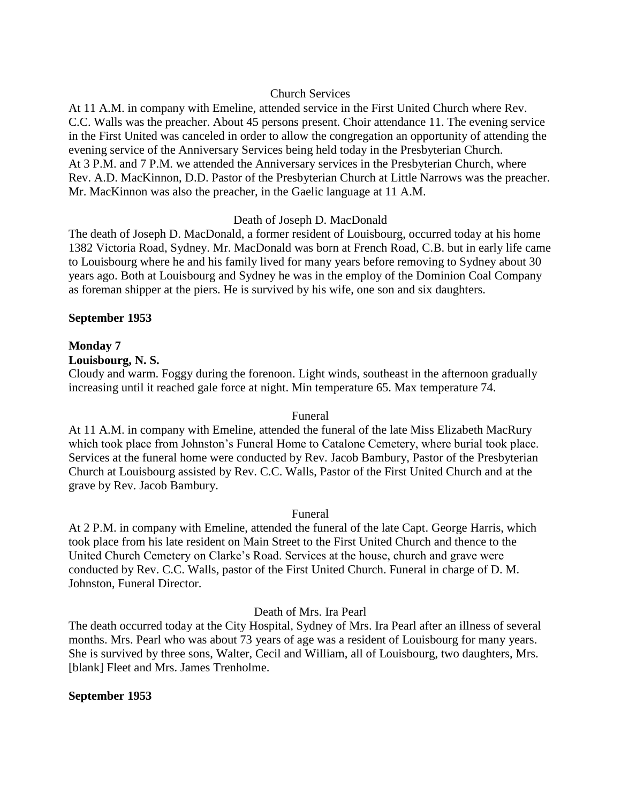#### Church Services

At 11 A.M. in company with Emeline, attended service in the First United Church where Rev. C.C. Walls was the preacher. About 45 persons present. Choir attendance 11. The evening service in the First United was canceled in order to allow the congregation an opportunity of attending the evening service of the Anniversary Services being held today in the Presbyterian Church. At 3 P.M. and 7 P.M. we attended the Anniversary services in the Presbyterian Church, where Rev. A.D. MacKinnon, D.D. Pastor of the Presbyterian Church at Little Narrows was the preacher. Mr. MacKinnon was also the preacher, in the Gaelic language at 11 A.M.

## Death of Joseph D. MacDonald

The death of Joseph D. MacDonald, a former resident of Louisbourg, occurred today at his home 1382 Victoria Road, Sydney. Mr. MacDonald was born at French Road, C.B. but in early life came to Louisbourg where he and his family lived for many years before removing to Sydney about 30 years ago. Both at Louisbourg and Sydney he was in the employ of the Dominion Coal Company as foreman shipper at the piers. He is survived by his wife, one son and six daughters.

## **September 1953**

## **Monday 7**

#### **Louisbourg, N. S.**

Cloudy and warm. Foggy during the forenoon. Light winds, southeast in the afternoon gradually increasing until it reached gale force at night. Min temperature 65. Max temperature 74.

#### Funeral

At 11 A.M. in company with Emeline, attended the funeral of the late Miss Elizabeth MacRury which took place from Johnston's Funeral Home to Catalone Cemetery, where burial took place. Services at the funeral home were conducted by Rev. Jacob Bambury, Pastor of the Presbyterian Church at Louisbourg assisted by Rev. C.C. Walls, Pastor of the First United Church and at the grave by Rev. Jacob Bambury.

#### Funeral

At 2 P.M. in company with Emeline, attended the funeral of the late Capt. George Harris, which took place from his late resident on Main Street to the First United Church and thence to the United Church Cemetery on Clarke's Road. Services at the house, church and grave were conducted by Rev. C.C. Walls, pastor of the First United Church. Funeral in charge of D. M. Johnston, Funeral Director.

## Death of Mrs. Ira Pearl

The death occurred today at the City Hospital, Sydney of Mrs. Ira Pearl after an illness of several months. Mrs. Pearl who was about 73 years of age was a resident of Louisbourg for many years. She is survived by three sons, Walter, Cecil and William, all of Louisbourg, two daughters, Mrs. [blank] Fleet and Mrs. James Trenholme.

#### **September 1953**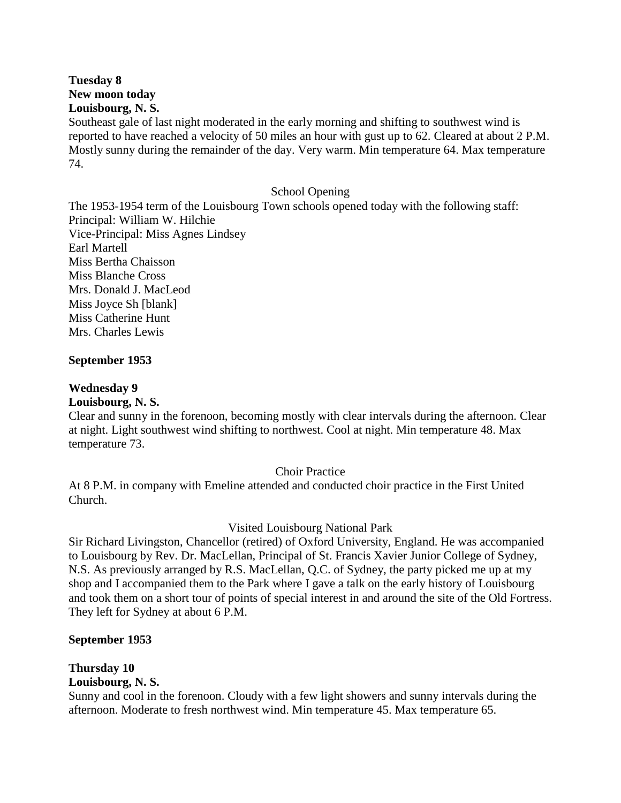**Tuesday 8 New moon today Louisbourg, N. S.**

Southeast gale of last night moderated in the early morning and shifting to southwest wind is reported to have reached a velocity of 50 miles an hour with gust up to 62. Cleared at about 2 P.M. Mostly sunny during the remainder of the day. Very warm. Min temperature 64. Max temperature 74.

#### School Opening

The 1953-1954 term of the Louisbourg Town schools opened today with the following staff: Principal: William W. Hilchie Vice-Principal: Miss Agnes Lindsey Earl Martell Miss Bertha Chaisson Miss Blanche Cross Mrs. Donald J. MacLeod Miss Joyce Sh [blank] Miss Catherine Hunt Mrs. Charles Lewis

#### **September 1953**

#### **Wednesday 9**

#### **Louisbourg, N. S.**

Clear and sunny in the forenoon, becoming mostly with clear intervals during the afternoon. Clear at night. Light southwest wind shifting to northwest. Cool at night. Min temperature 48. Max temperature 73.

#### Choir Practice

At 8 P.M. in company with Emeline attended and conducted choir practice in the First United Church.

#### Visited Louisbourg National Park

Sir Richard Livingston, Chancellor (retired) of Oxford University, England. He was accompanied to Louisbourg by Rev. Dr. MacLellan, Principal of St. Francis Xavier Junior College of Sydney, N.S. As previously arranged by R.S. MacLellan, Q.C. of Sydney, the party picked me up at my shop and I accompanied them to the Park where I gave a talk on the early history of Louisbourg and took them on a short tour of points of special interest in and around the site of the Old Fortress. They left for Sydney at about 6 P.M.

#### **September 1953**

## **Thursday 10**

**Louisbourg, N. S.**

Sunny and cool in the forenoon. Cloudy with a few light showers and sunny intervals during the afternoon. Moderate to fresh northwest wind. Min temperature 45. Max temperature 65.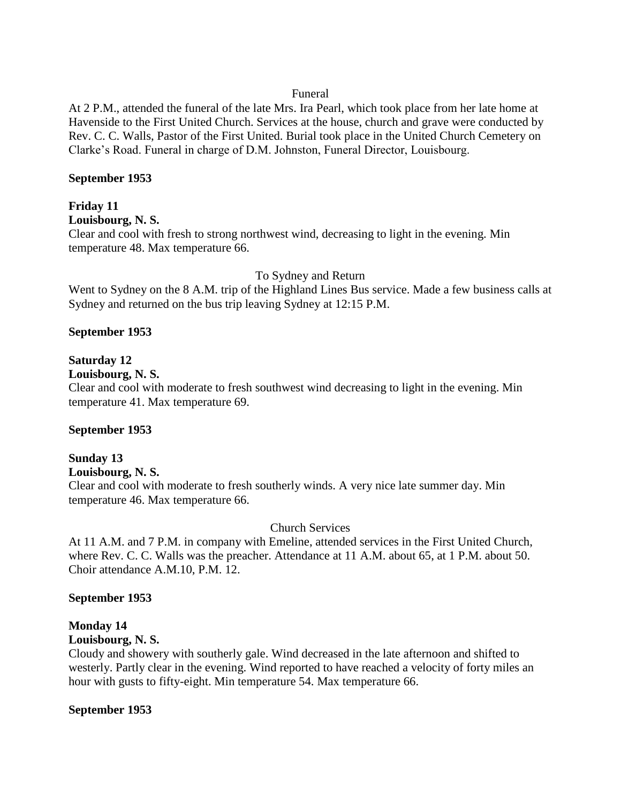#### Funeral

At 2 P.M., attended the funeral of the late Mrs. Ira Pearl, which took place from her late home at Havenside to the First United Church. Services at the house, church and grave were conducted by Rev. C. C. Walls, Pastor of the First United. Burial took place in the United Church Cemetery on Clarke's Road. Funeral in charge of D.M. Johnston, Funeral Director, Louisbourg.

#### **September 1953**

## **Friday 11**

## **Louisbourg, N. S.**

Clear and cool with fresh to strong northwest wind, decreasing to light in the evening. Min temperature 48. Max temperature 66.

## To Sydney and Return

Went to Sydney on the 8 A.M. trip of the Highland Lines Bus service. Made a few business calls at Sydney and returned on the bus trip leaving Sydney at 12:15 P.M.

## **September 1953**

## **Saturday 12**

## **Louisbourg, N. S.**

Clear and cool with moderate to fresh southwest wind decreasing to light in the evening. Min temperature 41. Max temperature 69.

#### **September 1953**

#### **Sunday 13 Louisbourg, N. S.**

Clear and cool with moderate to fresh southerly winds. A very nice late summer day. Min temperature 46. Max temperature 66.

## Church Services

At 11 A.M. and 7 P.M. in company with Emeline, attended services in the First United Church, where Rev. C. C. Walls was the preacher. Attendance at 11 A.M. about 65, at 1 P.M. about 50. Choir attendance A.M.10, P.M. 12.

#### **September 1953**

## **Monday 14**

#### **Louisbourg, N. S.**

Cloudy and showery with southerly gale. Wind decreased in the late afternoon and shifted to westerly. Partly clear in the evening. Wind reported to have reached a velocity of forty miles an hour with gusts to fifty-eight. Min temperature 54. Max temperature 66.

#### **September 1953**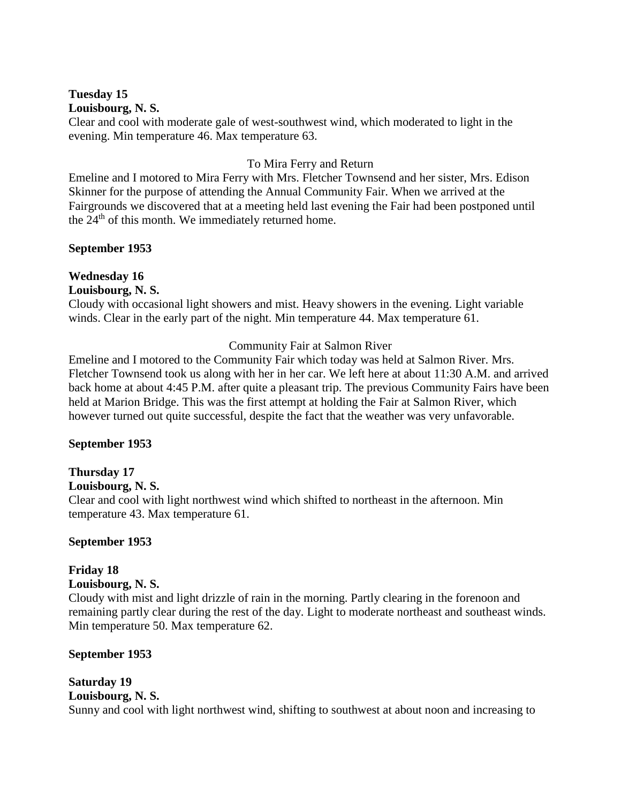#### **Tuesday 15 Louisbourg, N. S.**

Clear and cool with moderate gale of west-southwest wind, which moderated to light in the evening. Min temperature 46. Max temperature 63.

## To Mira Ferry and Return

Emeline and I motored to Mira Ferry with Mrs. Fletcher Townsend and her sister, Mrs. Edison Skinner for the purpose of attending the Annual Community Fair. When we arrived at the Fairgrounds we discovered that at a meeting held last evening the Fair had been postponed until the  $24<sup>th</sup>$  of this month. We immediately returned home.

#### **September 1953**

## **Wednesday 16**

## **Louisbourg, N. S.**

Cloudy with occasional light showers and mist. Heavy showers in the evening. Light variable winds. Clear in the early part of the night. Min temperature 44. Max temperature 61.

## Community Fair at Salmon River

Emeline and I motored to the Community Fair which today was held at Salmon River. Mrs. Fletcher Townsend took us along with her in her car. We left here at about 11:30 A.M. and arrived back home at about 4:45 P.M. after quite a pleasant trip. The previous Community Fairs have been held at Marion Bridge. This was the first attempt at holding the Fair at Salmon River, which however turned out quite successful, despite the fact that the weather was very unfavorable.

#### **September 1953**

## **Thursday 17**

## **Louisbourg, N. S.**

Clear and cool with light northwest wind which shifted to northeast in the afternoon. Min temperature 43. Max temperature 61.

#### **September 1953**

## **Friday 18**

## **Louisbourg, N. S.**

Cloudy with mist and light drizzle of rain in the morning. Partly clearing in the forenoon and remaining partly clear during the rest of the day. Light to moderate northeast and southeast winds. Min temperature 50. Max temperature 62.

## **September 1953**

## **Saturday 19 Louisbourg, N. S.** Sunny and cool with light northwest wind, shifting to southwest at about noon and increasing to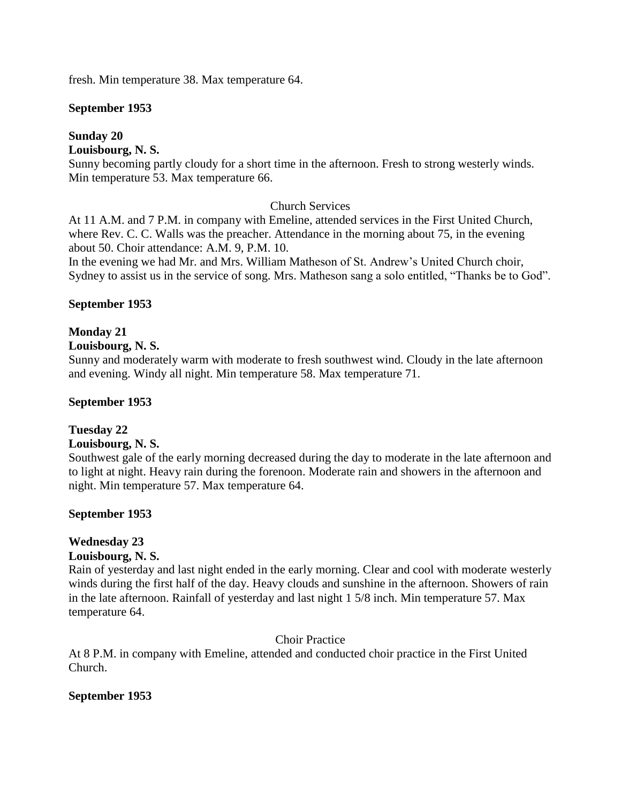fresh. Min temperature 38. Max temperature 64.

#### **September 1953**

## **Sunday 20**

## **Louisbourg, N. S.**

Sunny becoming partly cloudy for a short time in the afternoon. Fresh to strong westerly winds. Min temperature 53. Max temperature 66.

## Church Services

At 11 A.M. and 7 P.M. in company with Emeline, attended services in the First United Church, where Rev. C. C. Walls was the preacher. Attendance in the morning about 75, in the evening about 50. Choir attendance: A.M. 9, P.M. 10.

In the evening we had Mr. and Mrs. William Matheson of St. Andrew's United Church choir, Sydney to assist us in the service of song. Mrs. Matheson sang a solo entitled, "Thanks be to God".

#### **September 1953**

## **Monday 21**

**Louisbourg, N. S.**

Sunny and moderately warm with moderate to fresh southwest wind. Cloudy in the late afternoon and evening. Windy all night. Min temperature 58. Max temperature 71.

#### **September 1953**

## **Tuesday 22**

#### **Louisbourg, N. S.**

Southwest gale of the early morning decreased during the day to moderate in the late afternoon and to light at night. Heavy rain during the forenoon. Moderate rain and showers in the afternoon and night. Min temperature 57. Max temperature 64.

#### **September 1953**

## **Wednesday 23**

#### **Louisbourg, N. S.**

Rain of yesterday and last night ended in the early morning. Clear and cool with moderate westerly winds during the first half of the day. Heavy clouds and sunshine in the afternoon. Showers of rain in the late afternoon. Rainfall of yesterday and last night 1 5/8 inch. Min temperature 57. Max temperature 64.

#### Choir Practice

At 8 P.M. in company with Emeline, attended and conducted choir practice in the First United Church.

#### **September 1953**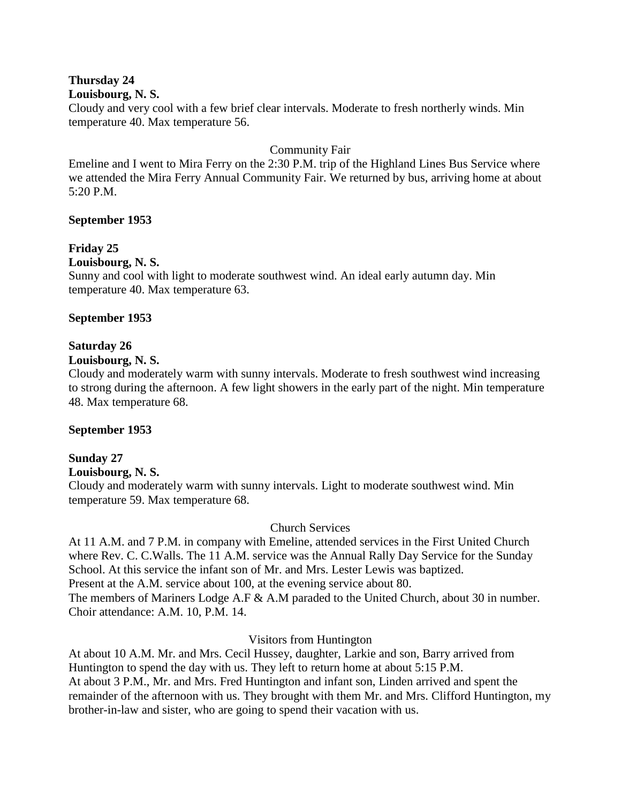## **Thursday 24**

#### **Louisbourg, N. S.**

Cloudy and very cool with a few brief clear intervals. Moderate to fresh northerly winds. Min temperature 40. Max temperature 56.

## Community Fair

Emeline and I went to Mira Ferry on the 2:30 P.M. trip of the Highland Lines Bus Service where we attended the Mira Ferry Annual Community Fair. We returned by bus, arriving home at about 5:20 P.M.

## **September 1953**

## **Friday 25**

## **Louisbourg, N. S.**

Sunny and cool with light to moderate southwest wind. An ideal early autumn day. Min temperature 40. Max temperature 63.

## **September 1953**

## **Saturday 26**

#### **Louisbourg, N. S.**

Cloudy and moderately warm with sunny intervals. Moderate to fresh southwest wind increasing to strong during the afternoon. A few light showers in the early part of the night. Min temperature 48. Max temperature 68.

#### **September 1953**

## **Sunday 27**

**Louisbourg, N. S.**

Cloudy and moderately warm with sunny intervals. Light to moderate southwest wind. Min temperature 59. Max temperature 68.

## Church Services

At 11 A.M. and 7 P.M. in company with Emeline, attended services in the First United Church where Rev. C. C.Walls. The 11 A.M. service was the Annual Rally Day Service for the Sunday School. At this service the infant son of Mr. and Mrs. Lester Lewis was baptized. Present at the A.M. service about 100, at the evening service about 80. The members of Mariners Lodge A.F & A.M paraded to the United Church, about 30 in number. Choir attendance: A.M. 10, P.M. 14.

#### Visitors from Huntington

At about 10 A.M. Mr. and Mrs. Cecil Hussey, daughter, Larkie and son, Barry arrived from Huntington to spend the day with us. They left to return home at about 5:15 P.M. At about 3 P.M., Mr. and Mrs. Fred Huntington and infant son, Linden arrived and spent the remainder of the afternoon with us. They brought with them Mr. and Mrs. Clifford Huntington, my brother-in-law and sister, who are going to spend their vacation with us.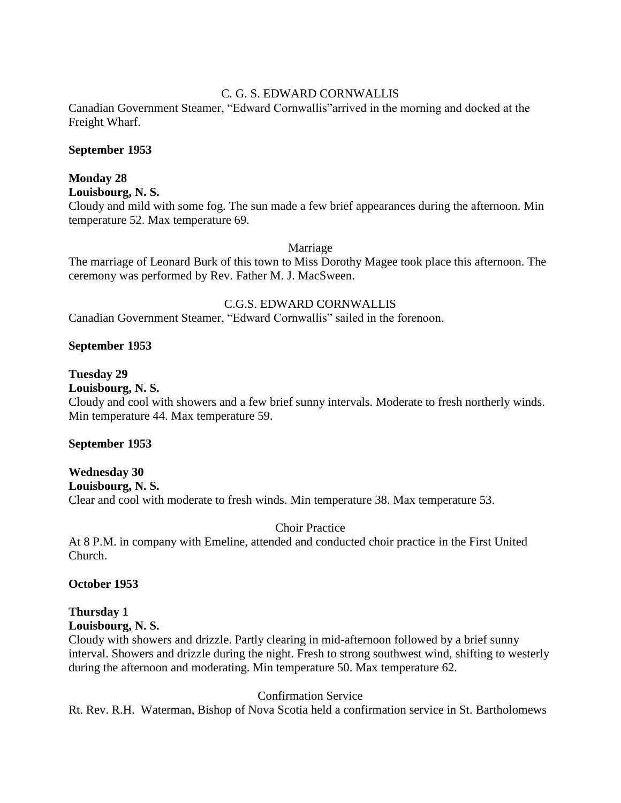## C. G. S. EDWARD CORNWALLIS

Canadian Government Steamer, "Edward Cornwallis"arrived in the morning and docked at the Freight Wharf.

#### **September 1953**

## **Monday 28**

**Louisbourg, N. S.**

Cloudy and mild with some fog. The sun made a few brief appearances during the afternoon. Min temperature 52. Max temperature 69.

#### Marriage

The marriage of Leonard Burk of this town to Miss Dorothy Magee took place this afternoon. The ceremony was performed by Rev. Father M. J. MacSween.

#### C.G.S. EDWARD CORNWALLIS

Canadian Government Steamer, "Edward Cornwallis" sailed in the forenoon.

#### **September 1953**

#### **Tuesday 29**

#### **Louisbourg, N. S.**

Cloudy and cool with showers and a few brief sunny intervals. Moderate to fresh northerly winds. Min temperature 44. Max temperature 59.

#### **September 1953**

**Wednesday 30 Louisbourg, N. S.** Clear and cool with moderate to fresh winds. Min temperature 38. Max temperature 53.

#### Choir Practice

At 8 P.M. in company with Emeline, attended and conducted choir practice in the First United Church.

#### **October 1953**

#### **Thursday 1 Louisbourg, N. S.**

Cloudy with showers and drizzle. Partly clearing in mid-afternoon followed by a brief sunny interval. Showers and drizzle during the night. Fresh to strong southwest wind, shifting to westerly during the afternoon and moderating. Min temperature 50. Max temperature 62.

#### Confirmation Service

Rt. Rev. R.H. Waterman, Bishop of Nova Scotia held a confirmation service in St. Bartholomews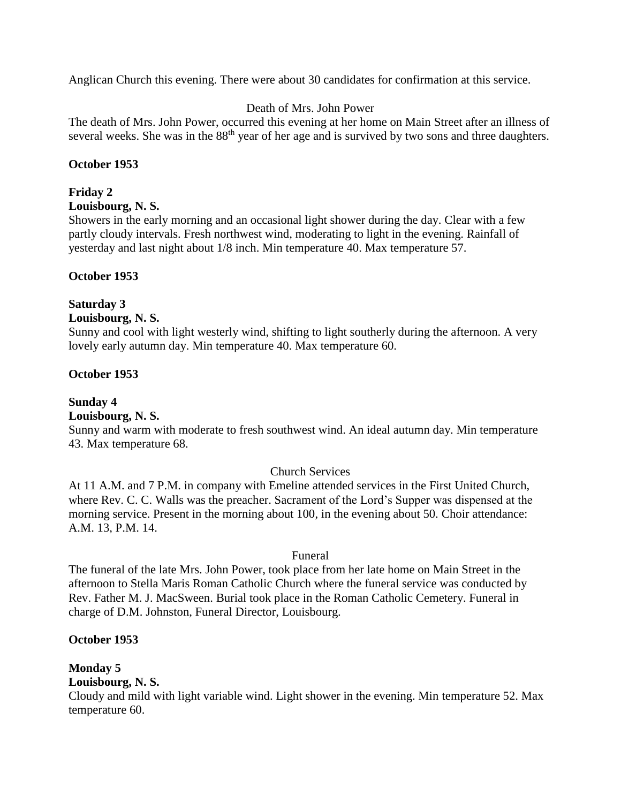Anglican Church this evening. There were about 30 candidates for confirmation at this service.

#### Death of Mrs. John Power

The death of Mrs. John Power, occurred this evening at her home on Main Street after an illness of several weeks. She was in the 88<sup>th</sup> year of her age and is survived by two sons and three daughters.

## **October 1953**

#### **Friday 2**

#### **Louisbourg, N. S.**

Showers in the early morning and an occasional light shower during the day. Clear with a few partly cloudy intervals. Fresh northwest wind, moderating to light in the evening. Rainfall of yesterday and last night about 1/8 inch. Min temperature 40. Max temperature 57.

#### **October 1953**

## **Saturday 3**

#### **Louisbourg, N. S.**

Sunny and cool with light westerly wind, shifting to light southerly during the afternoon. A very lovely early autumn day. Min temperature 40. Max temperature 60.

#### **October 1953**

## **Sunday 4**

## **Louisbourg, N. S.**

Sunny and warm with moderate to fresh southwest wind. An ideal autumn day. Min temperature 43. Max temperature 68.

#### Church Services

At 11 A.M. and 7 P.M. in company with Emeline attended services in the First United Church, where Rev. C. C. Walls was the preacher. Sacrament of the Lord's Supper was dispensed at the morning service. Present in the morning about 100, in the evening about 50. Choir attendance: A.M. 13, P.M. 14.

#### Funeral

The funeral of the late Mrs. John Power, took place from her late home on Main Street in the afternoon to Stella Maris Roman Catholic Church where the funeral service was conducted by Rev. Father M. J. MacSween. Burial took place in the Roman Catholic Cemetery. Funeral in charge of D.M. Johnston, Funeral Director, Louisbourg.

#### **October 1953**

## **Monday 5**

## **Louisbourg, N. S.**

Cloudy and mild with light variable wind. Light shower in the evening. Min temperature 52. Max temperature 60.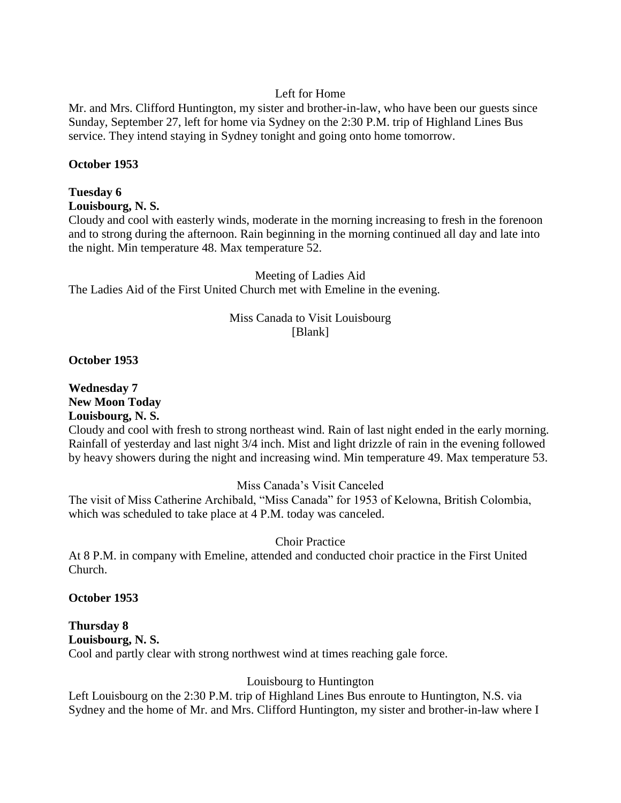## Left for Home

Mr. and Mrs. Clifford Huntington, my sister and brother-in-law, who have been our guests since Sunday, September 27, left for home via Sydney on the 2:30 P.M. trip of Highland Lines Bus service. They intend staying in Sydney tonight and going onto home tomorrow.

## **October 1953**

#### **Tuesday 6 Louisbourg, N. S.**

Cloudy and cool with easterly winds, moderate in the morning increasing to fresh in the forenoon and to strong during the afternoon. Rain beginning in the morning continued all day and late into the night. Min temperature 48. Max temperature 52.

Meeting of Ladies Aid The Ladies Aid of the First United Church met with Emeline in the evening.

## Miss Canada to Visit Louisbourg [Blank]

**October 1953**

**Wednesday 7 New Moon Today Louisbourg, N. S.**

Cloudy and cool with fresh to strong northeast wind. Rain of last night ended in the early morning. Rainfall of yesterday and last night 3/4 inch. Mist and light drizzle of rain in the evening followed by heavy showers during the night and increasing wind. Min temperature 49. Max temperature 53.

## Miss Canada's Visit Canceled

The visit of Miss Catherine Archibald, "Miss Canada" for 1953 of Kelowna, British Colombia, which was scheduled to take place at 4 P.M. today was canceled.

## Choir Practice

At 8 P.M. in company with Emeline, attended and conducted choir practice in the First United Church.

## **October 1953**

## **Thursday 8 Louisbourg, N. S.** Cool and partly clear with strong northwest wind at times reaching gale force.

## Louisbourg to Huntington

Left Louisbourg on the 2:30 P.M. trip of Highland Lines Bus enroute to Huntington, N.S. via Sydney and the home of Mr. and Mrs. Clifford Huntington, my sister and brother-in-law where I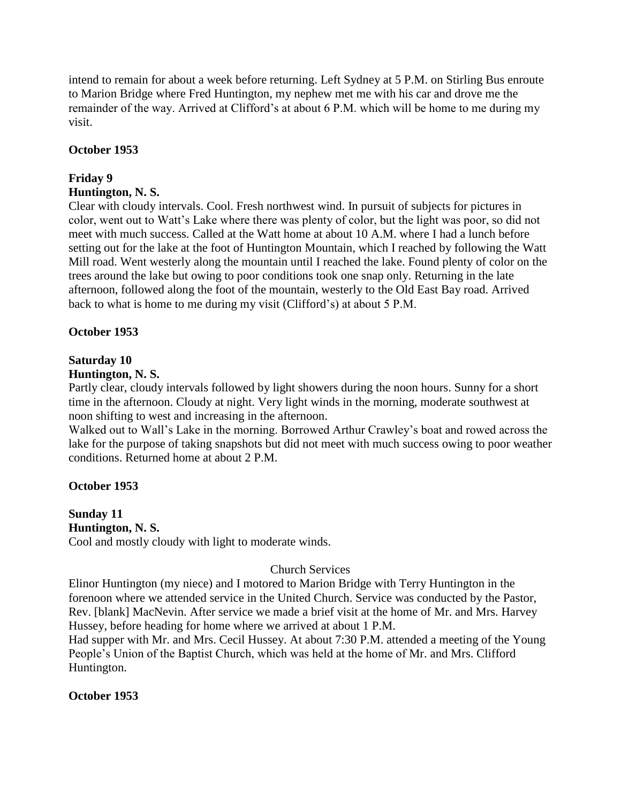intend to remain for about a week before returning. Left Sydney at 5 P.M. on Stirling Bus enroute to Marion Bridge where Fred Huntington, my nephew met me with his car and drove me the remainder of the way. Arrived at Clifford's at about 6 P.M. which will be home to me during my visit.

## **October 1953**

# **Friday 9**

## **Huntington, N. S.**

Clear with cloudy intervals. Cool. Fresh northwest wind. In pursuit of subjects for pictures in color, went out to Watt's Lake where there was plenty of color, but the light was poor, so did not meet with much success. Called at the Watt home at about 10 A.M. where I had a lunch before setting out for the lake at the foot of Huntington Mountain, which I reached by following the Watt Mill road. Went westerly along the mountain until I reached the lake. Found plenty of color on the trees around the lake but owing to poor conditions took one snap only. Returning in the late afternoon, followed along the foot of the mountain, westerly to the Old East Bay road. Arrived back to what is home to me during my visit (Clifford's) at about 5 P.M.

## **October 1953**

## **Saturday 10**

## **Huntington, N. S.**

Partly clear, cloudy intervals followed by light showers during the noon hours. Sunny for a short time in the afternoon. Cloudy at night. Very light winds in the morning, moderate southwest at noon shifting to west and increasing in the afternoon.

Walked out to Wall's Lake in the morning. Borrowed Arthur Crawley's boat and rowed across the lake for the purpose of taking snapshots but did not meet with much success owing to poor weather conditions. Returned home at about 2 P.M.

## **October 1953**

## **Sunday 11 Huntington, N. S.**

Cool and mostly cloudy with light to moderate winds.

## Church Services

Elinor Huntington (my niece) and I motored to Marion Bridge with Terry Huntington in the forenoon where we attended service in the United Church. Service was conducted by the Pastor, Rev. [blank] MacNevin. After service we made a brief visit at the home of Mr. and Mrs. Harvey Hussey, before heading for home where we arrived at about 1 P.M.

Had supper with Mr. and Mrs. Cecil Hussey. At about 7:30 P.M. attended a meeting of the Young People's Union of the Baptist Church, which was held at the home of Mr. and Mrs. Clifford Huntington.

## **October 1953**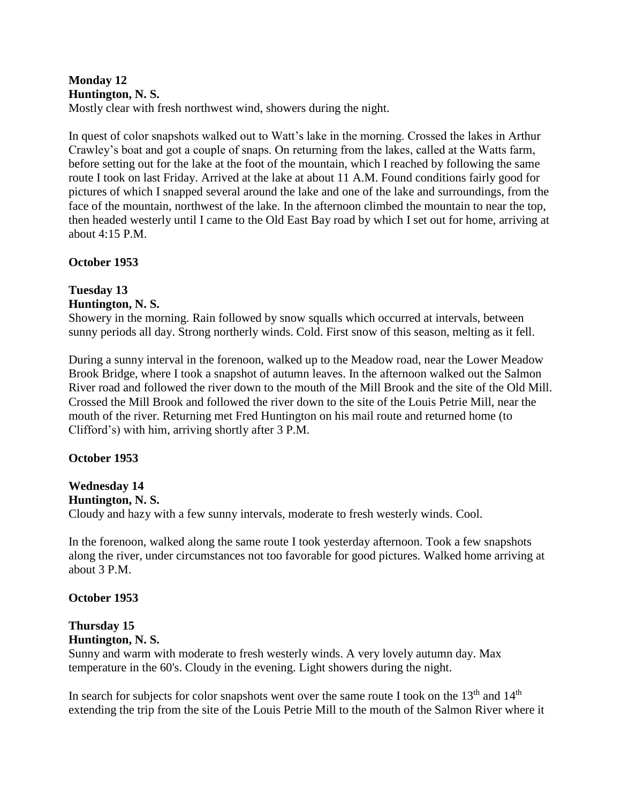## **Monday 12 Huntington, N. S.**

Mostly clear with fresh northwest wind, showers during the night.

In quest of color snapshots walked out to Watt's lake in the morning. Crossed the lakes in Arthur Crawley's boat and got a couple of snaps. On returning from the lakes, called at the Watts farm, before setting out for the lake at the foot of the mountain, which I reached by following the same route I took on last Friday. Arrived at the lake at about 11 A.M. Found conditions fairly good for pictures of which I snapped several around the lake and one of the lake and surroundings, from the face of the mountain, northwest of the lake. In the afternoon climbed the mountain to near the top, then headed westerly until I came to the Old East Bay road by which I set out for home, arriving at about 4:15 P.M.

## **October 1953**

#### **Tuesday 13 Huntington, N. S.**

Showery in the morning. Rain followed by snow squalls which occurred at intervals, between sunny periods all day. Strong northerly winds. Cold. First snow of this season, melting as it fell.

During a sunny interval in the forenoon, walked up to the Meadow road, near the Lower Meadow Brook Bridge, where I took a snapshot of autumn leaves. In the afternoon walked out the Salmon River road and followed the river down to the mouth of the Mill Brook and the site of the Old Mill. Crossed the Mill Brook and followed the river down to the site of the Louis Petrie Mill, near the mouth of the river. Returning met Fred Huntington on his mail route and returned home (to Clifford's) with him, arriving shortly after 3 P.M.

## **October 1953**

# **Wednesday 14**

## **Huntington, N. S.**

Cloudy and hazy with a few sunny intervals, moderate to fresh westerly winds. Cool.

In the forenoon, walked along the same route I took yesterday afternoon. Took a few snapshots along the river, under circumstances not too favorable for good pictures. Walked home arriving at about 3 P.M.

## **October 1953**

#### **Thursday 15 Huntington, N. S.**

Sunny and warm with moderate to fresh westerly winds. A very lovely autumn day. Max temperature in the 60's. Cloudy in the evening. Light showers during the night.

In search for subjects for color snapshots went over the same route I took on the  $13<sup>th</sup>$  and  $14<sup>th</sup>$ extending the trip from the site of the Louis Petrie Mill to the mouth of the Salmon River where it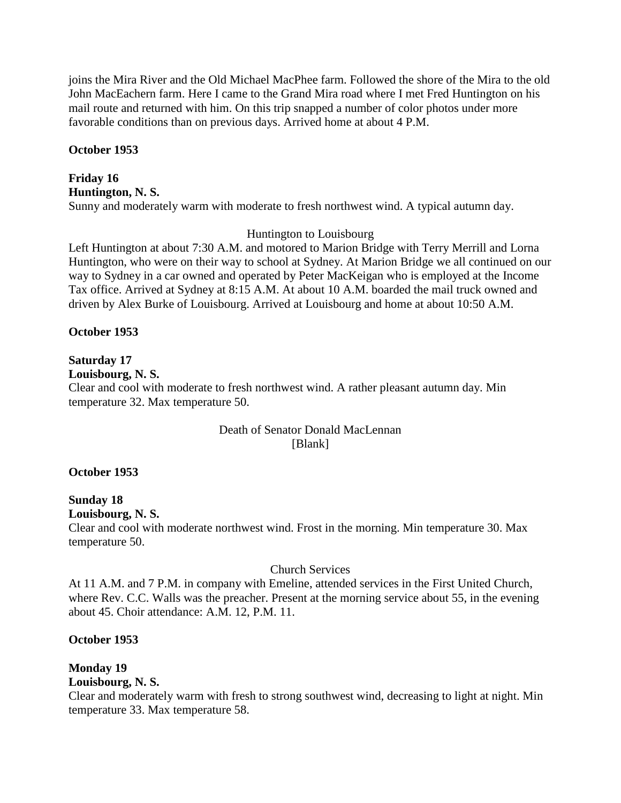joins the Mira River and the Old Michael MacPhee farm. Followed the shore of the Mira to the old John MacEachern farm. Here I came to the Grand Mira road where I met Fred Huntington on his mail route and returned with him. On this trip snapped a number of color photos under more favorable conditions than on previous days. Arrived home at about 4 P.M.

## **October 1953**

#### **Friday 16 Huntington, N. S.**

Sunny and moderately warm with moderate to fresh northwest wind. A typical autumn day.

## Huntington to Louisbourg

Left Huntington at about 7:30 A.M. and motored to Marion Bridge with Terry Merrill and Lorna Huntington, who were on their way to school at Sydney. At Marion Bridge we all continued on our way to Sydney in a car owned and operated by Peter MacKeigan who is employed at the Income Tax office. Arrived at Sydney at 8:15 A.M. At about 10 A.M. boarded the mail truck owned and driven by Alex Burke of Louisbourg. Arrived at Louisbourg and home at about 10:50 A.M.

## **October 1953**

## **Saturday 17**

**Louisbourg, N. S.**

Clear and cool with moderate to fresh northwest wind. A rather pleasant autumn day. Min temperature 32. Max temperature 50.

## Death of Senator Donald MacLennan [Blank]

## **October 1953**

## **Sunday 18**

**Louisbourg, N. S.**

Clear and cool with moderate northwest wind. Frost in the morning. Min temperature 30. Max temperature 50.

## Church Services

At 11 A.M. and 7 P.M. in company with Emeline, attended services in the First United Church, where Rev. C.C. Walls was the preacher. Present at the morning service about 55, in the evening about 45. Choir attendance: A.M. 12, P.M. 11.

## **October 1953**

#### **Monday 19 Louisbourg, N. S.**

Clear and moderately warm with fresh to strong southwest wind, decreasing to light at night. Min temperature 33. Max temperature 58.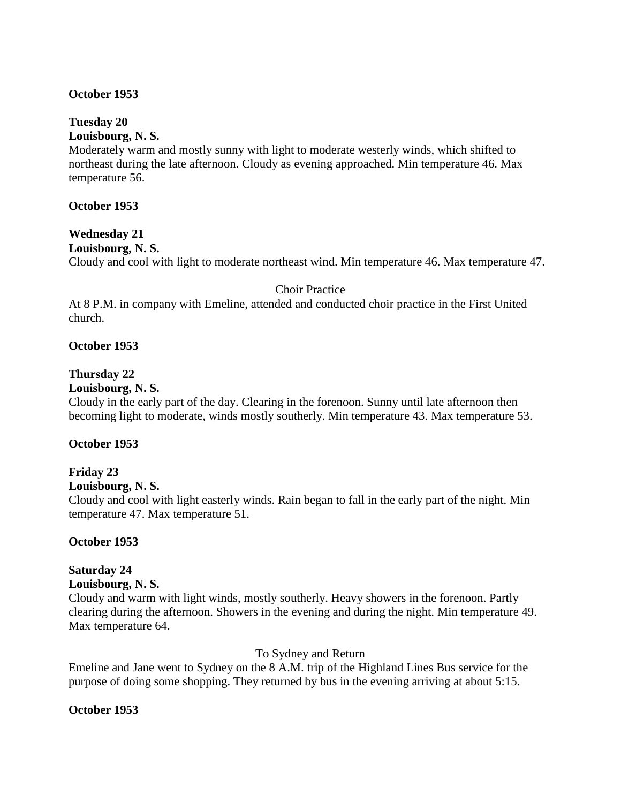#### **October 1953**

## **Tuesday 20**

**Louisbourg, N. S.**

Moderately warm and mostly sunny with light to moderate westerly winds, which shifted to northeast during the late afternoon. Cloudy as evening approached. Min temperature 46. Max temperature 56.

#### **October 1953**

#### **Wednesday 21 Louisbourg, N. S.**

Cloudy and cool with light to moderate northeast wind. Min temperature 46. Max temperature 47.

#### Choir Practice

At 8 P.M. in company with Emeline, attended and conducted choir practice in the First United church.

#### **October 1953**

#### **Thursday 22**

#### **Louisbourg, N. S.**

Cloudy in the early part of the day. Clearing in the forenoon. Sunny until late afternoon then becoming light to moderate, winds mostly southerly. Min temperature 43. Max temperature 53.

#### **October 1953**

#### **Friday 23**

#### **Louisbourg, N. S.**

Cloudy and cool with light easterly winds. Rain began to fall in the early part of the night. Min temperature 47. Max temperature 51.

#### **October 1953**

## **Saturday 24**

#### **Louisbourg, N. S.**

Cloudy and warm with light winds, mostly southerly. Heavy showers in the forenoon. Partly clearing during the afternoon. Showers in the evening and during the night. Min temperature 49. Max temperature 64.

#### To Sydney and Return

Emeline and Jane went to Sydney on the 8 A.M. trip of the Highland Lines Bus service for the purpose of doing some shopping. They returned by bus in the evening arriving at about 5:15.

## **October 1953**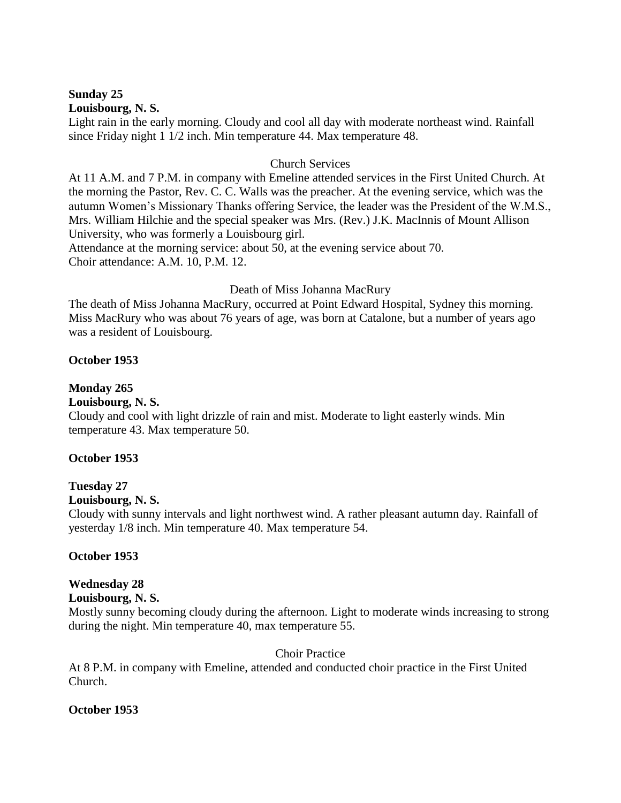#### **Sunday 25 Louisbourg, N. S.**

Light rain in the early morning. Cloudy and cool all day with moderate northeast wind. Rainfall since Friday night 1 1/2 inch. Min temperature 44. Max temperature 48.

## Church Services

At 11 A.M. and 7 P.M. in company with Emeline attended services in the First United Church. At the morning the Pastor, Rev. C. C. Walls was the preacher. At the evening service, which was the autumn Women's Missionary Thanks offering Service, the leader was the President of the W.M.S., Mrs. William Hilchie and the special speaker was Mrs. (Rev.) J.K. MacInnis of Mount Allison University, who was formerly a Louisbourg girl.

Attendance at the morning service: about 50, at the evening service about 70. Choir attendance: A.M. 10, P.M. 12.

## Death of Miss Johanna MacRury

The death of Miss Johanna MacRury, occurred at Point Edward Hospital, Sydney this morning. Miss MacRury who was about 76 years of age, was born at Catalone, but a number of years ago was a resident of Louisbourg.

## **October 1953**

## **Monday 265**

## **Louisbourg, N. S.**

Cloudy and cool with light drizzle of rain and mist. Moderate to light easterly winds. Min temperature 43. Max temperature 50.

## **October 1953**

## **Tuesday 27**

## **Louisbourg, N. S.**

Cloudy with sunny intervals and light northwest wind. A rather pleasant autumn day. Rainfall of yesterday 1/8 inch. Min temperature 40. Max temperature 54.

## **October 1953**

## **Wednesday 28**

## **Louisbourg, N. S.**

Mostly sunny becoming cloudy during the afternoon. Light to moderate winds increasing to strong during the night. Min temperature 40, max temperature 55.

## Choir Practice

At 8 P.M. in company with Emeline, attended and conducted choir practice in the First United Church.

## **October 1953**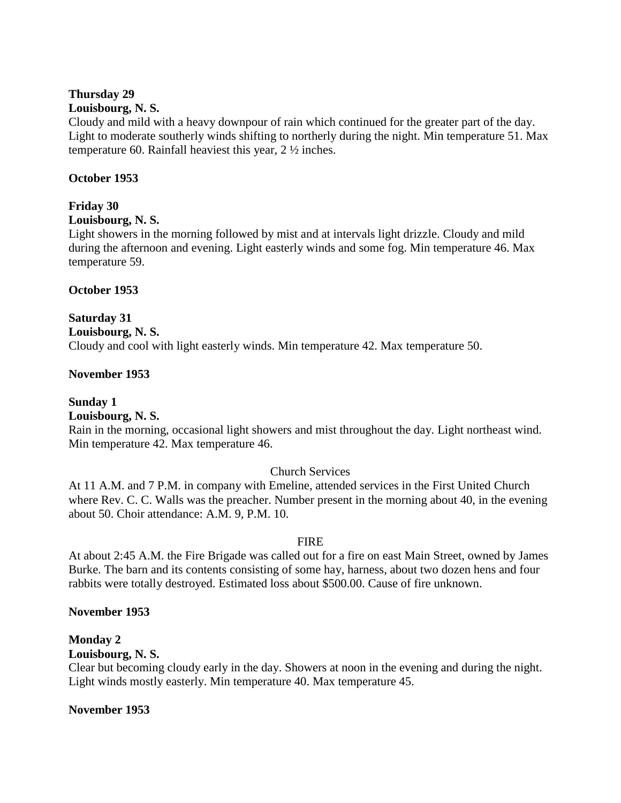## **Thursday 29**

#### **Louisbourg, N. S.**

Cloudy and mild with a heavy downpour of rain which continued for the greater part of the day. Light to moderate southerly winds shifting to northerly during the night. Min temperature 51. Max temperature 60. Rainfall heaviest this year, 2 ½ inches.

## **October 1953**

## **Friday 30**

#### **Louisbourg, N. S.**

Light showers in the morning followed by mist and at intervals light drizzle. Cloudy and mild during the afternoon and evening. Light easterly winds and some fog. Min temperature 46. Max temperature 59.

## **October 1953**

## **Saturday 31**

**Louisbourg, N. S.** Cloudy and cool with light easterly winds. Min temperature 42. Max temperature 50.

## **November 1953**

**Sunday 1 Louisbourg, N. S.**

Rain in the morning, occasional light showers and mist throughout the day. Light northeast wind. Min temperature 42. Max temperature 46.

## Church Services

At 11 A.M. and 7 P.M. in company with Emeline, attended services in the First United Church where Rev. C. C. Walls was the preacher. Number present in the morning about 40, in the evening about 50. Choir attendance: A.M. 9, P.M. 10.

## FIRE

At about 2:45 A.M. the Fire Brigade was called out for a fire on east Main Street, owned by James Burke. The barn and its contents consisting of some hay, harness, about two dozen hens and four rabbits were totally destroyed. Estimated loss about \$500.00. Cause of fire unknown.

## **November 1953**

## **Monday 2**

## **Louisbourg, N. S.**

Clear but becoming cloudy early in the day. Showers at noon in the evening and during the night. Light winds mostly easterly. Min temperature 40. Max temperature 45.

## **November 1953**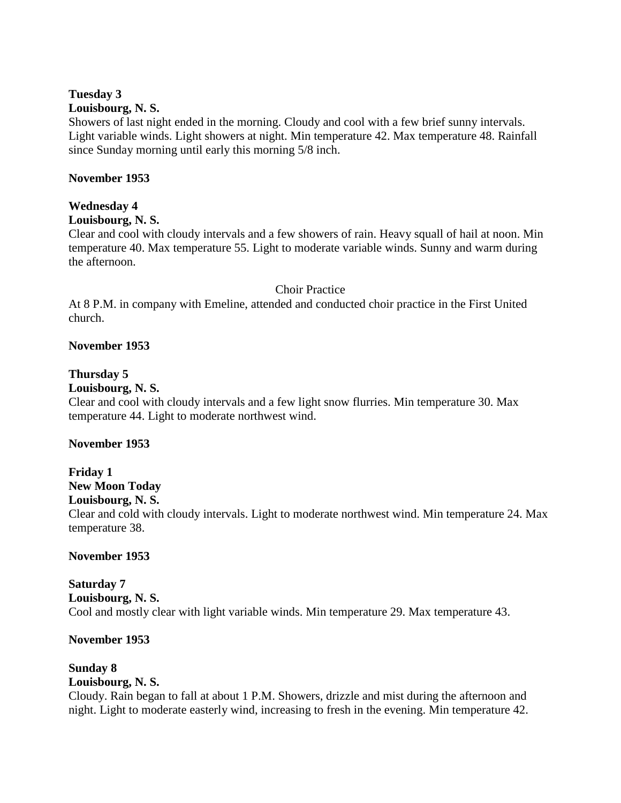## **Tuesday 3**

#### **Louisbourg, N. S.**

Showers of last night ended in the morning. Cloudy and cool with a few brief sunny intervals. Light variable winds. Light showers at night. Min temperature 42. Max temperature 48. Rainfall since Sunday morning until early this morning 5/8 inch.

#### **November 1953**

## **Wednesday 4**

#### **Louisbourg, N. S.**

Clear and cool with cloudy intervals and a few showers of rain. Heavy squall of hail at noon. Min temperature 40. Max temperature 55. Light to moderate variable winds. Sunny and warm during the afternoon.

#### Choir Practice

At 8 P.M. in company with Emeline, attended and conducted choir practice in the First United church.

## **November 1953**

## **Thursday 5**

#### **Louisbourg, N. S.**

Clear and cool with cloudy intervals and a few light snow flurries. Min temperature 30. Max temperature 44. Light to moderate northwest wind.

#### **November 1953**

## **Friday 1 New Moon Today Louisbourg, N. S.** Clear and cold with cloudy intervals. Light to moderate northwest wind. Min temperature 24. Max temperature 38.

#### **November 1953**

#### **Saturday 7 Louisbourg, N. S.** Cool and mostly clear with light variable winds. Min temperature 29. Max temperature 43.

#### **November 1953**

#### **Sunday 8 Louisbourg, N. S.**

Cloudy. Rain began to fall at about 1 P.M. Showers, drizzle and mist during the afternoon and night. Light to moderate easterly wind, increasing to fresh in the evening. Min temperature 42.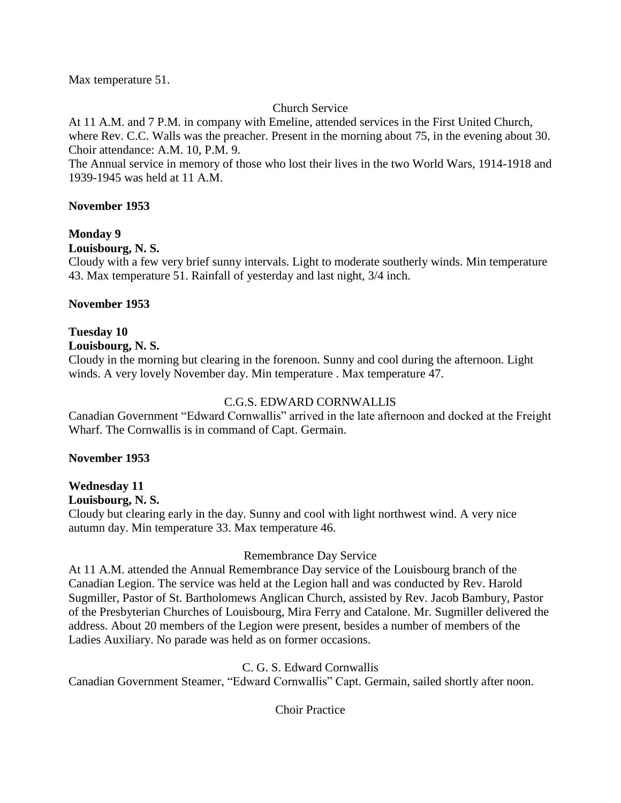Max temperature 51.

## Church Service

At 11 A.M. and 7 P.M. in company with Emeline, attended services in the First United Church, where Rev. C.C. Walls was the preacher. Present in the morning about 75, in the evening about 30. Choir attendance: A.M. 10, P.M. 9.

The Annual service in memory of those who lost their lives in the two World Wars, 1914-1918 and 1939-1945 was held at 11 A.M.

## **November 1953**

## **Monday 9**

## **Louisbourg, N. S.**

Cloudy with a few very brief sunny intervals. Light to moderate southerly winds. Min temperature 43. Max temperature 51. Rainfall of yesterday and last night, 3/4 inch.

## **November 1953**

## **Tuesday 10**

**Louisbourg, N. S.**

Cloudy in the morning but clearing in the forenoon. Sunny and cool during the afternoon. Light winds. A very lovely November day. Min temperature . Max temperature 47.

## C.G.S. EDWARD CORNWALLIS

Canadian Government "Edward Cornwallis" arrived in the late afternoon and docked at the Freight Wharf. The Cornwallis is in command of Capt. Germain.

## **November 1953**

## **Wednesday 11**

**Louisbourg, N. S.**

Cloudy but clearing early in the day. Sunny and cool with light northwest wind. A very nice autumn day. Min temperature 33. Max temperature 46.

## Remembrance Day Service

At 11 A.M. attended the Annual Remembrance Day service of the Louisbourg branch of the Canadian Legion. The service was held at the Legion hall and was conducted by Rev. Harold Sugmiller, Pastor of St. Bartholomews Anglican Church, assisted by Rev. Jacob Bambury, Pastor of the Presbyterian Churches of Louisbourg, Mira Ferry and Catalone. Mr. Sugmiller delivered the address. About 20 members of the Legion were present, besides a number of members of the Ladies Auxiliary. No parade was held as on former occasions.

## C. G. S. Edward Cornwallis

Canadian Government Steamer, "Edward Cornwallis" Capt. Germain, sailed shortly after noon.

Choir Practice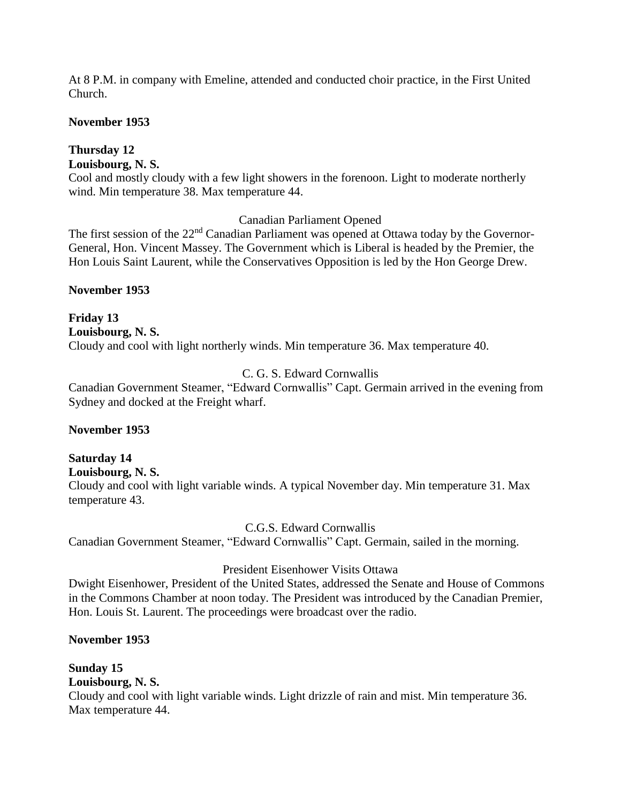At 8 P.M. in company with Emeline, attended and conducted choir practice, in the First United Church.

## **November 1953**

# **Thursday 12**

**Louisbourg, N. S.**

Cool and mostly cloudy with a few light showers in the forenoon. Light to moderate northerly wind. Min temperature 38. Max temperature 44.

## Canadian Parliament Opened

The first session of the  $22<sup>nd</sup>$  Canadian Parliament was opened at Ottawa today by the Governor-General, Hon. Vincent Massey. The Government which is Liberal is headed by the Premier, the Hon Louis Saint Laurent, while the Conservatives Opposition is led by the Hon George Drew.

**November 1953**

**Friday 13 Louisbourg, N. S.** Cloudy and cool with light northerly winds. Min temperature 36. Max temperature 40.

## C. G. S. Edward Cornwallis

Canadian Government Steamer, "Edward Cornwallis" Capt. Germain arrived in the evening from Sydney and docked at the Freight wharf.

## **November 1953**

## **Saturday 14**

**Louisbourg, N. S.**

Cloudy and cool with light variable winds. A typical November day. Min temperature 31. Max temperature 43.

C.G.S. Edward Cornwallis

Canadian Government Steamer, "Edward Cornwallis" Capt. Germain, sailed in the morning.

## President Eisenhower Visits Ottawa

Dwight Eisenhower, President of the United States, addressed the Senate and House of Commons in the Commons Chamber at noon today. The President was introduced by the Canadian Premier, Hon. Louis St. Laurent. The proceedings were broadcast over the radio.

## **November 1953**

## **Sunday 15**

**Louisbourg, N. S.**

Cloudy and cool with light variable winds. Light drizzle of rain and mist. Min temperature 36. Max temperature 44.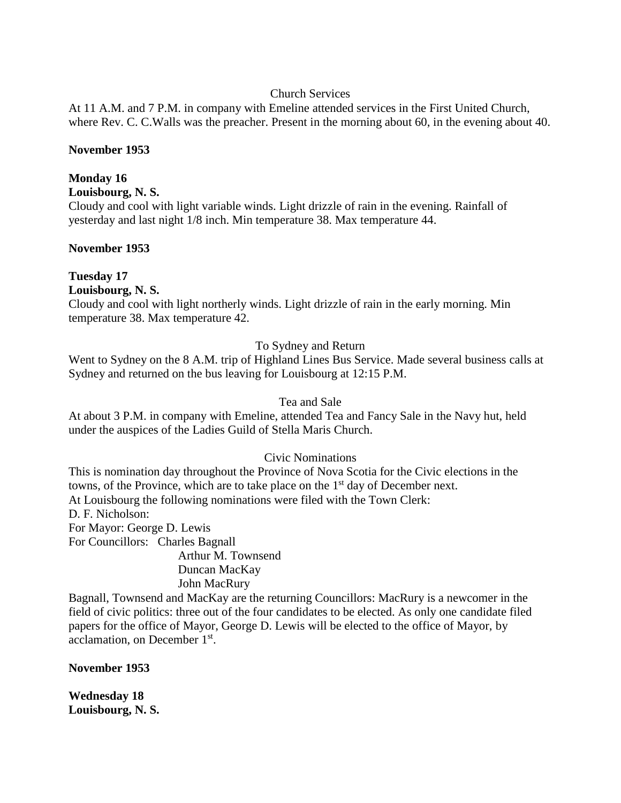## Church Services

At 11 A.M. and 7 P.M. in company with Emeline attended services in the First United Church, where Rev. C. C.Walls was the preacher. Present in the morning about 60, in the evening about 40.

#### **November 1953**

## **Monday 16**

**Louisbourg, N. S.**

Cloudy and cool with light variable winds. Light drizzle of rain in the evening. Rainfall of yesterday and last night 1/8 inch. Min temperature 38. Max temperature 44.

## **November 1953**

## **Tuesday 17**

**Louisbourg, N. S.**

Cloudy and cool with light northerly winds. Light drizzle of rain in the early morning. Min temperature 38. Max temperature 42.

## To Sydney and Return

Went to Sydney on the 8 A.M. trip of Highland Lines Bus Service. Made several business calls at Sydney and returned on the bus leaving for Louisbourg at 12:15 P.M.

## Tea and Sale

At about 3 P.M. in company with Emeline, attended Tea and Fancy Sale in the Navy hut, held under the auspices of the Ladies Guild of Stella Maris Church.

## Civic Nominations

This is nomination day throughout the Province of Nova Scotia for the Civic elections in the towns, of the Province, which are to take place on the  $1<sup>st</sup>$  day of December next. At Louisbourg the following nominations were filed with the Town Clerk: D. F. Nicholson: For Mayor: George D. Lewis For Councillors: Charles Bagnall Arthur M. Townsend

Duncan MacKay John MacRury

Bagnall, Townsend and MacKay are the returning Councillors: MacRury is a newcomer in the field of civic politics: three out of the four candidates to be elected. As only one candidate filed papers for the office of Mayor, George D. Lewis will be elected to the office of Mayor, by acclamation, on December 1st.

**November 1953**

**Wednesday 18 Louisbourg, N. S.**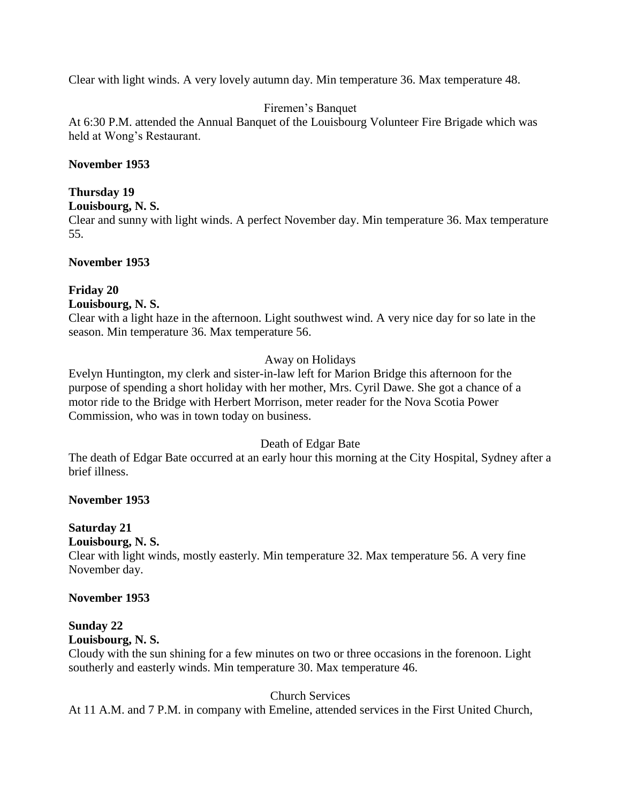Clear with light winds. A very lovely autumn day. Min temperature 36. Max temperature 48.

## Firemen's Banquet

At 6:30 P.M. attended the Annual Banquet of the Louisbourg Volunteer Fire Brigade which was held at Wong's Restaurant.

## **November 1953**

## **Thursday 19**

**Louisbourg, N. S.**

Clear and sunny with light winds. A perfect November day. Min temperature 36. Max temperature 55.

## **November 1953**

# **Friday 20**

**Louisbourg, N. S.**

Clear with a light haze in the afternoon. Light southwest wind. A very nice day for so late in the season. Min temperature 36. Max temperature 56.

## Away on Holidays

Evelyn Huntington, my clerk and sister-in-law left for Marion Bridge this afternoon for the purpose of spending a short holiday with her mother, Mrs. Cyril Dawe. She got a chance of a motor ride to the Bridge with Herbert Morrison, meter reader for the Nova Scotia Power Commission, who was in town today on business.

## Death of Edgar Bate

The death of Edgar Bate occurred at an early hour this morning at the City Hospital, Sydney after a brief illness.

## **November 1953**

## **Saturday 21**

**Louisbourg, N. S.**

Clear with light winds, mostly easterly. Min temperature 32. Max temperature 56. A very fine November day.

## **November 1953**

## **Sunday 22**

**Louisbourg, N. S.**

Cloudy with the sun shining for a few minutes on two or three occasions in the forenoon. Light southerly and easterly winds. Min temperature 30. Max temperature 46.

## Church Services

At 11 A.M. and 7 P.M. in company with Emeline, attended services in the First United Church,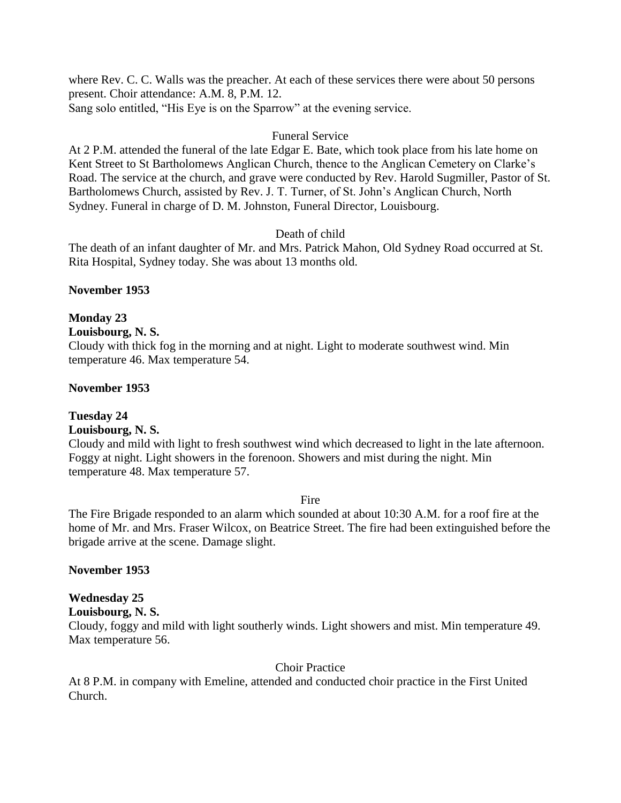where Rev. C. C. Walls was the preacher. At each of these services there were about 50 persons present. Choir attendance: A.M. 8, P.M. 12. Sang solo entitled, "His Eye is on the Sparrow" at the evening service.

## Funeral Service

At 2 P.M. attended the funeral of the late Edgar E. Bate, which took place from his late home on Kent Street to St Bartholomews Anglican Church, thence to the Anglican Cemetery on Clarke's Road. The service at the church, and grave were conducted by Rev. Harold Sugmiller, Pastor of St. Bartholomews Church, assisted by Rev. J. T. Turner, of St. John's Anglican Church, North Sydney. Funeral in charge of D. M. Johnston, Funeral Director, Louisbourg.

## Death of child

The death of an infant daughter of Mr. and Mrs. Patrick Mahon, Old Sydney Road occurred at St. Rita Hospital, Sydney today. She was about 13 months old.

## **November 1953**

## **Monday 23**

## **Louisbourg, N. S.**

Cloudy with thick fog in the morning and at night. Light to moderate southwest wind. Min temperature 46. Max temperature 54.

## **November 1953**

## **Tuesday 24**

## **Louisbourg, N. S.**

Cloudy and mild with light to fresh southwest wind which decreased to light in the late afternoon. Foggy at night. Light showers in the forenoon. Showers and mist during the night. Min temperature 48. Max temperature 57.

#### Fire

The Fire Brigade responded to an alarm which sounded at about 10:30 A.M. for a roof fire at the home of Mr. and Mrs. Fraser Wilcox, on Beatrice Street. The fire had been extinguished before the brigade arrive at the scene. Damage slight.

#### **November 1953**

# **Wednesday 25**

**Louisbourg, N. S.**

Cloudy, foggy and mild with light southerly winds. Light showers and mist. Min temperature 49. Max temperature 56.

#### Choir Practice

At 8 P.M. in company with Emeline, attended and conducted choir practice in the First United Church.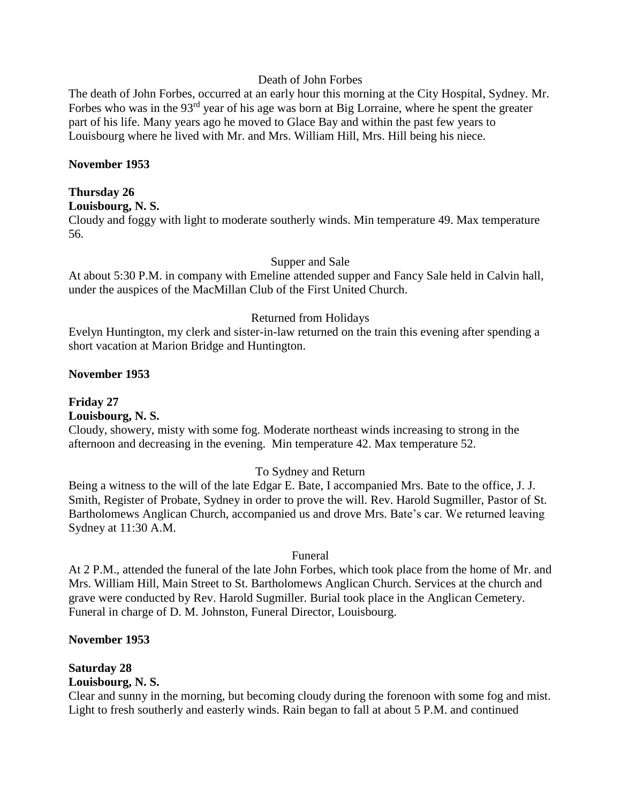#### Death of John Forbes

The death of John Forbes, occurred at an early hour this morning at the City Hospital, Sydney. Mr. Forbes who was in the  $93<sup>rd</sup>$  year of his age was born at Big Lorraine, where he spent the greater part of his life. Many years ago he moved to Glace Bay and within the past few years to Louisbourg where he lived with Mr. and Mrs. William Hill, Mrs. Hill being his niece.

#### **November 1953**

#### **Thursday 26**

**Louisbourg, N. S.**

Cloudy and foggy with light to moderate southerly winds. Min temperature 49. Max temperature 56.

#### Supper and Sale

At about 5:30 P.M. in company with Emeline attended supper and Fancy Sale held in Calvin hall, under the auspices of the MacMillan Club of the First United Church.

#### Returned from Holidays

Evelyn Huntington, my clerk and sister-in-law returned on the train this evening after spending a short vacation at Marion Bridge and Huntington.

#### **November 1953**

**Friday 27 Louisbourg, N. S.**

Cloudy, showery, misty with some fog. Moderate northeast winds increasing to strong in the afternoon and decreasing in the evening. Min temperature 42. Max temperature 52.

#### To Sydney and Return

Being a witness to the will of the late Edgar E. Bate, I accompanied Mrs. Bate to the office, J. J. Smith, Register of Probate, Sydney in order to prove the will. Rev. Harold Sugmiller, Pastor of St. Bartholomews Anglican Church, accompanied us and drove Mrs. Bate's car. We returned leaving Sydney at 11:30 A.M.

#### Funeral

At 2 P.M., attended the funeral of the late John Forbes, which took place from the home of Mr. and Mrs. William Hill, Main Street to St. Bartholomews Anglican Church. Services at the church and grave were conducted by Rev. Harold Sugmiller. Burial took place in the Anglican Cemetery. Funeral in charge of D. M. Johnston, Funeral Director, Louisbourg.

#### **November 1953**

## **Saturday 28**

## **Louisbourg, N. S.**

Clear and sunny in the morning, but becoming cloudy during the forenoon with some fog and mist. Light to fresh southerly and easterly winds. Rain began to fall at about 5 P.M. and continued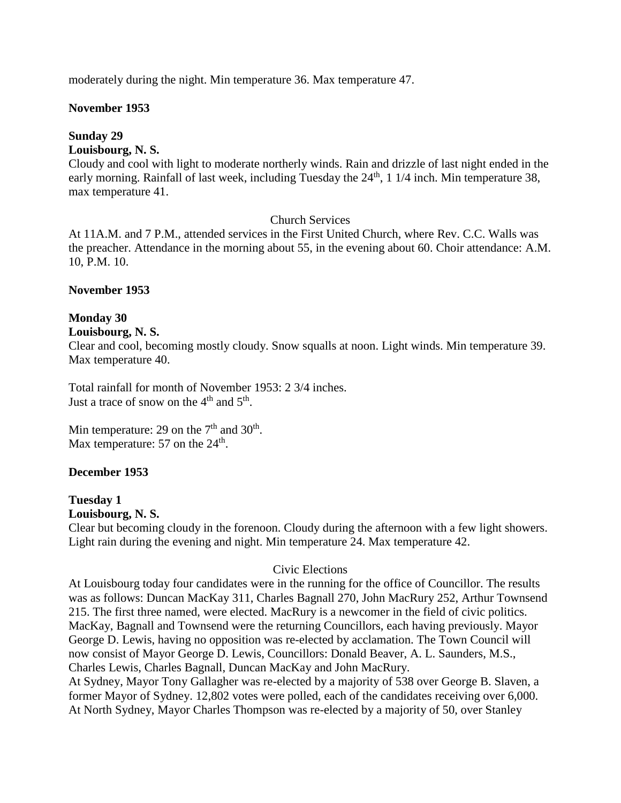moderately during the night. Min temperature 36. Max temperature 47.

#### **November 1953**

#### **Sunday 29**

## **Louisbourg, N. S.**

Cloudy and cool with light to moderate northerly winds. Rain and drizzle of last night ended in the early morning. Rainfall of last week, including Tuesday the 24<sup>th</sup>, 1 1/4 inch. Min temperature 38, max temperature 41.

#### Church Services

At 11A.M. and 7 P.M., attended services in the First United Church, where Rev. C.C. Walls was the preacher. Attendance in the morning about 55, in the evening about 60. Choir attendance: A.M. 10, P.M. 10.

#### **November 1953**

#### **Monday 30**

#### **Louisbourg, N. S.**

Clear and cool, becoming mostly cloudy. Snow squalls at noon. Light winds. Min temperature 39. Max temperature 40.

Total rainfall for month of November 1953: 2 3/4 inches. Just a trace of snow on the  $4<sup>th</sup>$  and  $5<sup>th</sup>$ .

Min temperature: 29 on the  $7<sup>th</sup>$  and  $30<sup>th</sup>$ . Max temperature: 57 on the  $24<sup>th</sup>$ .

#### **December 1953**

# **Tuesday 1**

## **Louisbourg, N. S.**

Clear but becoming cloudy in the forenoon. Cloudy during the afternoon with a few light showers. Light rain during the evening and night. Min temperature 24. Max temperature 42.

#### Civic Elections

At Louisbourg today four candidates were in the running for the office of Councillor. The results was as follows: Duncan MacKay 311, Charles Bagnall 270, John MacRury 252, Arthur Townsend 215. The first three named, were elected. MacRury is a newcomer in the field of civic politics. MacKay, Bagnall and Townsend were the returning Councillors, each having previously. Mayor George D. Lewis, having no opposition was re-elected by acclamation. The Town Council will now consist of Mayor George D. Lewis, Councillors: Donald Beaver, A. L. Saunders, M.S., Charles Lewis, Charles Bagnall, Duncan MacKay and John MacRury. At Sydney, Mayor Tony Gallagher was re-elected by a majority of 538 over George B. Slaven, a

former Mayor of Sydney. 12,802 votes were polled, each of the candidates receiving over 6,000. At North Sydney, Mayor Charles Thompson was re-elected by a majority of 50, over Stanley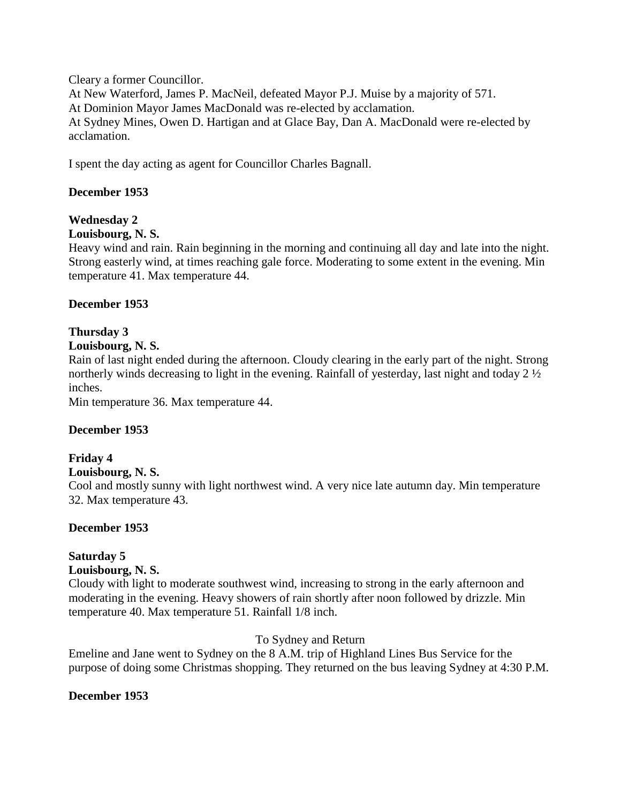Cleary a former Councillor. At New Waterford, James P. MacNeil, defeated Mayor P.J. Muise by a majority of 571. At Dominion Mayor James MacDonald was re-elected by acclamation. At Sydney Mines, Owen D. Hartigan and at Glace Bay, Dan A. MacDonald were re-elected by acclamation.

I spent the day acting as agent for Councillor Charles Bagnall.

## **December 1953**

## **Wednesday 2**

## **Louisbourg, N. S.**

Heavy wind and rain. Rain beginning in the morning and continuing all day and late into the night. Strong easterly wind, at times reaching gale force. Moderating to some extent in the evening. Min temperature 41. Max temperature 44.

## **December 1953**

# **Thursday 3**

## **Louisbourg, N. S.**

Rain of last night ended during the afternoon. Cloudy clearing in the early part of the night. Strong northerly winds decreasing to light in the evening. Rainfall of yesterday, last night and today 2 ½ inches.

Min temperature 36. Max temperature 44.

## **December 1953**

## **Friday 4**

## **Louisbourg, N. S.**

Cool and mostly sunny with light northwest wind. A very nice late autumn day. Min temperature 32. Max temperature 43.

## **December 1953**

## **Saturday 5**

## **Louisbourg, N. S.**

Cloudy with light to moderate southwest wind, increasing to strong in the early afternoon and moderating in the evening. Heavy showers of rain shortly after noon followed by drizzle. Min temperature 40. Max temperature 51. Rainfall 1/8 inch.

## To Sydney and Return

Emeline and Jane went to Sydney on the 8 A.M. trip of Highland Lines Bus Service for the purpose of doing some Christmas shopping. They returned on the bus leaving Sydney at 4:30 P.M.

## **December 1953**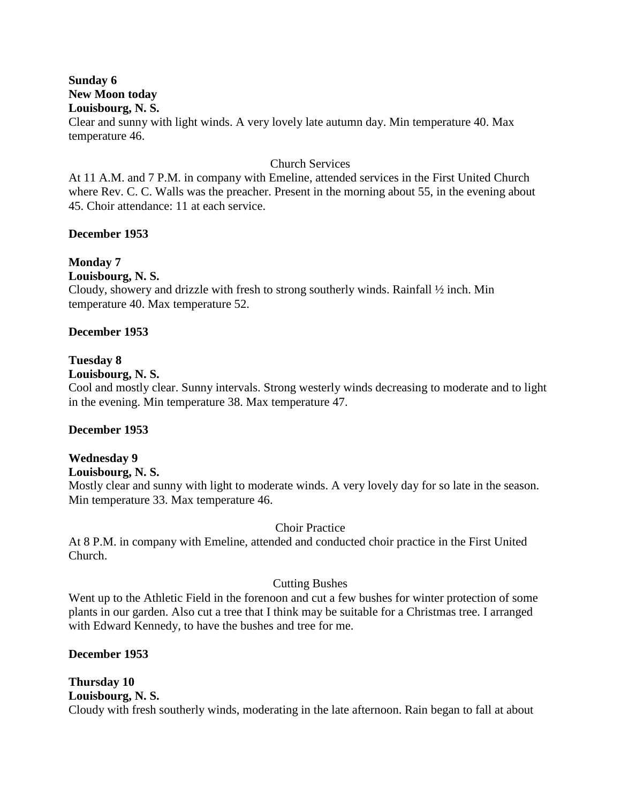## **Sunday 6 New Moon today Louisbourg, N. S.**

Clear and sunny with light winds. A very lovely late autumn day. Min temperature 40. Max temperature 46.

#### Church Services

At 11 A.M. and 7 P.M. in company with Emeline, attended services in the First United Church where Rev. C. C. Walls was the preacher. Present in the morning about 55, in the evening about 45. Choir attendance: 11 at each service.

## **December 1953**

## **Monday 7**

**Louisbourg, N. S.**

Cloudy, showery and drizzle with fresh to strong southerly winds. Rainfall ½ inch. Min temperature 40. Max temperature 52.

## **December 1953**

## **Tuesday 8**

#### **Louisbourg, N. S.**

Cool and mostly clear. Sunny intervals. Strong westerly winds decreasing to moderate and to light in the evening. Min temperature 38. Max temperature 47.

## **December 1953**

## **Wednesday 9**

#### **Louisbourg, N. S.**

Mostly clear and sunny with light to moderate winds. A very lovely day for so late in the season. Min temperature 33. Max temperature 46.

## Choir Practice

At 8 P.M. in company with Emeline, attended and conducted choir practice in the First United Church.

#### Cutting Bushes

Went up to the Athletic Field in the forenoon and cut a few bushes for winter protection of some plants in our garden. Also cut a tree that I think may be suitable for a Christmas tree. I arranged with Edward Kennedy, to have the bushes and tree for me.

#### **December 1953**

#### **Thursday 10 Louisbourg, N. S.** Cloudy with fresh southerly winds, moderating in the late afternoon. Rain began to fall at about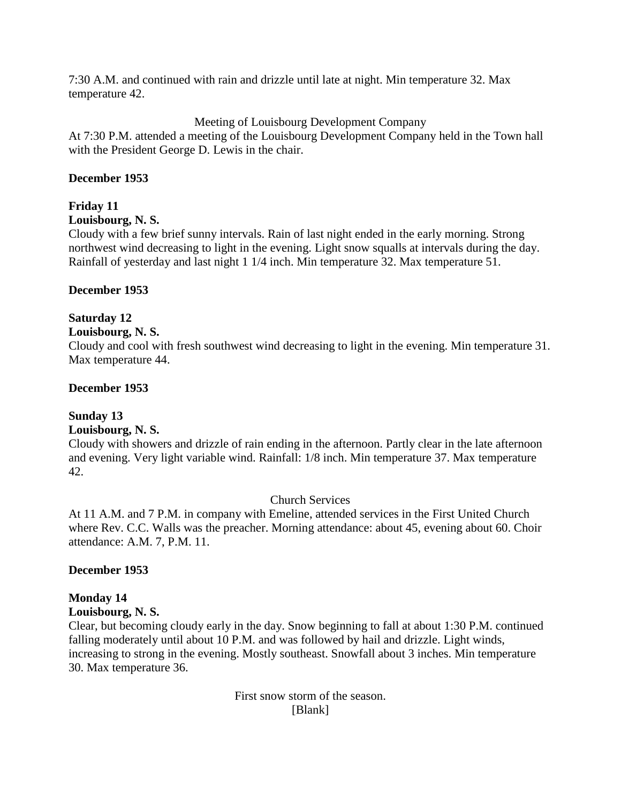7:30 A.M. and continued with rain and drizzle until late at night. Min temperature 32. Max temperature 42.

## Meeting of Louisbourg Development Company

At 7:30 P.M. attended a meeting of the Louisbourg Development Company held in the Town hall with the President George D. Lewis in the chair.

#### **December 1953**

## **Friday 11**

#### **Louisbourg, N. S.**

Cloudy with a few brief sunny intervals. Rain of last night ended in the early morning. Strong northwest wind decreasing to light in the evening. Light snow squalls at intervals during the day. Rainfall of yesterday and last night 1 1/4 inch. Min temperature 32. Max temperature 51.

## **December 1953**

## **Saturday 12**

## **Louisbourg, N. S.**

Cloudy and cool with fresh southwest wind decreasing to light in the evening. Min temperature 31. Max temperature 44.

#### **December 1953**

## **Sunday 13**

## **Louisbourg, N. S.**

Cloudy with showers and drizzle of rain ending in the afternoon. Partly clear in the late afternoon and evening. Very light variable wind. Rainfall: 1/8 inch. Min temperature 37. Max temperature 42.

#### Church Services

At 11 A.M. and 7 P.M. in company with Emeline, attended services in the First United Church where Rev. C.C. Walls was the preacher. Morning attendance: about 45, evening about 60. Choir attendance: A.M. 7, P.M. 11.

#### **December 1953**

## **Monday 14**

#### **Louisbourg, N. S.**

Clear, but becoming cloudy early in the day. Snow beginning to fall at about 1:30 P.M. continued falling moderately until about 10 P.M. and was followed by hail and drizzle. Light winds, increasing to strong in the evening. Mostly southeast. Snowfall about 3 inches. Min temperature 30. Max temperature 36.

## First snow storm of the season. [Blank]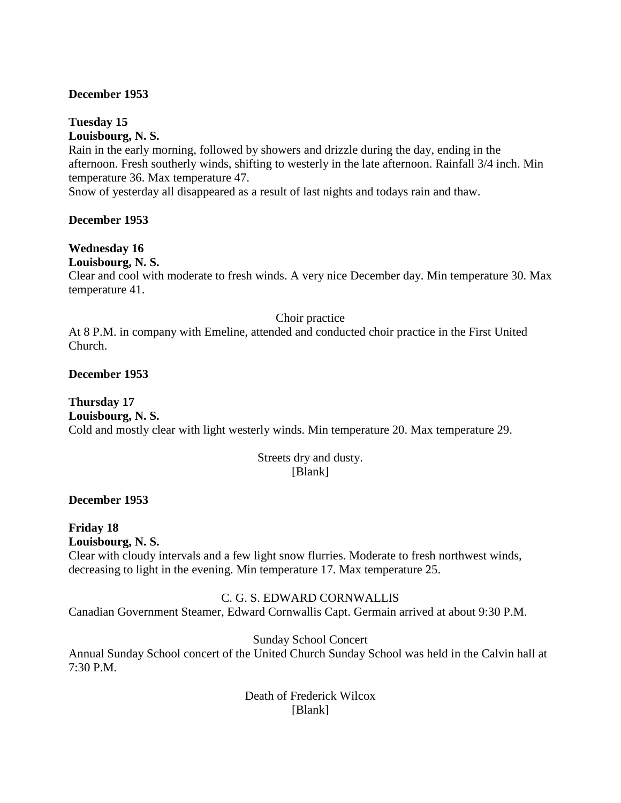## **December 1953**

**Tuesday 15 Louisbourg, N. S.**

Rain in the early morning, followed by showers and drizzle during the day, ending in the afternoon. Fresh southerly winds, shifting to westerly in the late afternoon. Rainfall 3/4 inch. Min temperature 36. Max temperature 47.

Snow of yesterday all disappeared as a result of last nights and todays rain and thaw.

**December 1953**

## **Wednesday 16**

**Louisbourg, N. S.**

Clear and cool with moderate to fresh winds. A very nice December day. Min temperature 30. Max temperature 41.

Choir practice

At 8 P.M. in company with Emeline, attended and conducted choir practice in the First United Church.

**December 1953**

**Thursday 17 Louisbourg, N. S.** Cold and mostly clear with light westerly winds. Min temperature 20. Max temperature 29.

> Streets dry and dusty. [Blank]

**December 1953**

**Friday 18 Louisbourg, N. S.** Clear with cloudy intervals and a few light snow flurries. Moderate to fresh northwest winds, decreasing to light in the evening. Min temperature 17. Max temperature 25.

## C. G. S. EDWARD CORNWALLIS

Canadian Government Steamer, Edward Cornwallis Capt. Germain arrived at about 9:30 P.M.

Sunday School Concert

Annual Sunday School concert of the United Church Sunday School was held in the Calvin hall at 7:30 P.M.

> Death of Frederick Wilcox [Blank]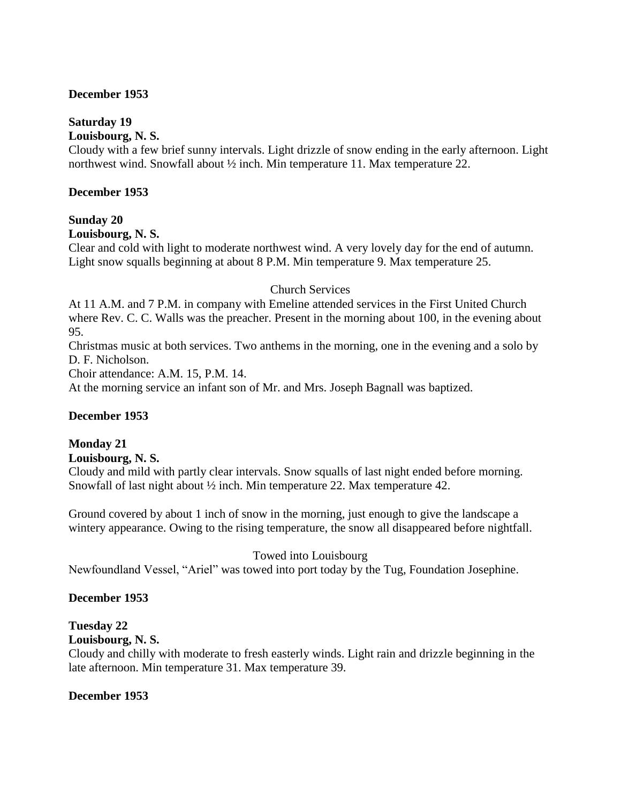## **December 1953**

## **Saturday 19**

#### **Louisbourg, N. S.**

Cloudy with a few brief sunny intervals. Light drizzle of snow ending in the early afternoon. Light northwest wind. Snowfall about ½ inch. Min temperature 11. Max temperature 22.

#### **December 1953**

## **Sunday 20**

## **Louisbourg, N. S.**

Clear and cold with light to moderate northwest wind. A very lovely day for the end of autumn. Light snow squalls beginning at about 8 P.M. Min temperature 9. Max temperature 25.

#### Church Services

At 11 A.M. and 7 P.M. in company with Emeline attended services in the First United Church where Rev. C. C. Walls was the preacher. Present in the morning about 100, in the evening about 95.

Christmas music at both services. Two anthems in the morning, one in the evening and a solo by D. F. Nicholson.

Choir attendance: A.M. 15, P.M. 14.

At the morning service an infant son of Mr. and Mrs. Joseph Bagnall was baptized.

#### **December 1953**

## **Monday 21**

**Louisbourg, N. S.**

Cloudy and mild with partly clear intervals. Snow squalls of last night ended before morning. Snowfall of last night about ½ inch. Min temperature 22. Max temperature 42.

Ground covered by about 1 inch of snow in the morning, just enough to give the landscape a wintery appearance. Owing to the rising temperature, the snow all disappeared before nightfall.

#### Towed into Louisbourg

Newfoundland Vessel, "Ariel" was towed into port today by the Tug, Foundation Josephine.

#### **December 1953**

## **Tuesday 22**

#### **Louisbourg, N. S.**

Cloudy and chilly with moderate to fresh easterly winds. Light rain and drizzle beginning in the late afternoon. Min temperature 31. Max temperature 39.

#### **December 1953**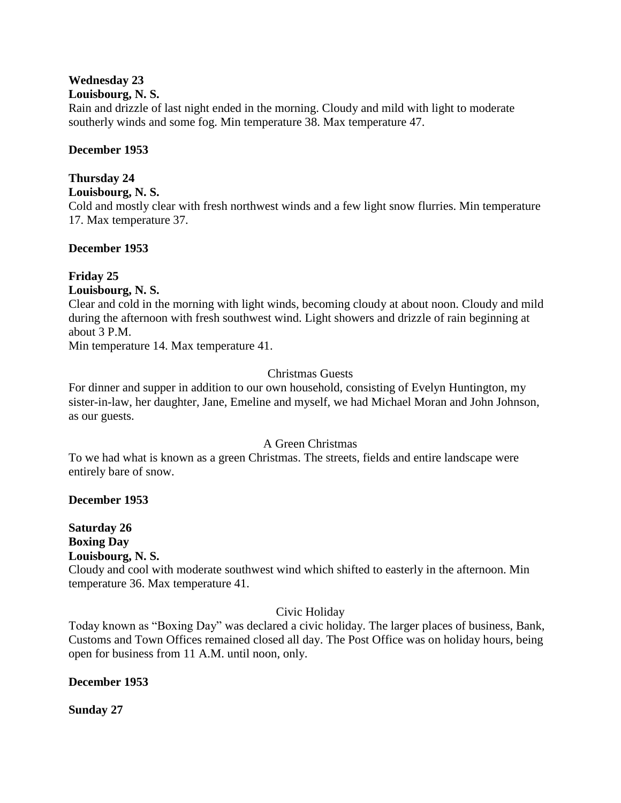## **Wednesday 23**

## **Louisbourg, N. S.**

Rain and drizzle of last night ended in the morning. Cloudy and mild with light to moderate southerly winds and some fog. Min temperature 38. Max temperature 47.

## **December 1953**

## **Thursday 24**

## **Louisbourg, N. S.**

Cold and mostly clear with fresh northwest winds and a few light snow flurries. Min temperature 17. Max temperature 37.

## **December 1953**

## **Friday 25**

## **Louisbourg, N. S.**

Clear and cold in the morning with light winds, becoming cloudy at about noon. Cloudy and mild during the afternoon with fresh southwest wind. Light showers and drizzle of rain beginning at about 3 P.M.

Min temperature 14. Max temperature 41.

## Christmas Guests

For dinner and supper in addition to our own household, consisting of Evelyn Huntington, my sister-in-law, her daughter, Jane, Emeline and myself, we had Michael Moran and John Johnson, as our guests.

## A Green Christmas

To we had what is known as a green Christmas. The streets, fields and entire landscape were entirely bare of snow.

## **December 1953**

#### **Saturday 26 Boxing Day Louisbourg, N. S.**

Cloudy and cool with moderate southwest wind which shifted to easterly in the afternoon. Min temperature 36. Max temperature 41.

## Civic Holiday

Today known as "Boxing Day" was declared a civic holiday. The larger places of business, Bank, Customs and Town Offices remained closed all day. The Post Office was on holiday hours, being open for business from 11 A.M. until noon, only.

## **December 1953**

**Sunday 27**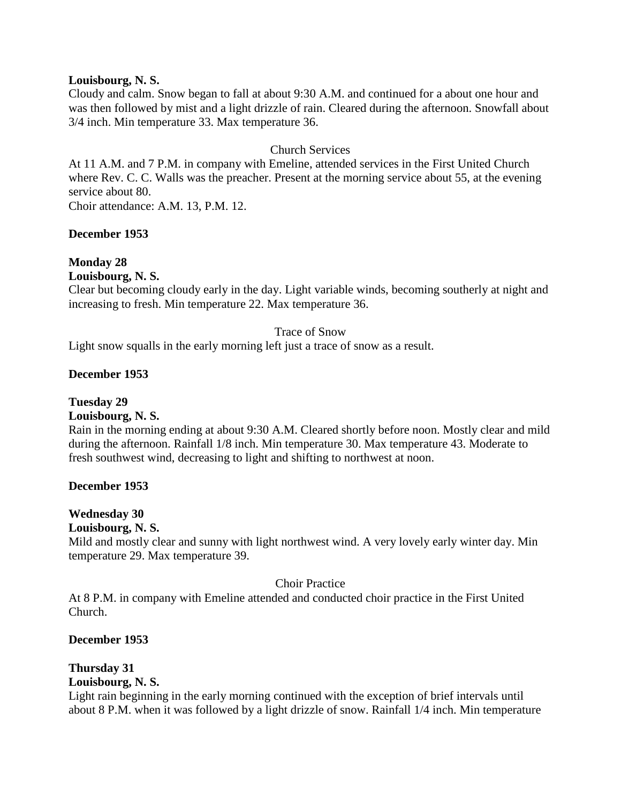#### **Louisbourg, N. S.**

Cloudy and calm. Snow began to fall at about 9:30 A.M. and continued for a about one hour and was then followed by mist and a light drizzle of rain. Cleared during the afternoon. Snowfall about 3/4 inch. Min temperature 33. Max temperature 36.

## Church Services

At 11 A.M. and 7 P.M. in company with Emeline, attended services in the First United Church where Rev. C. C. Walls was the preacher. Present at the morning service about 55, at the evening service about 80.

Choir attendance: A.M. 13, P.M. 12.

### **December 1953**

## **Monday 28**

**Louisbourg, N. S.**

Clear but becoming cloudy early in the day. Light variable winds, becoming southerly at night and increasing to fresh. Min temperature 22. Max temperature 36.

#### Trace of Snow

Light snow squalls in the early morning left just a trace of snow as a result.

#### **December 1953**

**Tuesday 29**

## **Louisbourg, N. S.**

Rain in the morning ending at about 9:30 A.M. Cleared shortly before noon. Mostly clear and mild during the afternoon. Rainfall 1/8 inch. Min temperature 30. Max temperature 43. Moderate to fresh southwest wind, decreasing to light and shifting to northwest at noon.

#### **December 1953**

#### **Wednesday 30**

#### **Louisbourg, N. S.**

Mild and mostly clear and sunny with light northwest wind. A very lovely early winter day. Min temperature 29. Max temperature 39.

#### Choir Practice

At 8 P.M. in company with Emeline attended and conducted choir practice in the First United Church.

#### **December 1953**

## **Thursday 31**

## **Louisbourg, N. S.**

Light rain beginning in the early morning continued with the exception of brief intervals until about 8 P.M. when it was followed by a light drizzle of snow. Rainfall 1/4 inch. Min temperature